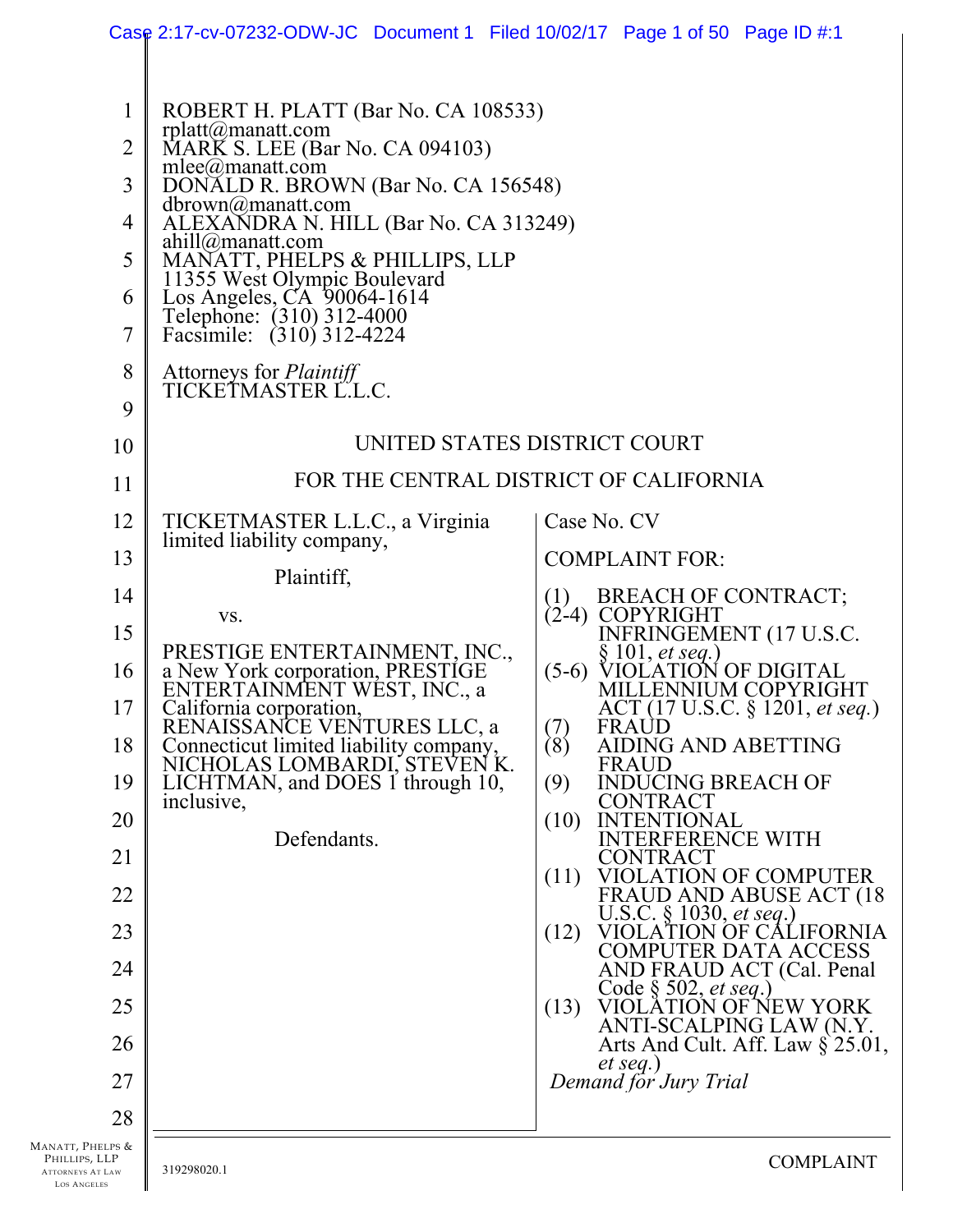|                                                                                                            | Case 2:17-cv-07232-ODW-JC Document 1 Filed 10/02/17 Page 1 of 50 Page ID #:1                                                                                                                                                                                                                                                                                                                                                                                                                                                                                                                                                                                                                                                                |                                                                                                                                                                                                                                                                                                                                                                  |
|------------------------------------------------------------------------------------------------------------|---------------------------------------------------------------------------------------------------------------------------------------------------------------------------------------------------------------------------------------------------------------------------------------------------------------------------------------------------------------------------------------------------------------------------------------------------------------------------------------------------------------------------------------------------------------------------------------------------------------------------------------------------------------------------------------------------------------------------------------------|------------------------------------------------------------------------------------------------------------------------------------------------------------------------------------------------------------------------------------------------------------------------------------------------------------------------------------------------------------------|
| $\mathbf{1}$<br>2<br>3<br>4<br>5<br>6<br>7<br>8<br>9<br>10<br>11<br>12<br>13<br>14<br>15<br>16<br>17<br>18 | ROBERT H. PLATT (Bar No. CA 108533)<br>rplatt@manatt.com<br>MARK S. LEE (Bar No. CA 094103)<br>mlee@manatt.com<br>DONALD R. BROWN (Bar No. CA 156548)<br>dbrown@manatt.com<br>ALEXANDRA N. HILL (Bar No. CA 313249)<br>ahill@manatt.com<br>MANATT, PHELPS & PHILLIPS, LLP<br>11355 West Olympic Boulevard<br>11355 West Olympic Boulevard<br>Los Angeles, CA 90064-1614<br>Telephone: (310) 312-4000<br>Facsimile: (310) 312-4224<br>Attorneys for <i>Plaintiff</i><br>TICKETMASTER L.L.C.<br>TICKETMASTER L.L.C., a Virginia<br>limited liability company,<br>Plaintiff,<br>VS.<br>PRESTIGE ENTERTAINMENT, INC., a New York corporation, PRESTIGE<br>ENTERTAINMENT WEST, INC., a<br>California corporation,<br>RENAISSANCE VENTURES LLC, a | UNITED STATES DISTRICT COURT<br>FOR THE CENTRAL DISTRICT OF CALIFORNIA<br>Case No. CV<br><b>COMPLAINT FOR:</b><br>BREACH OF CONTRACT;<br>(1)<br>(2-4) COPYRIGHT<br>INFRINGEMENT (17 U.S.C.<br>$§ 101, et seq.$ )<br>$(5-6)$<br>VIOLATION OF DIGITAL<br>MILLENNIUM COPYRIGHT<br>ACT (17 U.S.C. § 1201, et seq.)<br>FRAUD<br>$\binom{7}{8}$<br>AIDING AND ABETTING |
| 19                                                                                                         | Connecticut limited liability company,<br>NICHOLAS LOMBARDI, STEVEN K.<br>LICHTMAN, and DOES 1 through 10,                                                                                                                                                                                                                                                                                                                                                                                                                                                                                                                                                                                                                                  | <b>FRAUD</b><br><b>INDUCING BREACH OF</b><br>(9)                                                                                                                                                                                                                                                                                                                 |
| 20                                                                                                         | inclusive,<br>Defendants.                                                                                                                                                                                                                                                                                                                                                                                                                                                                                                                                                                                                                                                                                                                   | CONTRACT<br>(10)<br>TENTIONAL<br>TERFERENCE WITH                                                                                                                                                                                                                                                                                                                 |
| 21                                                                                                         |                                                                                                                                                                                                                                                                                                                                                                                                                                                                                                                                                                                                                                                                                                                                             | <b>CONTRACT</b><br>VIOLATION OF COMPUTER<br>(11)                                                                                                                                                                                                                                                                                                                 |
| 22<br>23                                                                                                   |                                                                                                                                                                                                                                                                                                                                                                                                                                                                                                                                                                                                                                                                                                                                             | FRAUD AND ABUSE ACT (18<br>U.S.C. § 1030, et seq.)<br>VIOLATION OF CALIFORNIA<br>(12)                                                                                                                                                                                                                                                                            |
| 24                                                                                                         |                                                                                                                                                                                                                                                                                                                                                                                                                                                                                                                                                                                                                                                                                                                                             | <b>COMPUTER DATA ACCESS</b><br>AND FRAUD ACT (Cal. Penal                                                                                                                                                                                                                                                                                                         |
| 25                                                                                                         |                                                                                                                                                                                                                                                                                                                                                                                                                                                                                                                                                                                                                                                                                                                                             | Code $\S 502, et seq.)$<br>VIOLATION OF NEW YORK<br>(13)                                                                                                                                                                                                                                                                                                         |
| 26                                                                                                         |                                                                                                                                                                                                                                                                                                                                                                                                                                                                                                                                                                                                                                                                                                                                             | ANTI-SCALPING LAW (N.Y.<br>Arts And Cult. Aff. Law $\S$ 25.01,                                                                                                                                                                                                                                                                                                   |
| 27                                                                                                         |                                                                                                                                                                                                                                                                                                                                                                                                                                                                                                                                                                                                                                                                                                                                             | $et seq.$ )<br>Demand for Jury Trial                                                                                                                                                                                                                                                                                                                             |
| 28                                                                                                         |                                                                                                                                                                                                                                                                                                                                                                                                                                                                                                                                                                                                                                                                                                                                             |                                                                                                                                                                                                                                                                                                                                                                  |
| MANATT, PHELPS &<br>PHILLIPS, LLP<br><b>ATTORNEYS AT LAW</b><br><b>LOS ANGELES</b>                         | 319298020.1                                                                                                                                                                                                                                                                                                                                                                                                                                                                                                                                                                                                                                                                                                                                 | <b>COMPLAINT</b>                                                                                                                                                                                                                                                                                                                                                 |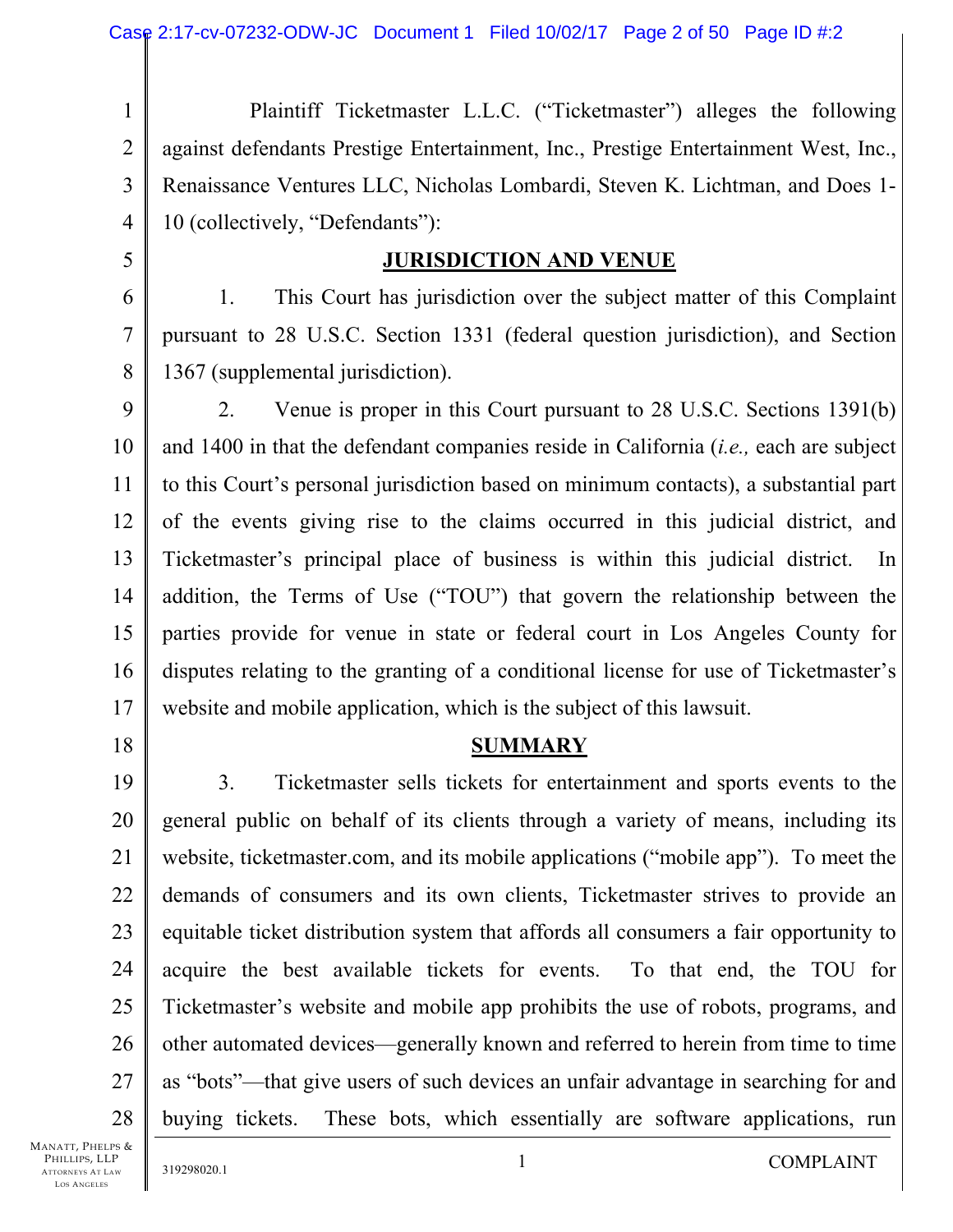1 2 3 4 Plaintiff Ticketmaster L.L.C. ("Ticketmaster") alleges the following against defendants Prestige Entertainment, Inc., Prestige Entertainment West, Inc., Renaissance Ventures LLC, Nicholas Lombardi, Steven K. Lichtman, and Does 1- 10 (collectively, "Defendants"):

5

### **JURISDICTION AND VENUE**

6 7 8 1. This Court has jurisdiction over the subject matter of this Complaint pursuant to 28 U.S.C. Section 1331 (federal question jurisdiction), and Section 1367 (supplemental jurisdiction).

9 10 11 12 13 14 15 16 17 2. Venue is proper in this Court pursuant to 28 U.S.C. Sections 1391(b) and 1400 in that the defendant companies reside in California (*i.e.,* each are subject to this Court's personal jurisdiction based on minimum contacts), a substantial part of the events giving rise to the claims occurred in this judicial district, and Ticketmaster's principal place of business is within this judicial district. In addition, the Terms of Use ("TOU") that govern the relationship between the parties provide for venue in state or federal court in Los Angeles County for disputes relating to the granting of a conditional license for use of Ticketmaster's website and mobile application, which is the subject of this lawsuit.

18

#### **SUMMARY**

19 20 21 22 23 24 25 26 27 28 3. Ticketmaster sells tickets for entertainment and sports events to the general public on behalf of its clients through a variety of means, including its website, ticketmaster.com, and its mobile applications ("mobile app"). To meet the demands of consumers and its own clients, Ticketmaster strives to provide an equitable ticket distribution system that affords all consumers a fair opportunity to acquire the best available tickets for events. To that end, the TOU for Ticketmaster's website and mobile app prohibits the use of robots, programs, and other automated devices—generally known and referred to herein from time to time as "bots"—that give users of such devices an unfair advantage in searching for and buying tickets. These bots, which essentially are software applications, run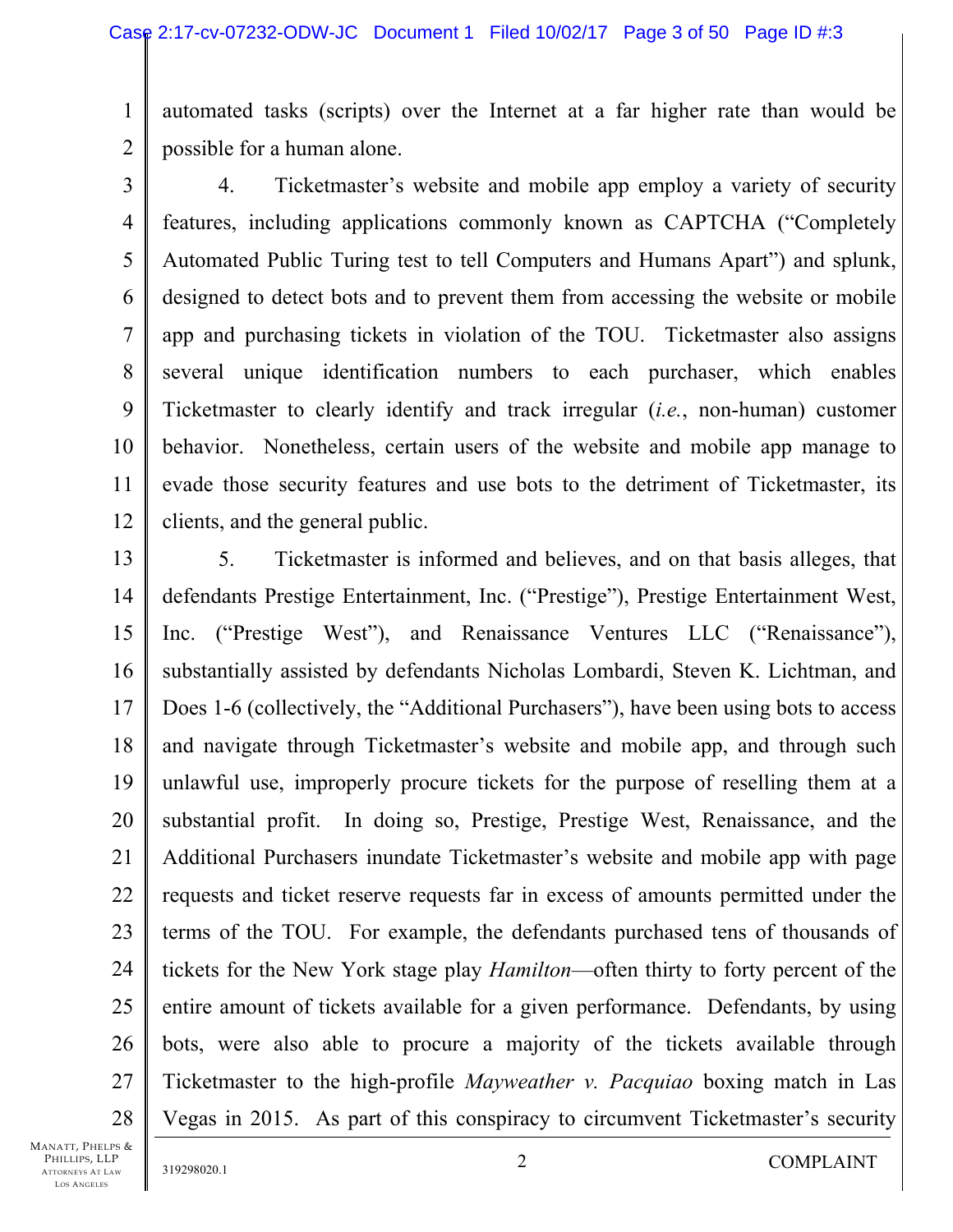1 2 automated tasks (scripts) over the Internet at a far higher rate than would be possible for a human alone.

3 4 5 6 7 8 9 10 11 12 4. Ticketmaster's website and mobile app employ a variety of security features, including applications commonly known as CAPTCHA ("Completely Automated Public Turing test to tell Computers and Humans Apart") and splunk, designed to detect bots and to prevent them from accessing the website or mobile app and purchasing tickets in violation of the TOU. Ticketmaster also assigns several unique identification numbers to each purchaser, which enables Ticketmaster to clearly identify and track irregular (*i.e.*, non-human) customer behavior. Nonetheless, certain users of the website and mobile app manage to evade those security features and use bots to the detriment of Ticketmaster, its clients, and the general public.

13 14 15 16 17 18 19 20 21 22 23 24 25 26 27 28 5. Ticketmaster is informed and believes, and on that basis alleges, that defendants Prestige Entertainment, Inc. ("Prestige"), Prestige Entertainment West, Inc. ("Prestige West"), and Renaissance Ventures LLC ("Renaissance"), substantially assisted by defendants Nicholas Lombardi, Steven K. Lichtman, and Does 1-6 (collectively, the "Additional Purchasers"), have been using bots to access and navigate through Ticketmaster's website and mobile app, and through such unlawful use, improperly procure tickets for the purpose of reselling them at a substantial profit. In doing so, Prestige, Prestige West, Renaissance, and the Additional Purchasers inundate Ticketmaster's website and mobile app with page requests and ticket reserve requests far in excess of amounts permitted under the terms of the TOU. For example, the defendants purchased tens of thousands of tickets for the New York stage play *Hamilton*—often thirty to forty percent of the entire amount of tickets available for a given performance. Defendants, by using bots, were also able to procure a majority of the tickets available through Ticketmaster to the high-profile *Mayweather v. Pacquiao* boxing match in Las Vegas in 2015. As part of this conspiracy to circumvent Ticketmaster's security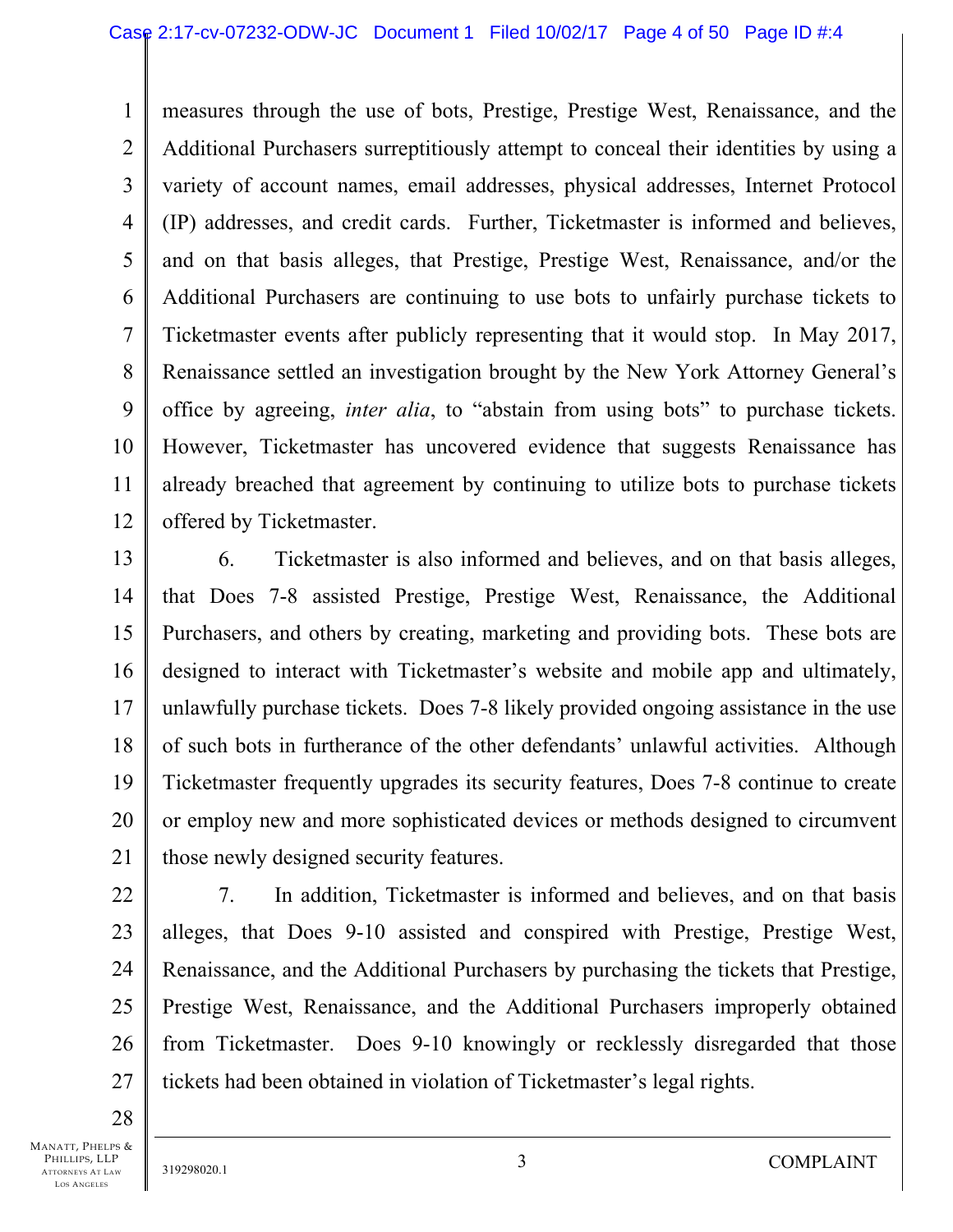1 2 3 4 5 6 7 8 9 10 11 12 measures through the use of bots, Prestige, Prestige West, Renaissance, and the Additional Purchasers surreptitiously attempt to conceal their identities by using a variety of account names, email addresses, physical addresses, Internet Protocol (IP) addresses, and credit cards. Further, Ticketmaster is informed and believes, and on that basis alleges, that Prestige, Prestige West, Renaissance, and/or the Additional Purchasers are continuing to use bots to unfairly purchase tickets to Ticketmaster events after publicly representing that it would stop. In May 2017, Renaissance settled an investigation brought by the New York Attorney General's office by agreeing, *inter alia*, to "abstain from using bots" to purchase tickets. However, Ticketmaster has uncovered evidence that suggests Renaissance has already breached that agreement by continuing to utilize bots to purchase tickets offered by Ticketmaster.

13 14 15 16 17 18 19 20 21 6. Ticketmaster is also informed and believes, and on that basis alleges, that Does 7-8 assisted Prestige, Prestige West, Renaissance, the Additional Purchasers, and others by creating, marketing and providing bots. These bots are designed to interact with Ticketmaster's website and mobile app and ultimately, unlawfully purchase tickets. Does 7-8 likely provided ongoing assistance in the use of such bots in furtherance of the other defendants' unlawful activities. Although Ticketmaster frequently upgrades its security features, Does 7-8 continue to create or employ new and more sophisticated devices or methods designed to circumvent those newly designed security features.

22 23 24

25 26 27 7. In addition, Ticketmaster is informed and believes, and on that basis alleges, that Does 9-10 assisted and conspired with Prestige, Prestige West, Renaissance, and the Additional Purchasers by purchasing the tickets that Prestige, Prestige West, Renaissance, and the Additional Purchasers improperly obtained from Ticketmaster. Does 9-10 knowingly or recklessly disregarded that those tickets had been obtained in violation of Ticketmaster's legal rights.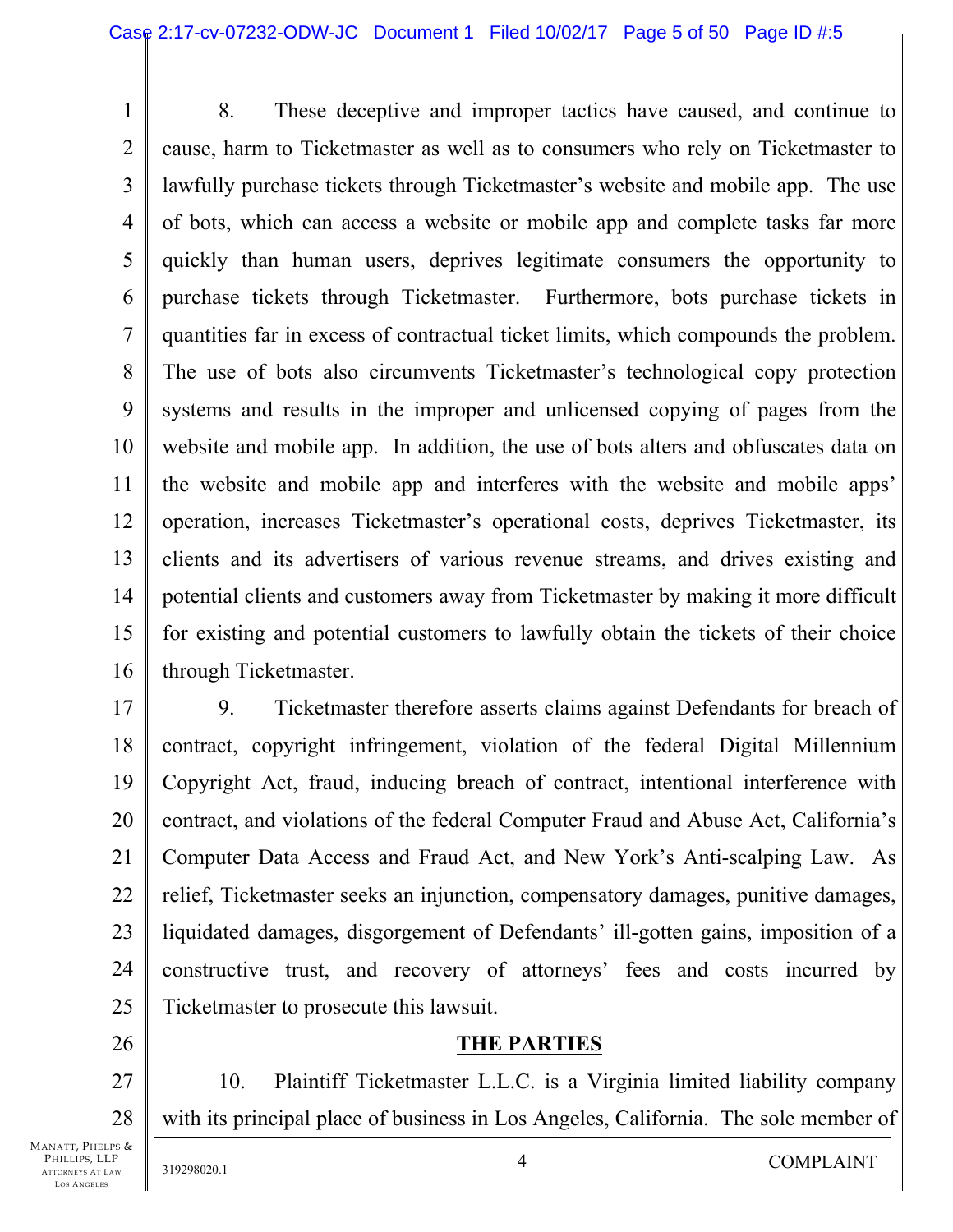1 2 3 4 5 6 7 8 9 10 11 12 13 14 15 16 8. These deceptive and improper tactics have caused, and continue to cause, harm to Ticketmaster as well as to consumers who rely on Ticketmaster to lawfully purchase tickets through Ticketmaster's website and mobile app. The use of bots, which can access a website or mobile app and complete tasks far more quickly than human users, deprives legitimate consumers the opportunity to purchase tickets through Ticketmaster. Furthermore, bots purchase tickets in quantities far in excess of contractual ticket limits, which compounds the problem. The use of bots also circumvents Ticketmaster's technological copy protection systems and results in the improper and unlicensed copying of pages from the website and mobile app. In addition, the use of bots alters and obfuscates data on the website and mobile app and interferes with the website and mobile apps' operation, increases Ticketmaster's operational costs, deprives Ticketmaster, its clients and its advertisers of various revenue streams, and drives existing and potential clients and customers away from Ticketmaster by making it more difficult for existing and potential customers to lawfully obtain the tickets of their choice through Ticketmaster.

17 18 19 20 21 22 23 24 25 9. Ticketmaster therefore asserts claims against Defendants for breach of contract, copyright infringement, violation of the federal Digital Millennium Copyright Act, fraud, inducing breach of contract, intentional interference with contract, and violations of the federal Computer Fraud and Abuse Act, California's Computer Data Access and Fraud Act, and New York's Anti-scalping Law. As relief, Ticketmaster seeks an injunction, compensatory damages, punitive damages, liquidated damages, disgorgement of Defendants' ill-gotten gains, imposition of a constructive trust, and recovery of attorneys' fees and costs incurred by Ticketmaster to prosecute this lawsuit.

### **THE PARTIES**

27 28 10. Plaintiff Ticketmaster L.L.C. is a Virginia limited liability company with its principal place of business in Los Angeles, California. The sole member of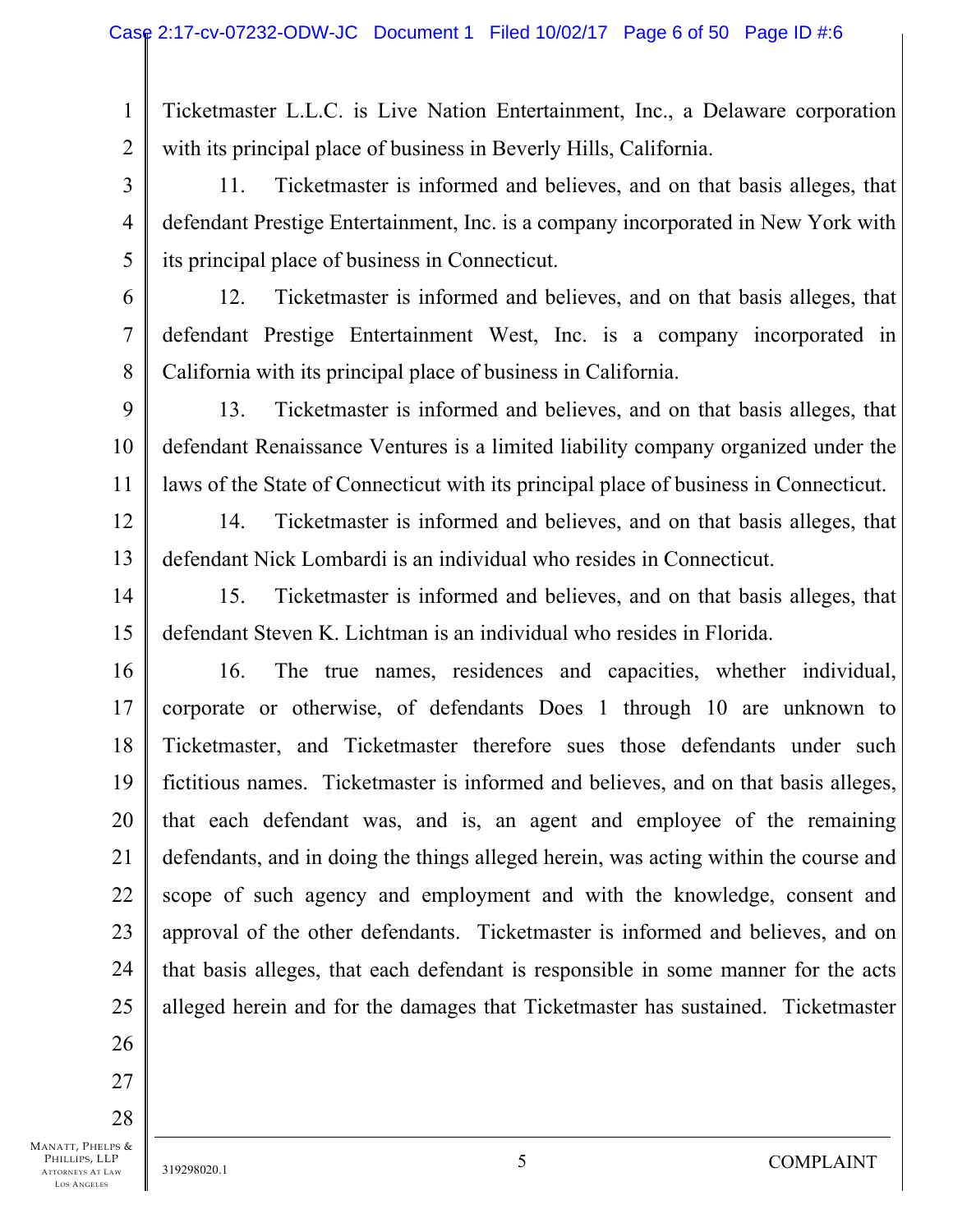1 2 Ticketmaster L.L.C. is Live Nation Entertainment, Inc., a Delaware corporation with its principal place of business in Beverly Hills, California.

3 4 5 11. Ticketmaster is informed and believes, and on that basis alleges, that defendant Prestige Entertainment, Inc. is a company incorporated in New York with its principal place of business in Connecticut.

6

7

8

12. Ticketmaster is informed and believes, and on that basis alleges, that defendant Prestige Entertainment West, Inc. is a company incorporated in California with its principal place of business in California.

9 10 11 13. Ticketmaster is informed and believes, and on that basis alleges, that defendant Renaissance Ventures is a limited liability company organized under the laws of the State of Connecticut with its principal place of business in Connecticut.

12 13 14. Ticketmaster is informed and believes, and on that basis alleges, that defendant Nick Lombardi is an individual who resides in Connecticut.

14 15 15. Ticketmaster is informed and believes, and on that basis alleges, that defendant Steven K. Lichtman is an individual who resides in Florida.

16 17 18 19 20 21 22 23 24 25 16. The true names, residences and capacities, whether individual, corporate or otherwise, of defendants Does 1 through 10 are unknown to Ticketmaster, and Ticketmaster therefore sues those defendants under such fictitious names. Ticketmaster is informed and believes, and on that basis alleges, that each defendant was, and is, an agent and employee of the remaining defendants, and in doing the things alleged herein, was acting within the course and scope of such agency and employment and with the knowledge, consent and approval of the other defendants. Ticketmaster is informed and believes, and on that basis alleges, that each defendant is responsible in some manner for the acts alleged herein and for the damages that Ticketmaster has sustained. Ticketmaster

MANATT, PHELPS & PHILLIPS, LLP 27 28

26

ATTORNEYS AT LAW LOS ANGELES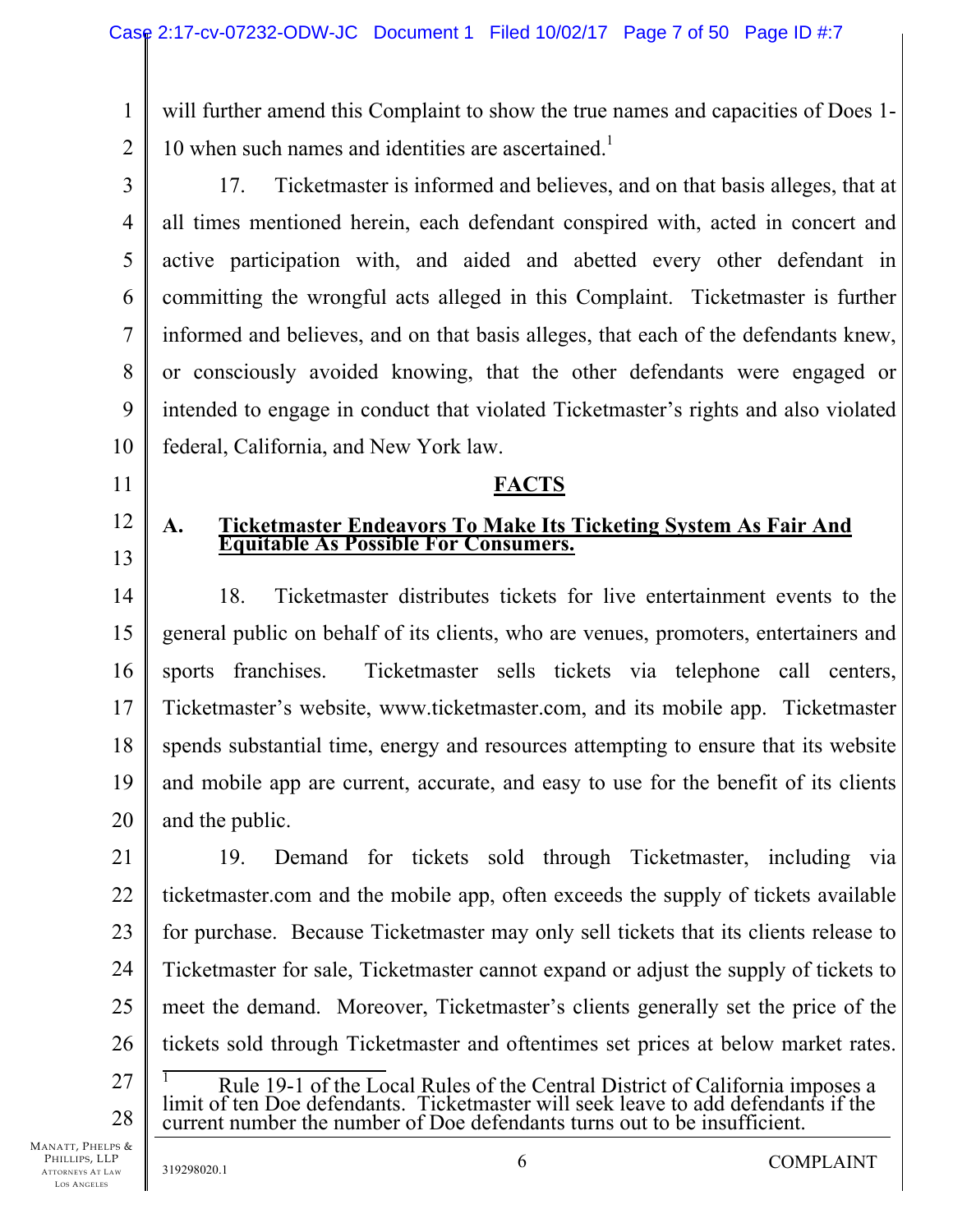1 2 will further amend this Complaint to show the true names and capacities of Does 1-10 when such names and identities are ascertained.<sup>1</sup>

3 4 5 6 7 8 9 10 17. Ticketmaster is informed and believes, and on that basis alleges, that at all times mentioned herein, each defendant conspired with, acted in concert and active participation with, and aided and abetted every other defendant in committing the wrongful acts alleged in this Complaint. Ticketmaster is further informed and believes, and on that basis alleges, that each of the defendants knew, or consciously avoided knowing, that the other defendants were engaged or intended to engage in conduct that violated Ticketmaster's rights and also violated federal, California, and New York law.

#### **FACTS**

# **A. Ticketmaster Endeavors To Make Its Ticketing System As Fair And Equitable As Possible For Consumers.**

14 15 16 17 18 19 20 18. Ticketmaster distributes tickets for live entertainment events to the general public on behalf of its clients, who are venues, promoters, entertainers and sports franchises. Ticketmaster sells tickets via telephone call centers, Ticketmaster's website, www.ticketmaster.com, and its mobile app. Ticketmaster spends substantial time, energy and resources attempting to ensure that its website and mobile app are current, accurate, and easy to use for the benefit of its clients and the public.

21 22 23 24 25 26 19. Demand for tickets sold through Ticketmaster, including via ticketmaster.com and the mobile app, often exceeds the supply of tickets available for purchase. Because Ticketmaster may only sell tickets that its clients release to Ticketmaster for sale, Ticketmaster cannot expand or adjust the supply of tickets to meet the demand. Moreover, Ticketmaster's clients generally set the price of the tickets sold through Ticketmaster and oftentimes set prices at below market rates. 1

27 28 Rule 19-1 of the Local Rules of the Central District of California imposes a limit of ten Doe defendants. Ticketmaster will seek leave to add defendants if the current number the number of Doe defendants turns out to be insufficient.

MANATT, PHELPS & PHILLIPS, LLP ATTORNEYS AT LAW LOS ANGELES

11

12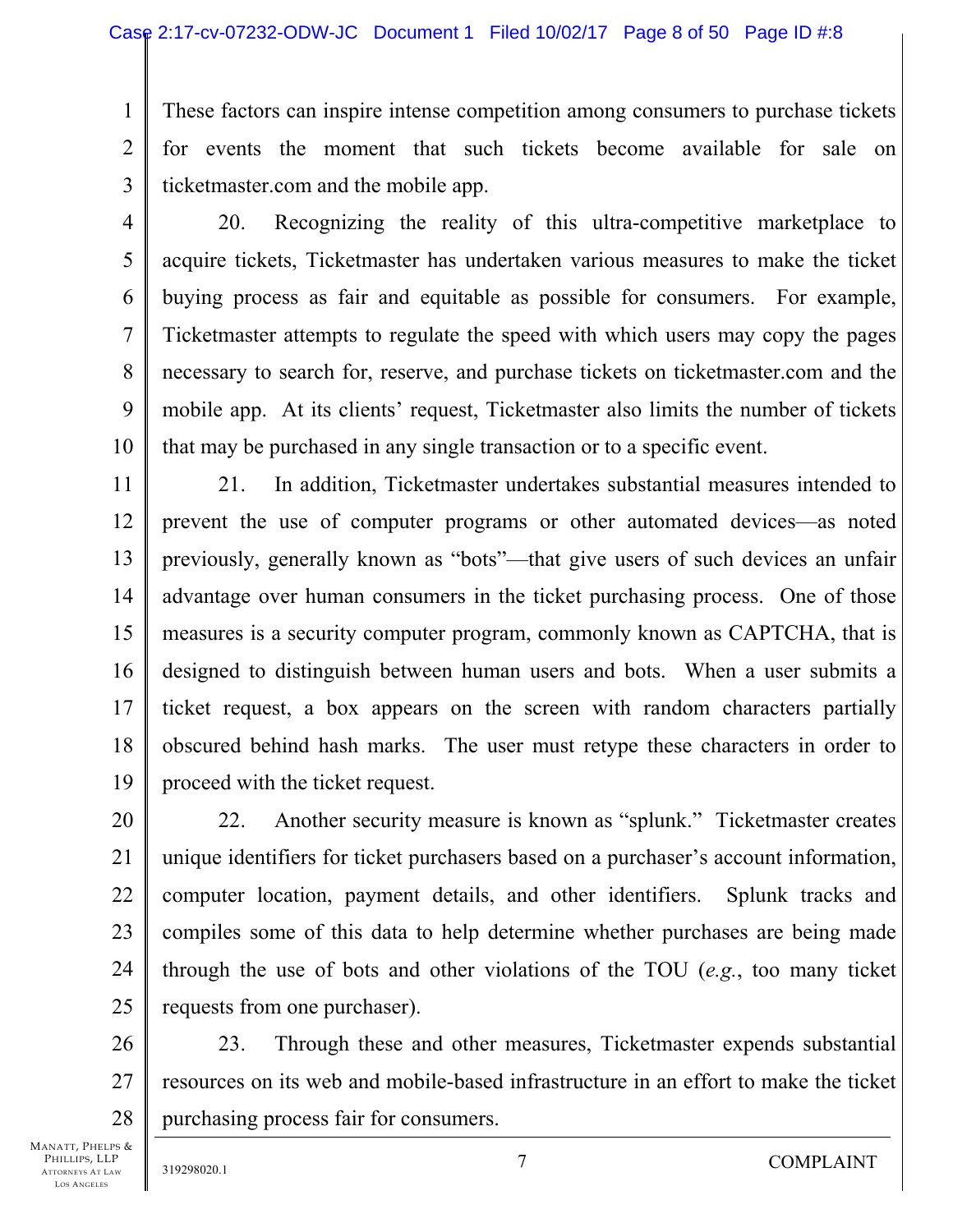1 2 3 These factors can inspire intense competition among consumers to purchase tickets for events the moment that such tickets become available for sale on ticketmaster.com and the mobile app.

4

5

7

8

6 9 10 20. Recognizing the reality of this ultra-competitive marketplace to acquire tickets, Ticketmaster has undertaken various measures to make the ticket buying process as fair and equitable as possible for consumers. For example, Ticketmaster attempts to regulate the speed with which users may copy the pages necessary to search for, reserve, and purchase tickets on ticketmaster.com and the mobile app. At its clients' request, Ticketmaster also limits the number of tickets that may be purchased in any single transaction or to a specific event.

11 12 13 14 15 16 17 18 19 21. In addition, Ticketmaster undertakes substantial measures intended to prevent the use of computer programs or other automated devices—as noted previously, generally known as "bots"—that give users of such devices an unfair advantage over human consumers in the ticket purchasing process. One of those measures is a security computer program, commonly known as CAPTCHA, that is designed to distinguish between human users and bots. When a user submits a ticket request, a box appears on the screen with random characters partially obscured behind hash marks. The user must retype these characters in order to proceed with the ticket request.

20 21 22 23 24 25 22. Another security measure is known as "splunk." Ticketmaster creates unique identifiers for ticket purchasers based on a purchaser's account information, computer location, payment details, and other identifiers. Splunk tracks and compiles some of this data to help determine whether purchases are being made through the use of bots and other violations of the TOU (*e.g.*, too many ticket requests from one purchaser).

26 27 28 23. Through these and other measures, Ticketmaster expends substantial resources on its web and mobile-based infrastructure in an effort to make the ticket purchasing process fair for consumers.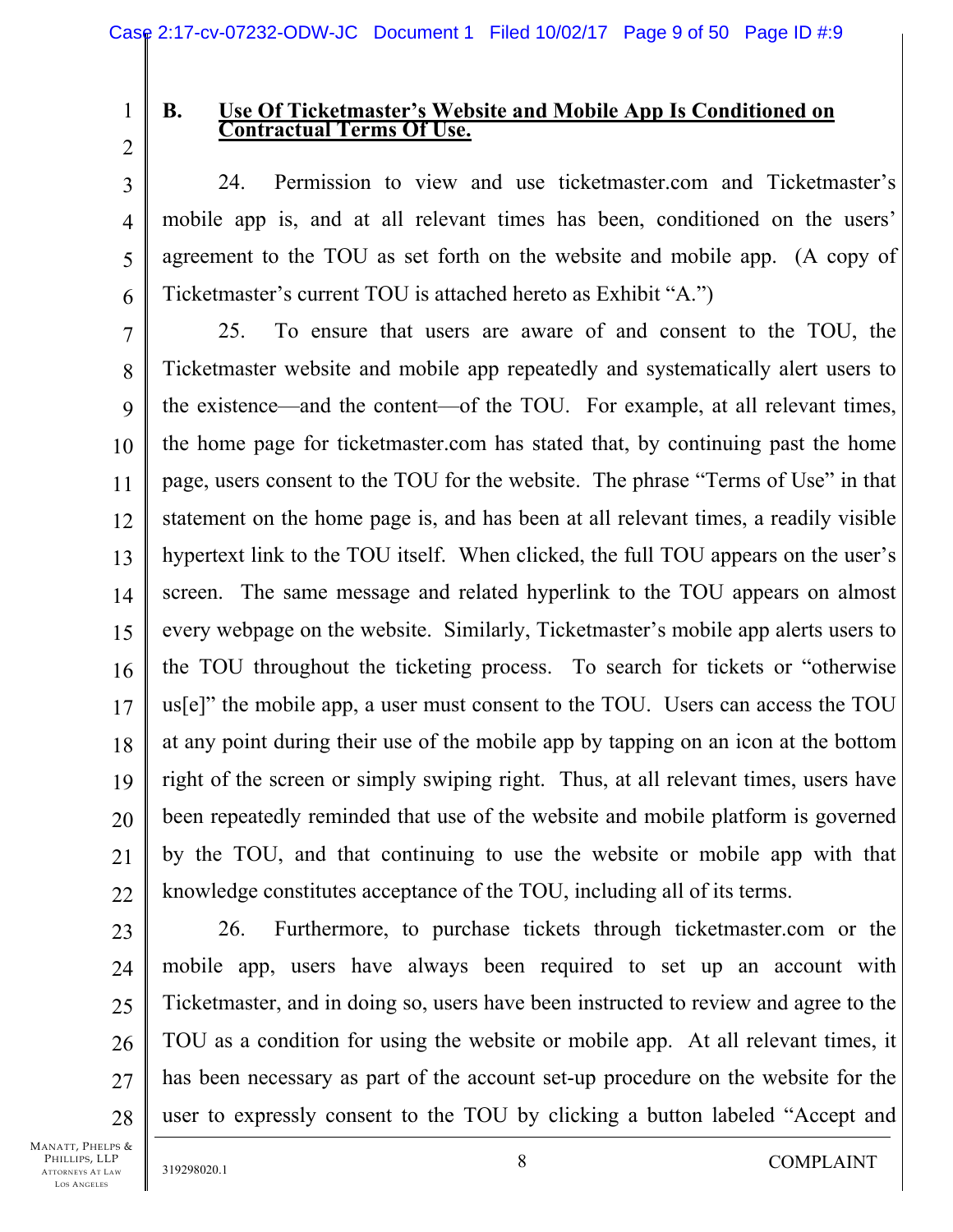1

# **B. Use Of Ticketmaster's Website and Mobile App Is Conditioned on Contractual Terms Of Use.**

2 3

4

5

6

24. Permission to view and use ticketmaster.com and Ticketmaster's mobile app is, and at all relevant times has been, conditioned on the users' agreement to the TOU as set forth on the website and mobile app. (A copy of Ticketmaster's current TOU is attached hereto as Exhibit "A.")

7 8 9 10 11 12 13 14 15 16 17 18 19 20 21 22 25. To ensure that users are aware of and consent to the TOU, the Ticketmaster website and mobile app repeatedly and systematically alert users to the existence—and the content—of the TOU. For example, at all relevant times, the home page for ticketmaster.com has stated that, by continuing past the home page, users consent to the TOU for the website. The phrase "Terms of Use" in that statement on the home page is, and has been at all relevant times, a readily visible hypertext link to the TOU itself. When clicked, the full TOU appears on the user's screen. The same message and related hyperlink to the TOU appears on almost every webpage on the website. Similarly, Ticketmaster's mobile app alerts users to the TOU throughout the ticketing process. To search for tickets or "otherwise us[e]" the mobile app, a user must consent to the TOU. Users can access the TOU at any point during their use of the mobile app by tapping on an icon at the bottom right of the screen or simply swiping right. Thus, at all relevant times, users have been repeatedly reminded that use of the website and mobile platform is governed by the TOU, and that continuing to use the website or mobile app with that knowledge constitutes acceptance of the TOU, including all of its terms.

23 24 25

26

27

28

26. Furthermore, to purchase tickets through ticketmaster.com or the mobile app, users have always been required to set up an account with Ticketmaster, and in doing so, users have been instructed to review and agree to the TOU as a condition for using the website or mobile app. At all relevant times, it has been necessary as part of the account set-up procedure on the website for the user to expressly consent to the TOU by clicking a button labeled "Accept and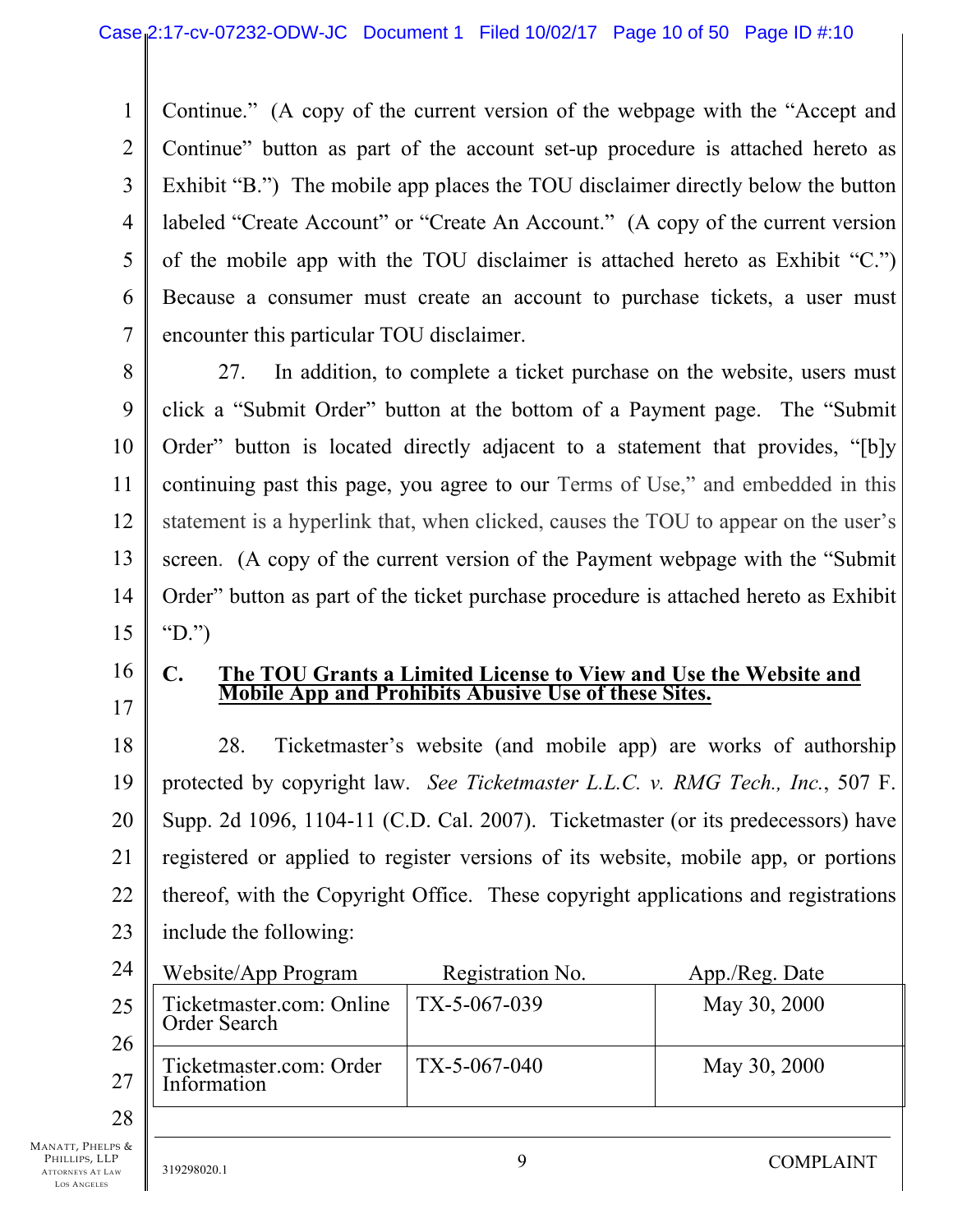1 2 3 4 5 6 7 Continue." (A copy of the current version of the webpage with the "Accept and Continue" button as part of the account set-up procedure is attached hereto as Exhibit "B.") The mobile app places the TOU disclaimer directly below the button labeled "Create Account" or "Create An Account." (A copy of the current version of the mobile app with the TOU disclaimer is attached hereto as Exhibit "C.") Because a consumer must create an account to purchase tickets, a user must encounter this particular TOU disclaimer.

8 9 10 11 12 13 14 15 27. In addition, to complete a ticket purchase on the website, users must click a "Submit Order" button at the bottom of a Payment page. The "Submit Order" button is located directly adjacent to a statement that provides, "[b]y continuing past this page, you agree to our Terms of Use," and embedded in this statement is a hyperlink that, when clicked, causes the TOU to appear on the user's screen. (A copy of the current version of the Payment webpage with the "Submit Order" button as part of the ticket purchase procedure is attached hereto as Exhibit "D.")

16 17

### **C. The TOU Grants a Limited License to View and Use the Website and Mobile App and Prohibits Abusive Use of these Sites.**

18 19 20 21 22 23 28. Ticketmaster's website (and mobile app) are works of authorship protected by copyright law. *See Ticketmaster L.L.C. v. RMG Tech., Inc.*, 507 F. Supp. 2d 1096, 1104-11 (C.D. Cal. 2007). Ticketmaster (or its predecessors) have registered or applied to register versions of its website, mobile app, or portions thereof, with the Copyright Office. These copyright applications and registrations include the following:

| 24       | Website/App Program                      | Registration No. | App./Reg. Date |
|----------|------------------------------------------|------------------|----------------|
| 25       | Ticketmaster.com: Online<br>Order Search | TX-5-067-039     | May 30, 2000   |
| 26<br>27 | Ticketmaster.com: Order<br>Information   | $TX-5-067-040$   | May 30, 2000   |
| 28       |                                          |                  |                |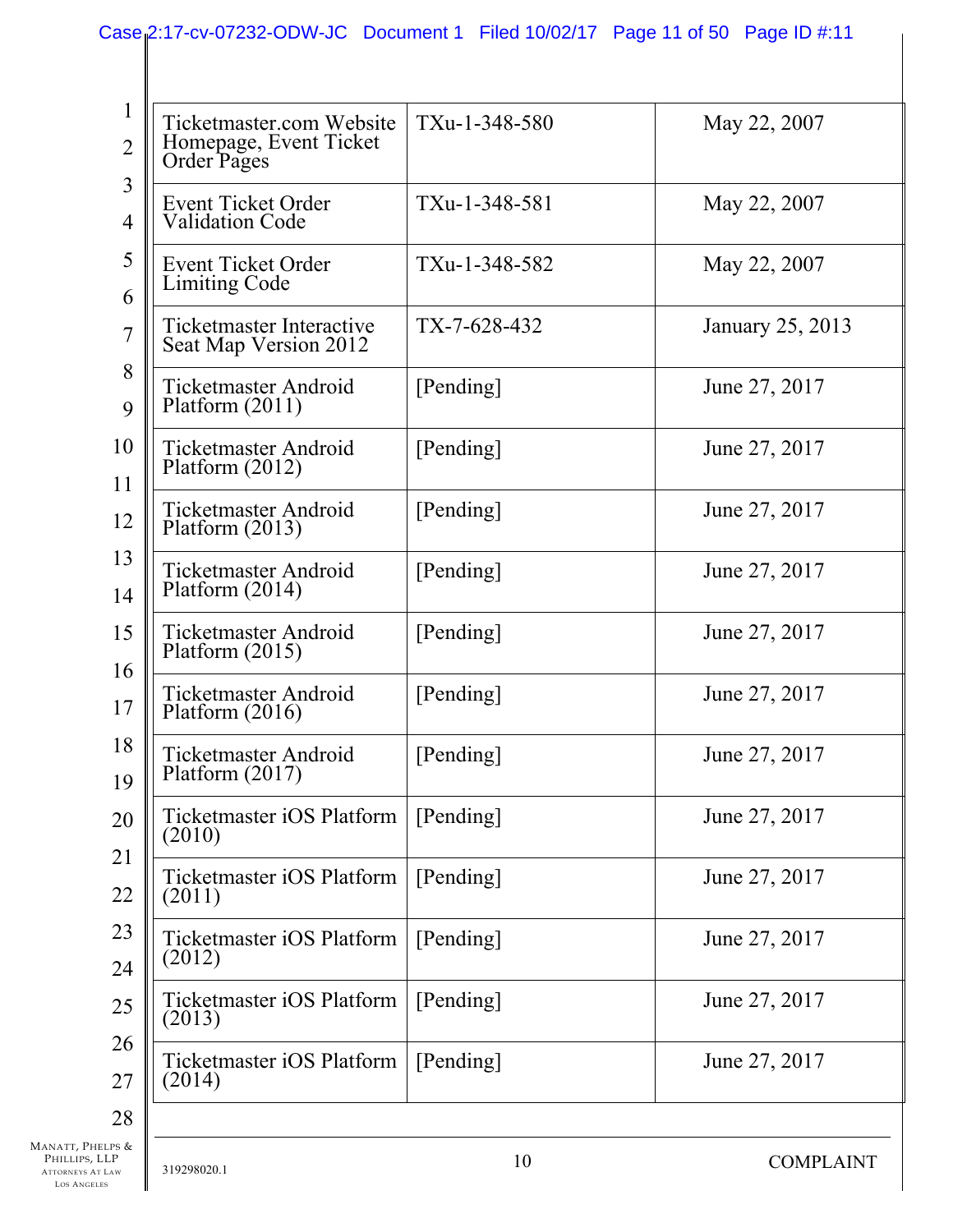| Ticketmaster.com Website<br>Homepage, Event Ticket<br>Order Pages | TXu-1-348-580  | May 22, 2007     |
|-------------------------------------------------------------------|----------------|------------------|
| Event Ticket Order<br><b>Validation Code</b>                      | TXu-1-348-581  | May 22, 2007     |
| Event Ticket Order<br><b>Limiting Code</b>                        | TXu-1-348-582  | May 22, 2007     |
| <b>Ticketmaster Interactive</b><br>Seat Map Version 2012          | $TX-7-628-432$ | January 25, 2013 |
| <b>Ticketmaster Android</b><br>Platform $(2011)$                  | [Pending]      | June 27, 2017    |
| <b>Ticketmaster Android</b><br>Platform $(2012)$                  | [Pending]      | June 27, 2017    |
| <b>Ticketmaster Android</b><br>Platform (2013)                    | [Pending]      | June 27, 2017    |
| <b>Ticketmaster Android</b><br>Platform $(2014)$                  | [Pending]      | June 27, 2017    |
| <b>Ticketmaster Android</b><br>Platform $(2015)$                  | [Pending]      | June 27, 2017    |
| <b>Ticketmaster Android</b><br>Platform $(2016)$                  | [Pending]      | June 27, 2017    |
| <b>Ticketmaster Android</b><br>Platform $(2017)$                  | [Pending]      | June 27, 2017    |
| Ticketmaster iOS Platform<br>(2010)                               | [Pending]      | June 27, 2017    |
| Ticketmaster iOS Platform<br>(2011)                               | [Pending]      | June 27, 2017    |
| <b>Ticketmaster iOS Platform</b><br>(2012)                        | [Pending]      | June 27, 2017    |
| Ticketmaster iOS Platform<br>(2013)                               | [Pending]      | June 27, 2017    |
| Ticketmaster iOS Platform<br>(2014)                               | [Pending]      | June 27, 2017    |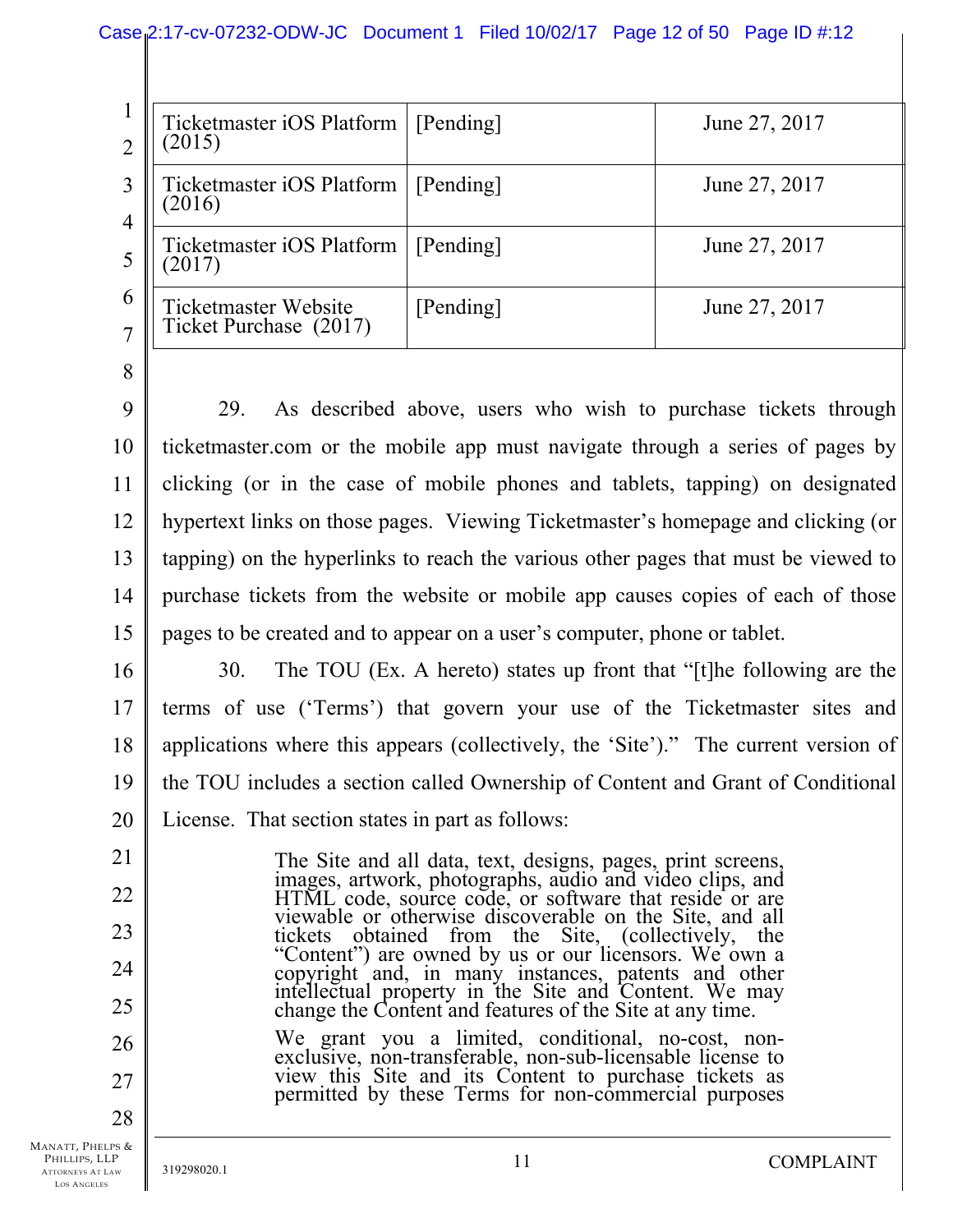|                                    | Case 2:17-cv-07232-ODW-JC Document 1 Filed 10/02/17 Page 12 of 50 Page ID #:12 |           |               |
|------------------------------------|--------------------------------------------------------------------------------|-----------|---------------|
|                                    |                                                                                |           |               |
| $\overline{2}$                     | Ticketmaster iOS Platform<br>(2015)                                            | [Pending] | June 27, 2017 |
| 3<br>$\overline{4}$<br>5<br>6<br>7 | Ticketmaster iOS Platform<br>(2016)                                            | [Pending] | June 27, 2017 |
|                                    | Ticketmaster iOS Platform<br>(2017)                                            | [Pending] | June 27, 2017 |
|                                    | <b>Ticketmaster Website</b><br>Ticket Purchase (2017)                          | [Pending] | June 27, 2017 |

8

9 10 11 12 13 14 15 29. As described above, users who wish to purchase tickets through ticketmaster.com or the mobile app must navigate through a series of pages by clicking (or in the case of mobile phones and tablets, tapping) on designated hypertext links on those pages. Viewing Ticketmaster's homepage and clicking (or tapping) on the hyperlinks to reach the various other pages that must be viewed to purchase tickets from the website or mobile app causes copies of each of those pages to be created and to appear on a user's computer, phone or tablet.

21

22

23

24

25

26

27

28

16 17 18 19 20 30. The TOU (Ex. A hereto) states up front that "[t]he following are the terms of use ('Terms') that govern your use of the Ticketmaster sites and applications where this appears (collectively, the 'Site')." The current version of the TOU includes a section called Ownership of Content and Grant of Conditional License. That section states in part as follows:

> The Site and all data, text, designs, pages, print screens, images, artwork, photographs, audio and video clips, and HTML code, source code, or software that reside or are viewable or otherwise discoverable on the Site, and all tickets obtained from the Site, (collectively, the "Content") are owned by us or our licensors. We own a copyright and, in many instances, patents and other intellectual property in the Site and Content. We may change the Content and features of the Site at any time.

We grant you a limited, conditional, no-cost, nonexclusive, non-transferable, non-sub-licensable license to view this Site and its Content to purchase tickets as permitted by these Terms for non-commercial purposes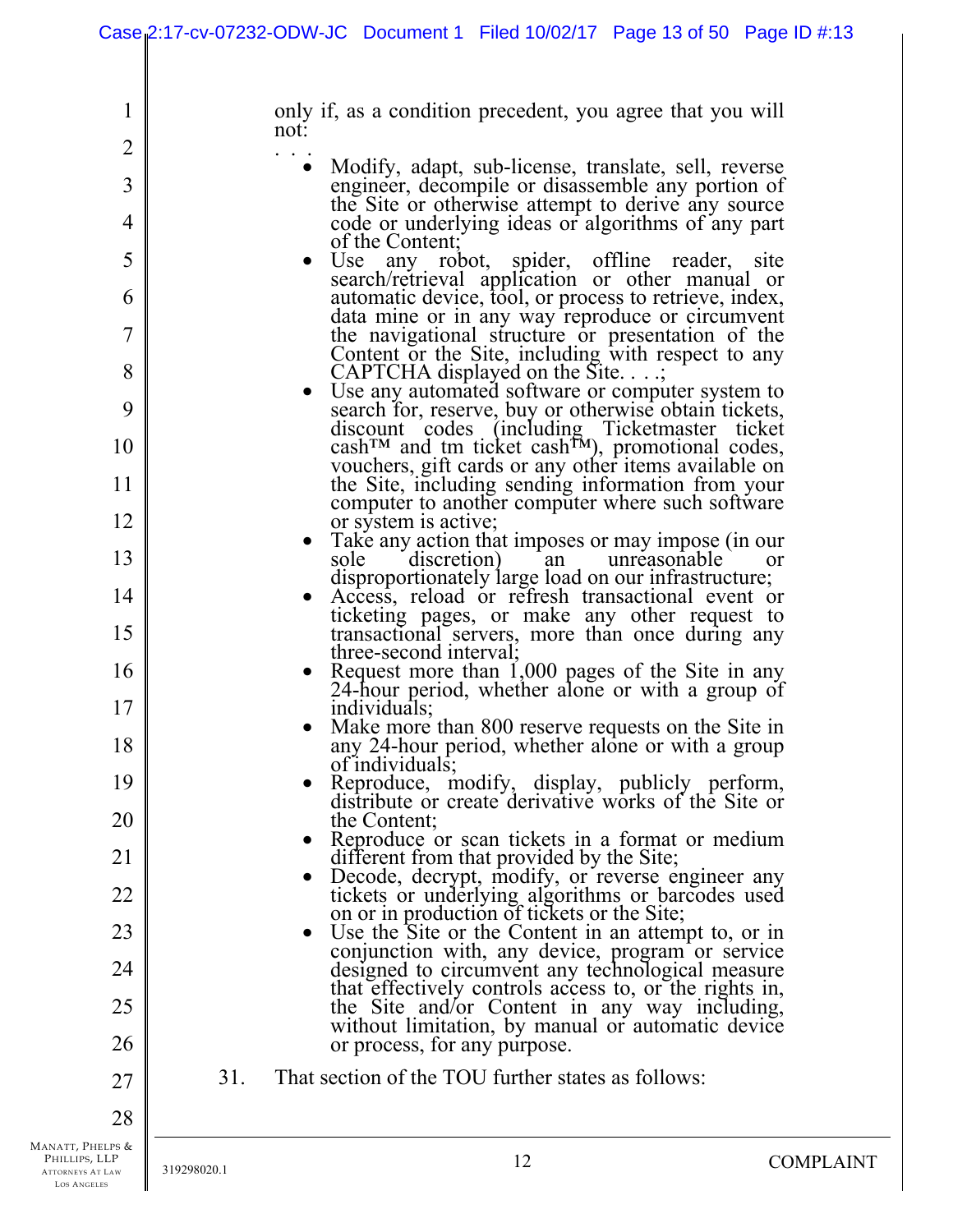|                                                                                    |             | Case 2:17-cv-07232-ODW-JC Document 1 Filed 10/02/17 Page 13 of 50 Page ID #:13                                                                        |                  |
|------------------------------------------------------------------------------------|-------------|-------------------------------------------------------------------------------------------------------------------------------------------------------|------------------|
| $\mathbf{I}$                                                                       |             | only if, as a condition precedent, you agree that you will                                                                                            |                  |
| $\overline{2}$                                                                     |             | not:                                                                                                                                                  |                  |
| 3                                                                                  |             | Modify, adapt, sub-license, translate, sell, reverse<br>engineer, decompile or disassemble any portion of                                             |                  |
| 4                                                                                  |             | the Site or otherwise attempt to derive any source<br>code or underlying ideas or algorithms of any part                                              |                  |
| 5                                                                                  |             | of the Content;<br>Use any robot, spider, offline reader, site                                                                                        |                  |
| 6                                                                                  |             | search/retrieval application or other manual or<br>automatic device, tool, or process to retrieve, index,                                             |                  |
| 7                                                                                  |             | data mine or in any way reproduce or circumvent<br>the navigational structure or presentation of the                                                  |                  |
| 8                                                                                  |             | Content or the Site, including with respect to any<br>CAPTCHA displayed on the Site.;                                                                 |                  |
| 9                                                                                  |             | Use any automated software or computer system to<br>search for, reserve, buy or otherwise obtain tickets,                                             |                  |
| 10                                                                                 |             | discount codes (including Ticketmaster ticket<br>$cash^{TM}$ and tm ticket cash <sup>TM</sup> ), promotional codes,                                   |                  |
| 11                                                                                 |             | vouchers, gift cards or any other items available on<br>the Site, including sending information from your                                             |                  |
| 12                                                                                 |             | computer to another computer where such software<br>or system is active;                                                                              |                  |
| 13                                                                                 |             | Take any action that imposes or may impose (in our<br>discretion)<br>sole<br>unreasonable<br>an                                                       | <b>or</b>        |
|                                                                                    |             | disproportionately large load on our infrastructure;                                                                                                  |                  |
| 14<br>15                                                                           |             | Access, reload or refresh transactional event or<br>ticketing pages, or make any other request to<br>transactional servers, more than once during any |                  |
| 16                                                                                 |             | three-second interval;<br>Request more than $1,000$ pages of the Site in any                                                                          |                  |
| 17                                                                                 |             | 24-hour period, whether alone or with a group of<br>individuals;                                                                                      |                  |
| 18                                                                                 |             | Make more than 800 reserve requests on the Site in<br>any 24-hour period, whether alone or with a group                                               |                  |
| 19                                                                                 |             | of individuals;<br>Reproduce, modify, display, publicly perform,                                                                                      |                  |
| 20                                                                                 |             | distribute or create derivative works of the Site or<br>the Content;                                                                                  |                  |
|                                                                                    |             | Reproduce or scan tickets in a format or medium                                                                                                       |                  |
| 21                                                                                 |             | different from that provided by the Site;<br>Decode, decrypt, modify, or reverse engineer any                                                         |                  |
| 22                                                                                 |             | tickets or underlying algorithms or barcodes used<br>on or in production of tickets or the Site;                                                      |                  |
| 23                                                                                 |             | Use the Site or the Content in an attempt to, or in                                                                                                   |                  |
| 24                                                                                 |             | conjunction with, any device, program or service<br>designed to circumvent any technological measure                                                  |                  |
| 25                                                                                 |             | that effectively controls access to, or the rights in,<br>the Site and/or Content in any way including,                                               |                  |
| 26                                                                                 |             | without limitation, by manual or automatic device<br>or process, for any purpose.                                                                     |                  |
| 27                                                                                 | 31.         | That section of the TOU further states as follows:                                                                                                    |                  |
| 28                                                                                 |             |                                                                                                                                                       |                  |
| Manatt, Phelps &<br>PHILLIPS, LLP<br><b>ATTORNEYS AT LAW</b><br><b>LOS ANGELES</b> | 319298020.1 | 12                                                                                                                                                    | <b>COMPLAINT</b> |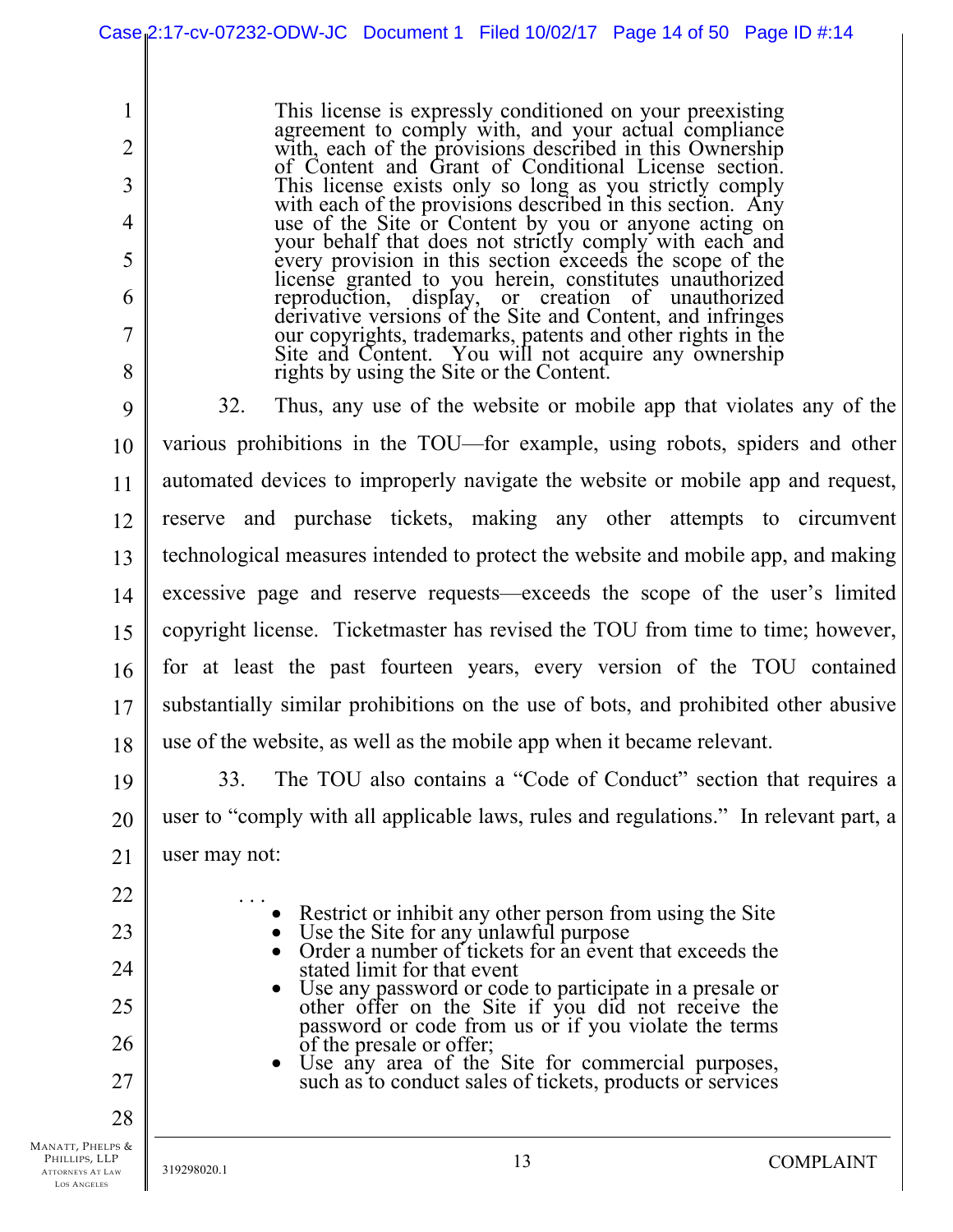This license is expressly conditioned on your preexisting agreement to comply with, and your actual compliance with, each of the provisions described in this Ownership of Content and Grant of Conditional License section. This license exists only so long as you strictly comply with each of the provisions described in this section. Any where of the provision described in this section. Any use or comply with each and every provision in this section exceeds the scope of the license granted to you herein, constitutes unauthorized reproduction, display, or creation of unauthorized derivative versions of the Site and Content, and infringes derivative versions of the Site and Content, and infringes our copyrights, trademarks, patents and other rights in the Site and Content. You will not acquire any ownership rights by using the Site or the Content.

9 10 11 12 13 14 15 16 17 18 32. Thus, any use of the website or mobile app that violates any of the various prohibitions in the TOU—for example, using robots, spiders and other automated devices to improperly navigate the website or mobile app and request, reserve and purchase tickets, making any other attempts to circumvent technological measures intended to protect the website and mobile app, and making excessive page and reserve requests—exceeds the scope of the user's limited copyright license. Ticketmaster has revised the TOU from time to time; however, for at least the past fourteen years, every version of the TOU contained substantially similar prohibitions on the use of bots, and prohibited other abusive use of the website, as well as the mobile app when it became relevant.

19 20 21 33. The TOU also contains a "Code of Conduct" section that requires a user to "comply with all applicable laws, rules and regulations." In relevant part, a user may not:

22 23

24

25

26

27

28

1

2

3

4

5

6

7

8

- Restrict or inhibit any other person from using the Site
	- Use the Site for any unlawful purpose
	- Order a number of tickets for an event that exceeds the stated limit for that event
	- Use any password or code to participate in a presale or other offer on the Site if you did not receive the password or code from us or if you violate the terms of the presale or offer;

Use any area of the Site for commercial purposes, such as to conduct sales of tickets, products or services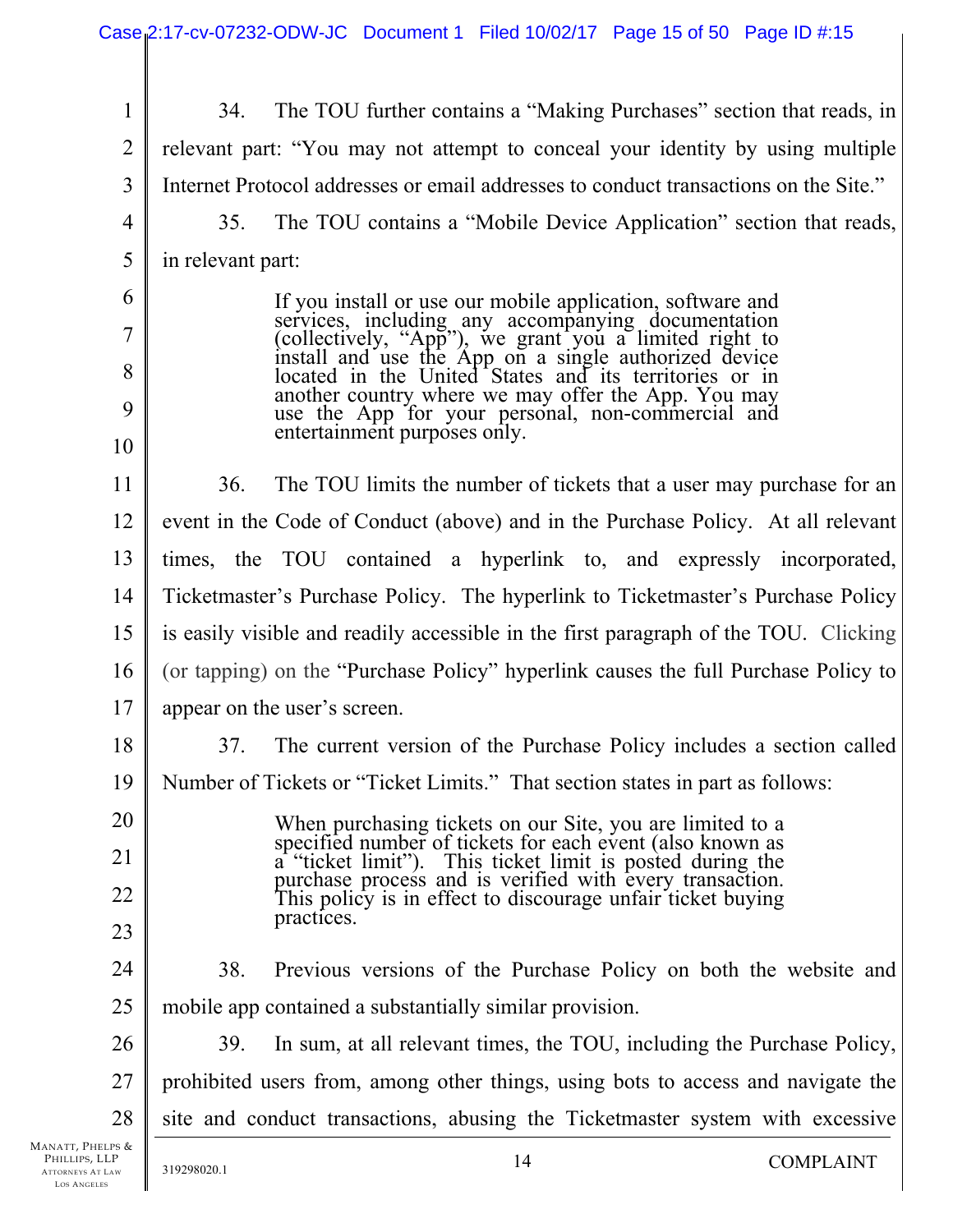| $\mathbf{1}$      | 34.                                                                                  | The TOU further contains a "Making Purchases" section that reads, in                                                                     |                  |
|-------------------|--------------------------------------------------------------------------------------|------------------------------------------------------------------------------------------------------------------------------------------|------------------|
| $\overline{2}$    |                                                                                      | relevant part: "You may not attempt to conceal your identity by using multiple                                                           |                  |
| 3                 | Internet Protocol addresses or email addresses to conduct transactions on the Site." |                                                                                                                                          |                  |
| $\overline{4}$    | 35.                                                                                  | The TOU contains a "Mobile Device Application" section that reads,                                                                       |                  |
| 5                 | in relevant part:                                                                    |                                                                                                                                          |                  |
| 6                 |                                                                                      | If you install or use our mobile application, software and                                                                               |                  |
| 7                 |                                                                                      | services, including any accompanying documentation (collectively, "App"), we grant you a limited right to                                |                  |
| 8                 |                                                                                      | install and use the App on a single authorized device<br>located in the United States and its territories or in                          |                  |
| 9                 |                                                                                      | another country where we may offer the App. You may<br>use the App for your personal, non-commercial and<br>entertainment purposes only. |                  |
| 10                |                                                                                      |                                                                                                                                          |                  |
| 11                | 36.                                                                                  | The TOU limits the number of tickets that a user may purchase for an                                                                     |                  |
| 12                |                                                                                      | event in the Code of Conduct (above) and in the Purchase Policy. At all relevant                                                         |                  |
| 13                |                                                                                      | times, the TOU contained a hyperlink to, and expressly incorporated,                                                                     |                  |
| 14                | Ticketmaster's Purchase Policy. The hyperlink to Ticketmaster's Purchase Policy      |                                                                                                                                          |                  |
| 15                | is easily visible and readily accessible in the first paragraph of the TOU. Clicking |                                                                                                                                          |                  |
| 16                | (or tapping) on the "Purchase Policy" hyperlink causes the full Purchase Policy to   |                                                                                                                                          |                  |
| 17                | appear on the user's screen.                                                         |                                                                                                                                          |                  |
| 18                | 37.                                                                                  | The current version of the Purchase Policy includes a section called                                                                     |                  |
| 19                |                                                                                      | Number of Tickets or "Ticket Limits." That section states in part as follows:                                                            |                  |
| 20                |                                                                                      | When purchasing tickets on our Site, you are limited to a                                                                                |                  |
| 21                |                                                                                      | specified number of tickets for each event (also known as a "ticket limit"). This ticket limit is posted during the                      |                  |
| 22                |                                                                                      | purchase process and is verified with every transaction.<br>This policy is in effect to discourage unfair ticket buying                  |                  |
| 23                |                                                                                      | practices.                                                                                                                               |                  |
| 24                | 38.                                                                                  | Previous versions of the Purchase Policy on both the website and                                                                         |                  |
| 25                |                                                                                      | mobile app contained a substantially similar provision.                                                                                  |                  |
| 26                | 39.                                                                                  | In sum, at all relevant times, the TOU, including the Purchase Policy,                                                                   |                  |
| 27                | prohibited users from, among other things, using bots to access and navigate the     |                                                                                                                                          |                  |
| 28                |                                                                                      | site and conduct transactions, abusing the Ticketmaster system with excessive                                                            |                  |
| .ps &<br>.p<br>AW | 319298020.1                                                                          | 14                                                                                                                                       | <b>COMPLAINT</b> |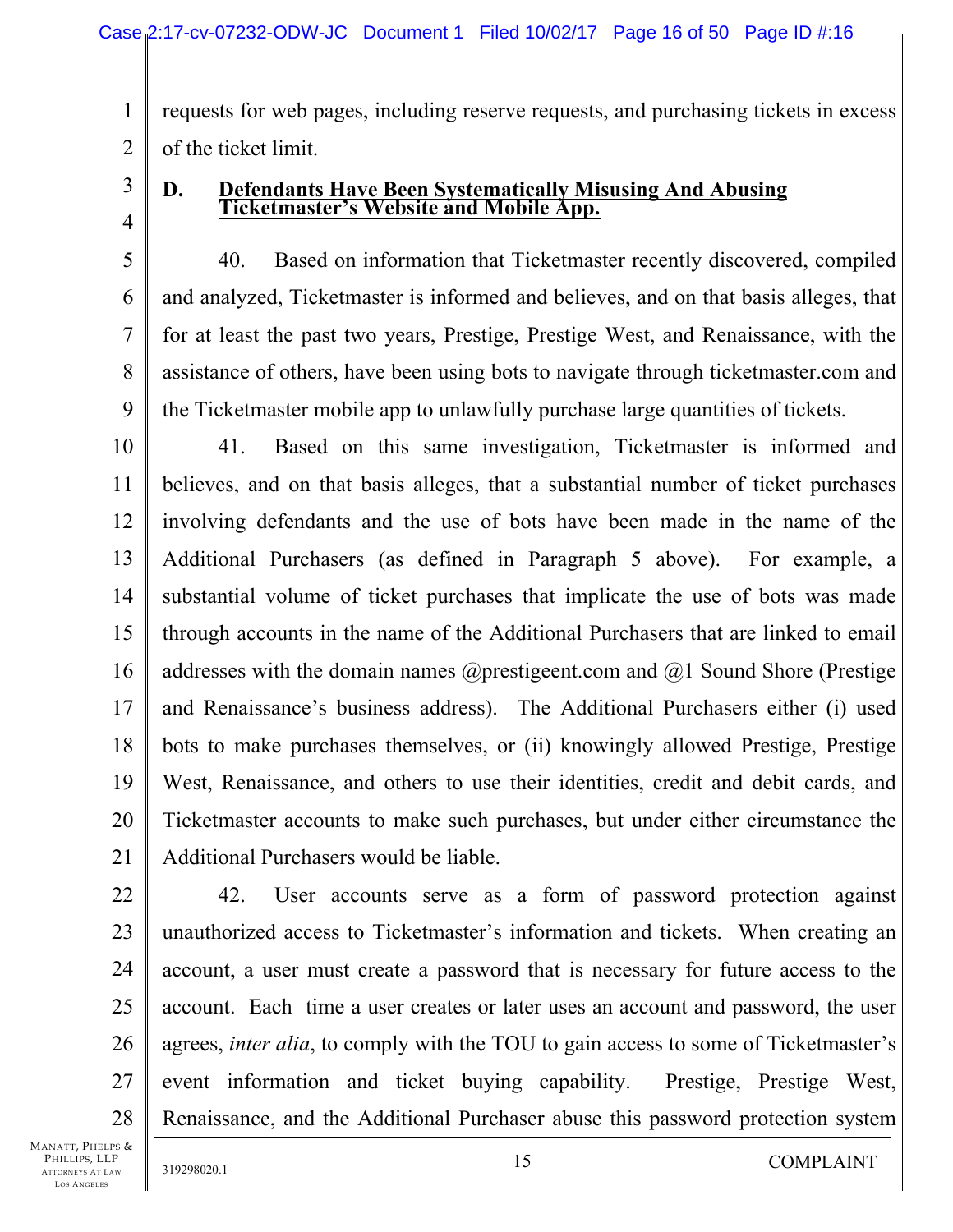1 2 requests for web pages, including reserve requests, and purchasing tickets in excess of the ticket limit.

3 4

5

6

7

8

9

# **D. Defendants Have Been Systematically Misusing And Abusing Ticketmaster's Website and Mobile App.**

40. Based on information that Ticketmaster recently discovered, compiled and analyzed, Ticketmaster is informed and believes, and on that basis alleges, that for at least the past two years, Prestige, Prestige West, and Renaissance, with the assistance of others, have been using bots to navigate through ticketmaster.com and the Ticketmaster mobile app to unlawfully purchase large quantities of tickets.

10 11 12 13 14 15 16 17 18 19 20 21 41. Based on this same investigation, Ticketmaster is informed and believes, and on that basis alleges, that a substantial number of ticket purchases involving defendants and the use of bots have been made in the name of the Additional Purchasers (as defined in Paragraph 5 above). For example, a substantial volume of ticket purchases that implicate the use of bots was made through accounts in the name of the Additional Purchasers that are linked to email addresses with the domain names  $@$  prestigeent.com and  $@$  Sound Shore (Prestige and Renaissance's business address). The Additional Purchasers either (i) used bots to make purchases themselves, or (ii) knowingly allowed Prestige, Prestige West, Renaissance, and others to use their identities, credit and debit cards, and Ticketmaster accounts to make such purchases, but under either circumstance the Additional Purchasers would be liable.

42. User accounts serve as a form of password protection against unauthorized access to Ticketmaster's information and tickets. When creating an account, a user must create a password that is necessary for future access to the account. Each time a user creates or later uses an account and password, the user agrees, *inter alia*, to comply with the TOU to gain access to some of Ticketmaster's event information and ticket buying capability. Prestige, Prestige West, Renaissance, and the Additional Purchaser abuse this password protection system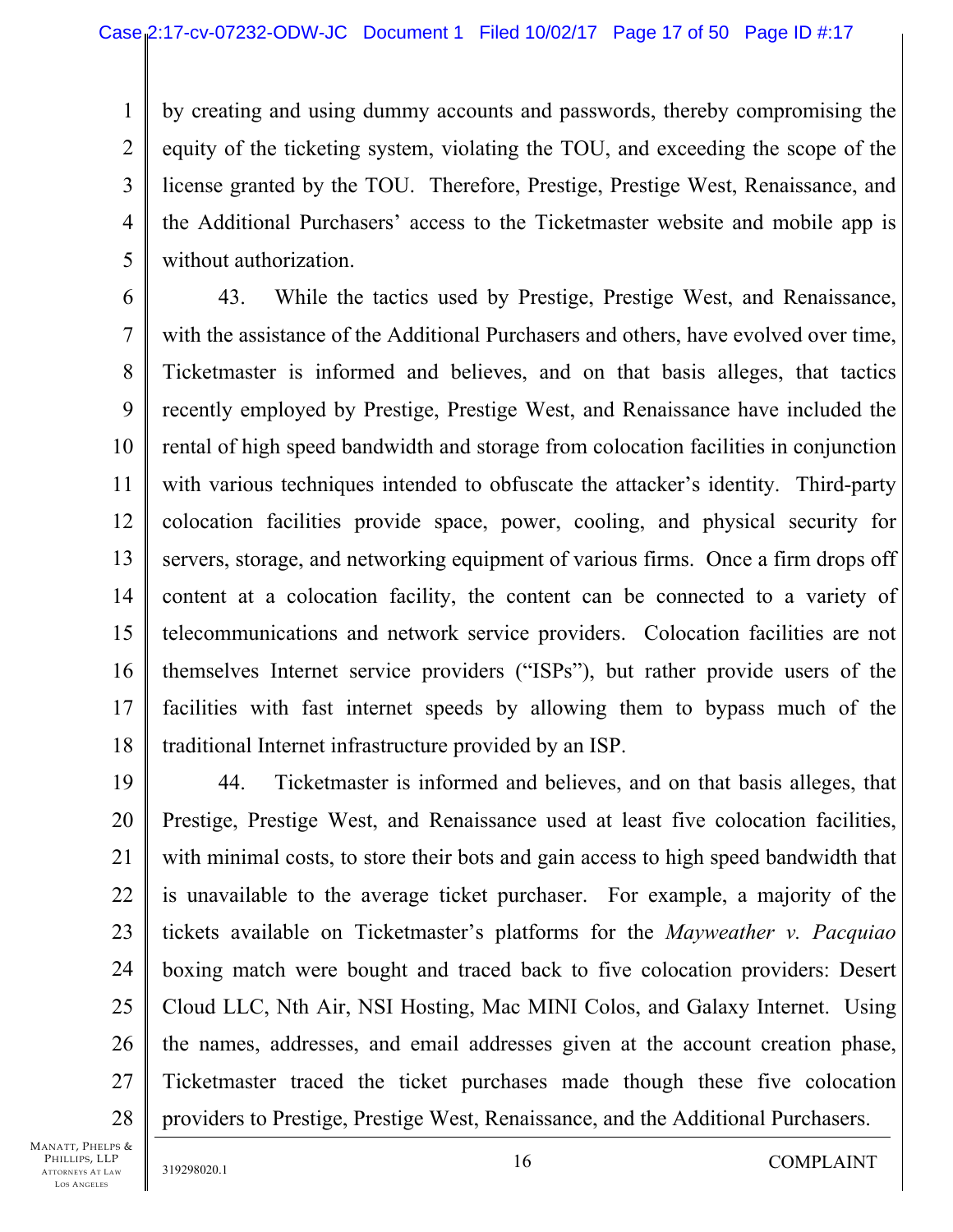1 2 3 4 5 by creating and using dummy accounts and passwords, thereby compromising the equity of the ticketing system, violating the TOU, and exceeding the scope of the license granted by the TOU. Therefore, Prestige, Prestige West, Renaissance, and the Additional Purchasers' access to the Ticketmaster website and mobile app is without authorization.

6 7 8 9 10 11 12 13 14 15 16 17 18 43. While the tactics used by Prestige, Prestige West, and Renaissance, with the assistance of the Additional Purchasers and others, have evolved over time, Ticketmaster is informed and believes, and on that basis alleges, that tactics recently employed by Prestige, Prestige West, and Renaissance have included the rental of high speed bandwidth and storage from colocation facilities in conjunction with various techniques intended to obfuscate the attacker's identity. Third-party colocation facilities provide space, power, cooling, and physical security for servers, storage, and networking equipment of various firms. Once a firm drops off content at a colocation facility, the content can be connected to a variety of telecommunications and network service providers. Colocation facilities are not themselves Internet service providers ("ISPs"), but rather provide users of the facilities with fast internet speeds by allowing them to bypass much of the traditional Internet infrastructure provided by an ISP.

44. Ticketmaster is informed and believes, and on that basis alleges, that Prestige, Prestige West, and Renaissance used at least five colocation facilities, with minimal costs, to store their bots and gain access to high speed bandwidth that is unavailable to the average ticket purchaser. For example, a majority of the tickets available on Ticketmaster's platforms for the *Mayweather v. Pacquiao* boxing match were bought and traced back to five colocation providers: Desert Cloud LLC, Nth Air, NSI Hosting, Mac MINI Colos, and Galaxy Internet. Using the names, addresses, and email addresses given at the account creation phase, Ticketmaster traced the ticket purchases made though these five colocation providers to Prestige, Prestige West, Renaissance, and the Additional Purchasers.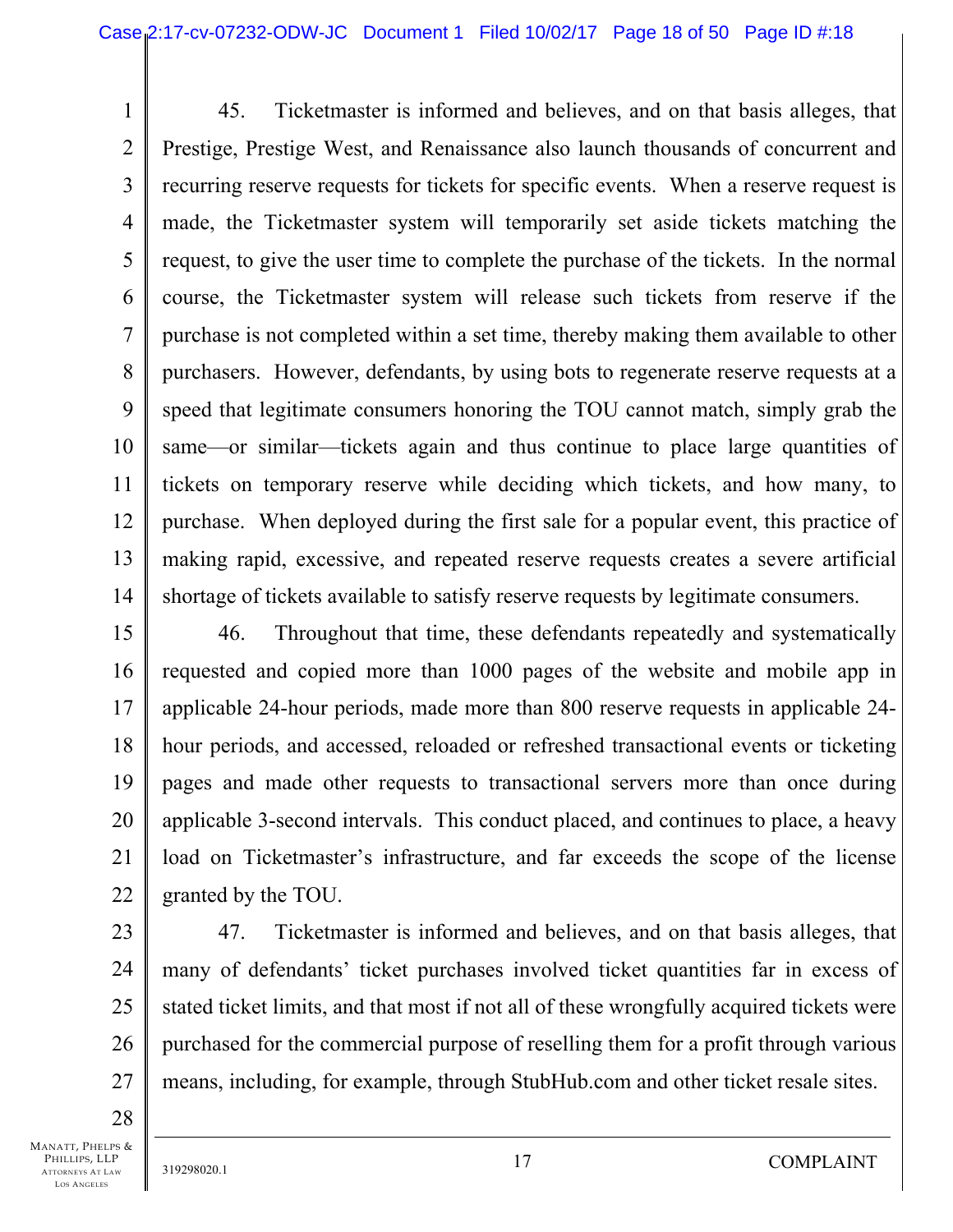1 2 3 4 5 6 7 8 9 10 11 12 13 14 45. Ticketmaster is informed and believes, and on that basis alleges, that Prestige, Prestige West, and Renaissance also launch thousands of concurrent and recurring reserve requests for tickets for specific events. When a reserve request is made, the Ticketmaster system will temporarily set aside tickets matching the request, to give the user time to complete the purchase of the tickets. In the normal course, the Ticketmaster system will release such tickets from reserve if the purchase is not completed within a set time, thereby making them available to other purchasers. However, defendants, by using bots to regenerate reserve requests at a speed that legitimate consumers honoring the TOU cannot match, simply grab the same—or similar—tickets again and thus continue to place large quantities of tickets on temporary reserve while deciding which tickets, and how many, to purchase. When deployed during the first sale for a popular event, this practice of making rapid, excessive, and repeated reserve requests creates a severe artificial shortage of tickets available to satisfy reserve requests by legitimate consumers.

15 16 17 18 19 20 21 22 46. Throughout that time, these defendants repeatedly and systematically requested and copied more than 1000 pages of the website and mobile app in applicable 24-hour periods, made more than 800 reserve requests in applicable 24 hour periods, and accessed, reloaded or refreshed transactional events or ticketing pages and made other requests to transactional servers more than once during applicable 3-second intervals. This conduct placed, and continues to place, a heavy load on Ticketmaster's infrastructure, and far exceeds the scope of the license granted by the TOU.

23 24 25 26 27 47. Ticketmaster is informed and believes, and on that basis alleges, that many of defendants' ticket purchases involved ticket quantities far in excess of stated ticket limits, and that most if not all of these wrongfully acquired tickets were purchased for the commercial purpose of reselling them for a profit through various means, including, for example, through StubHub.com and other ticket resale sites.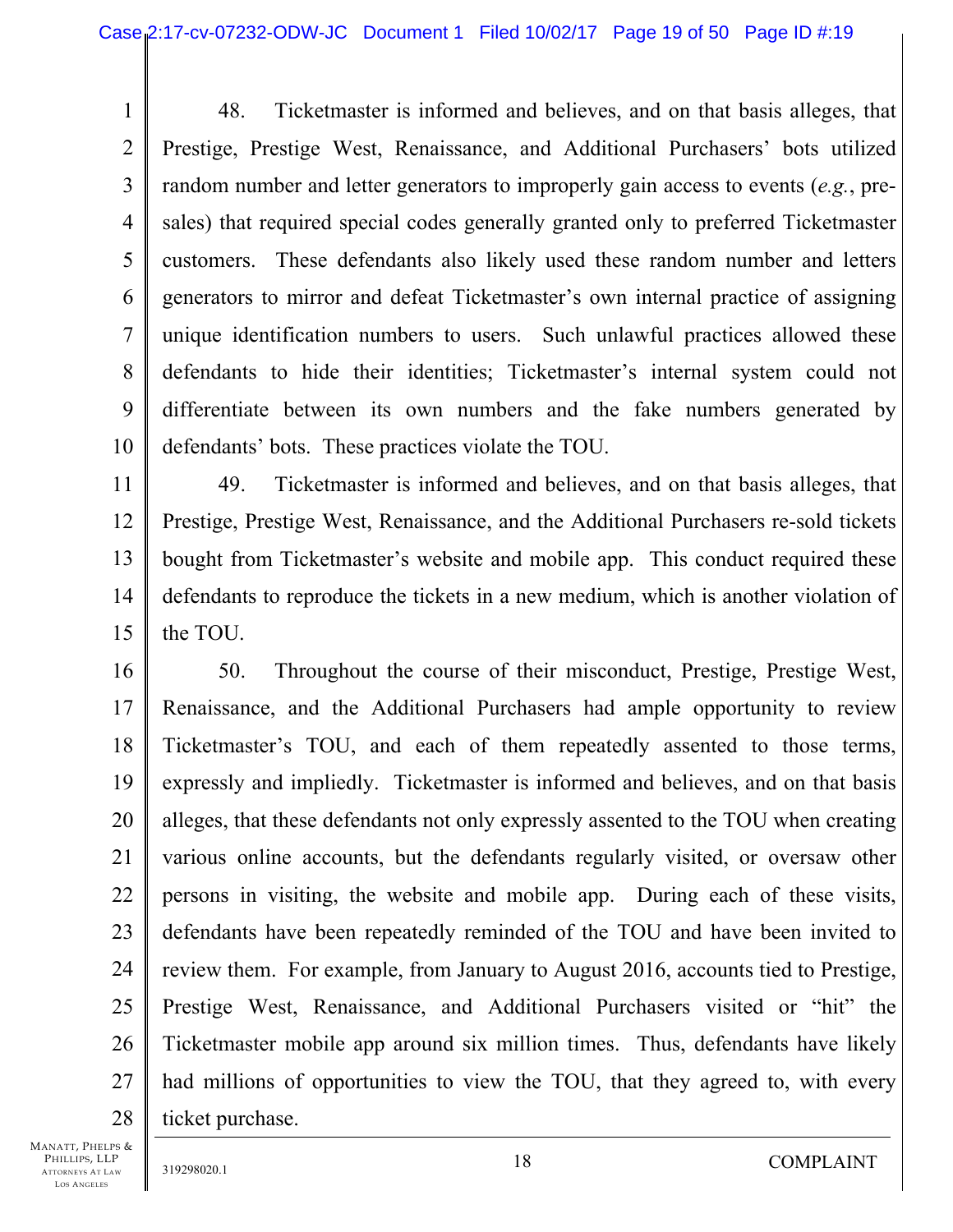1 2 3 4 5 6 7 8 9 10 48. Ticketmaster is informed and believes, and on that basis alleges, that Prestige, Prestige West, Renaissance, and Additional Purchasers' bots utilized random number and letter generators to improperly gain access to events (*e.g.*, presales) that required special codes generally granted only to preferred Ticketmaster customers. These defendants also likely used these random number and letters generators to mirror and defeat Ticketmaster's own internal practice of assigning unique identification numbers to users. Such unlawful practices allowed these defendants to hide their identities; Ticketmaster's internal system could not differentiate between its own numbers and the fake numbers generated by defendants' bots. These practices violate the TOU.

11 12 13 14 15 49. Ticketmaster is informed and believes, and on that basis alleges, that Prestige, Prestige West, Renaissance, and the Additional Purchasers re-sold tickets bought from Ticketmaster's website and mobile app. This conduct required these defendants to reproduce the tickets in a new medium, which is another violation of the TOU.

16 17 18 19 20 21 22 23 24 25 26 27 28 50. Throughout the course of their misconduct, Prestige, Prestige West, Renaissance, and the Additional Purchasers had ample opportunity to review Ticketmaster's TOU, and each of them repeatedly assented to those terms, expressly and impliedly. Ticketmaster is informed and believes, and on that basis alleges, that these defendants not only expressly assented to the TOU when creating various online accounts, but the defendants regularly visited, or oversaw other persons in visiting, the website and mobile app. During each of these visits, defendants have been repeatedly reminded of the TOU and have been invited to review them. For example, from January to August 2016, accounts tied to Prestige, Prestige West, Renaissance, and Additional Purchasers visited or "hit" the Ticketmaster mobile app around six million times. Thus, defendants have likely had millions of opportunities to view the TOU, that they agreed to, with every ticket purchase.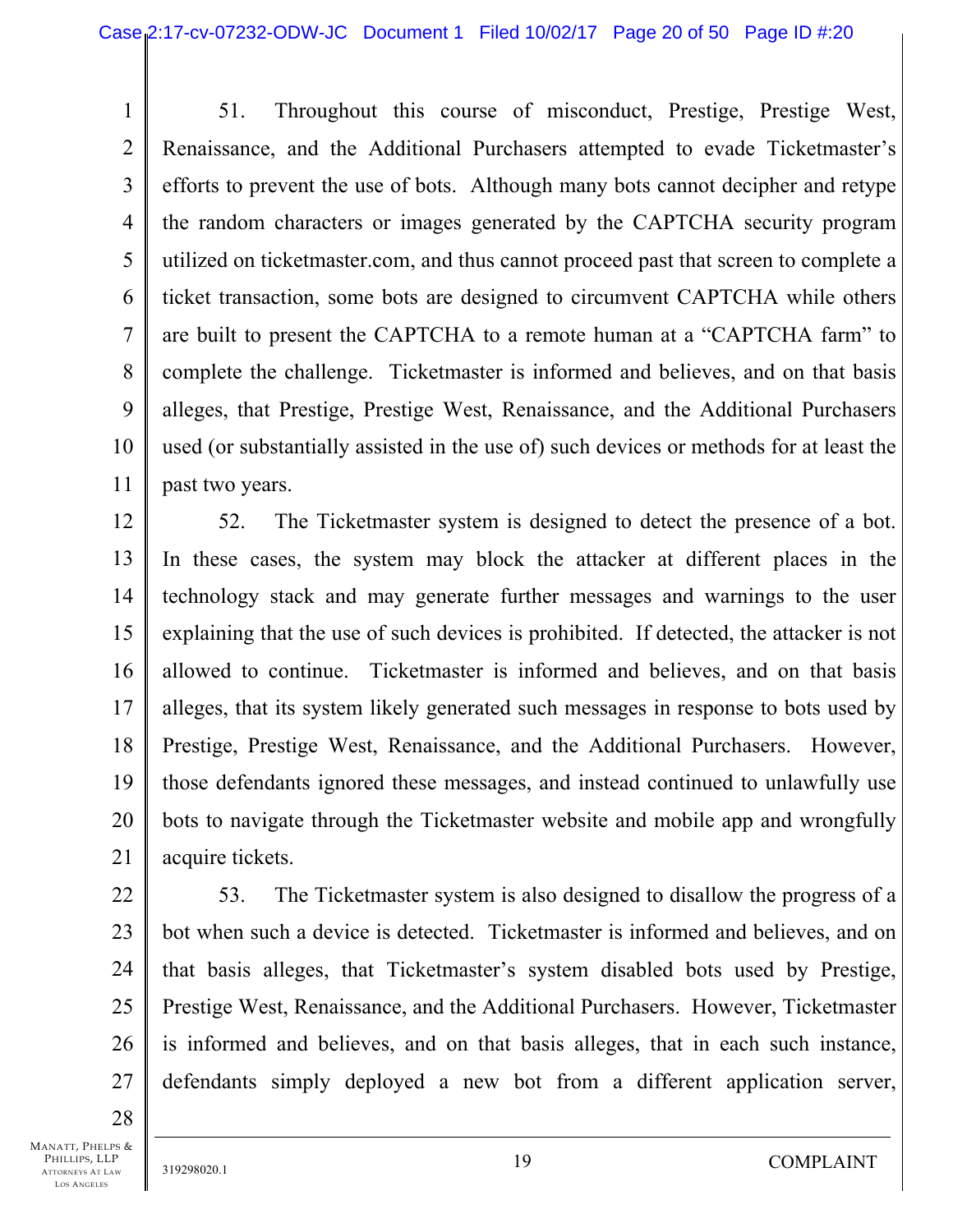1 2 3 4 5 6 7 8 9 10 11 51. Throughout this course of misconduct, Prestige, Prestige West, Renaissance, and the Additional Purchasers attempted to evade Ticketmaster's efforts to prevent the use of bots. Although many bots cannot decipher and retype the random characters or images generated by the CAPTCHA security program utilized on ticketmaster.com, and thus cannot proceed past that screen to complete a ticket transaction, some bots are designed to circumvent CAPTCHA while others are built to present the CAPTCHA to a remote human at a "CAPTCHA farm" to complete the challenge. Ticketmaster is informed and believes, and on that basis alleges, that Prestige, Prestige West, Renaissance, and the Additional Purchasers used (or substantially assisted in the use of) such devices or methods for at least the past two years.

12 13 14 15 16 17 18 19 20 21 52. The Ticketmaster system is designed to detect the presence of a bot. In these cases, the system may block the attacker at different places in the technology stack and may generate further messages and warnings to the user explaining that the use of such devices is prohibited. If detected, the attacker is not allowed to continue. Ticketmaster is informed and believes, and on that basis alleges, that its system likely generated such messages in response to bots used by Prestige, Prestige West, Renaissance, and the Additional Purchasers. However, those defendants ignored these messages, and instead continued to unlawfully use bots to navigate through the Ticketmaster website and mobile app and wrongfully acquire tickets.

27 53. The Ticketmaster system is also designed to disallow the progress of a bot when such a device is detected. Ticketmaster is informed and believes, and on that basis alleges, that Ticketmaster's system disabled bots used by Prestige, Prestige West, Renaissance, and the Additional Purchasers. However, Ticketmaster is informed and believes, and on that basis alleges, that in each such instance, defendants simply deployed a new bot from a different application server,

28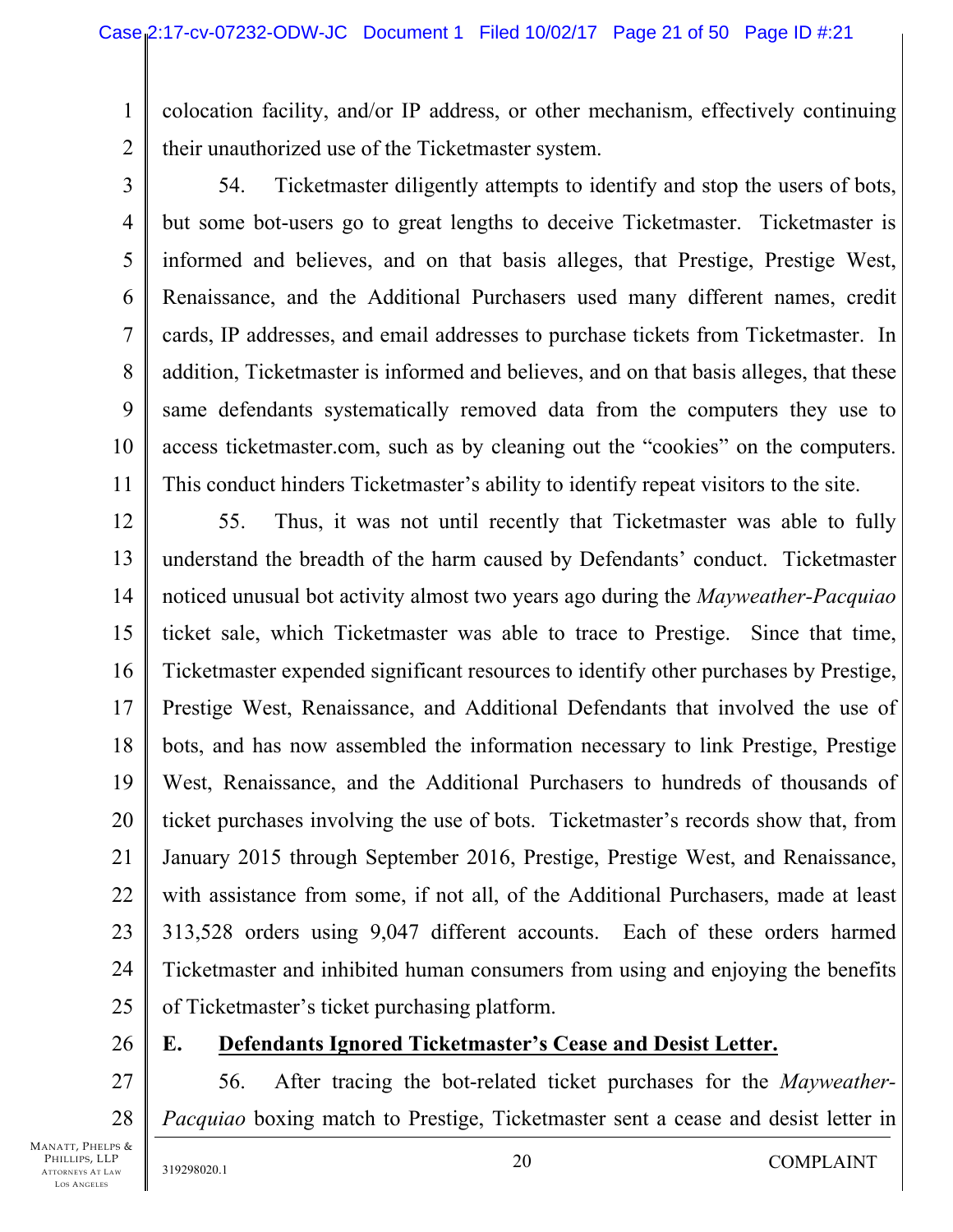1 2 colocation facility, and/or IP address, or other mechanism, effectively continuing their unauthorized use of the Ticketmaster system.

3

4

5

6

7

8

9

11

10 54. Ticketmaster diligently attempts to identify and stop the users of bots, but some bot-users go to great lengths to deceive Ticketmaster. Ticketmaster is informed and believes, and on that basis alleges, that Prestige, Prestige West, Renaissance, and the Additional Purchasers used many different names, credit cards, IP addresses, and email addresses to purchase tickets from Ticketmaster. In addition, Ticketmaster is informed and believes, and on that basis alleges, that these same defendants systematically removed data from the computers they use to access ticketmaster.com, such as by cleaning out the "cookies" on the computers. This conduct hinders Ticketmaster's ability to identify repeat visitors to the site.

12 13 14 15 16 17 18 19 20 21 22 23 24 25 55. Thus, it was not until recently that Ticketmaster was able to fully understand the breadth of the harm caused by Defendants' conduct. Ticketmaster noticed unusual bot activity almost two years ago during the *Mayweather-Pacquiao* ticket sale, which Ticketmaster was able to trace to Prestige. Since that time, Ticketmaster expended significant resources to identify other purchases by Prestige, Prestige West, Renaissance, and Additional Defendants that involved the use of bots, and has now assembled the information necessary to link Prestige, Prestige West, Renaissance, and the Additional Purchasers to hundreds of thousands of ticket purchases involving the use of bots. Ticketmaster's records show that, from January 2015 through September 2016, Prestige, Prestige West, and Renaissance, with assistance from some, if not all, of the Additional Purchasers, made at least 313,528 orders using 9,047 different accounts. Each of these orders harmed Ticketmaster and inhibited human consumers from using and enjoying the benefits of Ticketmaster's ticket purchasing platform.

26

# **E. Defendants Ignored Ticketmaster's Cease and Desist Letter.**

27 28 56. After tracing the bot-related ticket purchases for the *Mayweather-Pacquiao* boxing match to Prestige, Ticketmaster sent a cease and desist letter in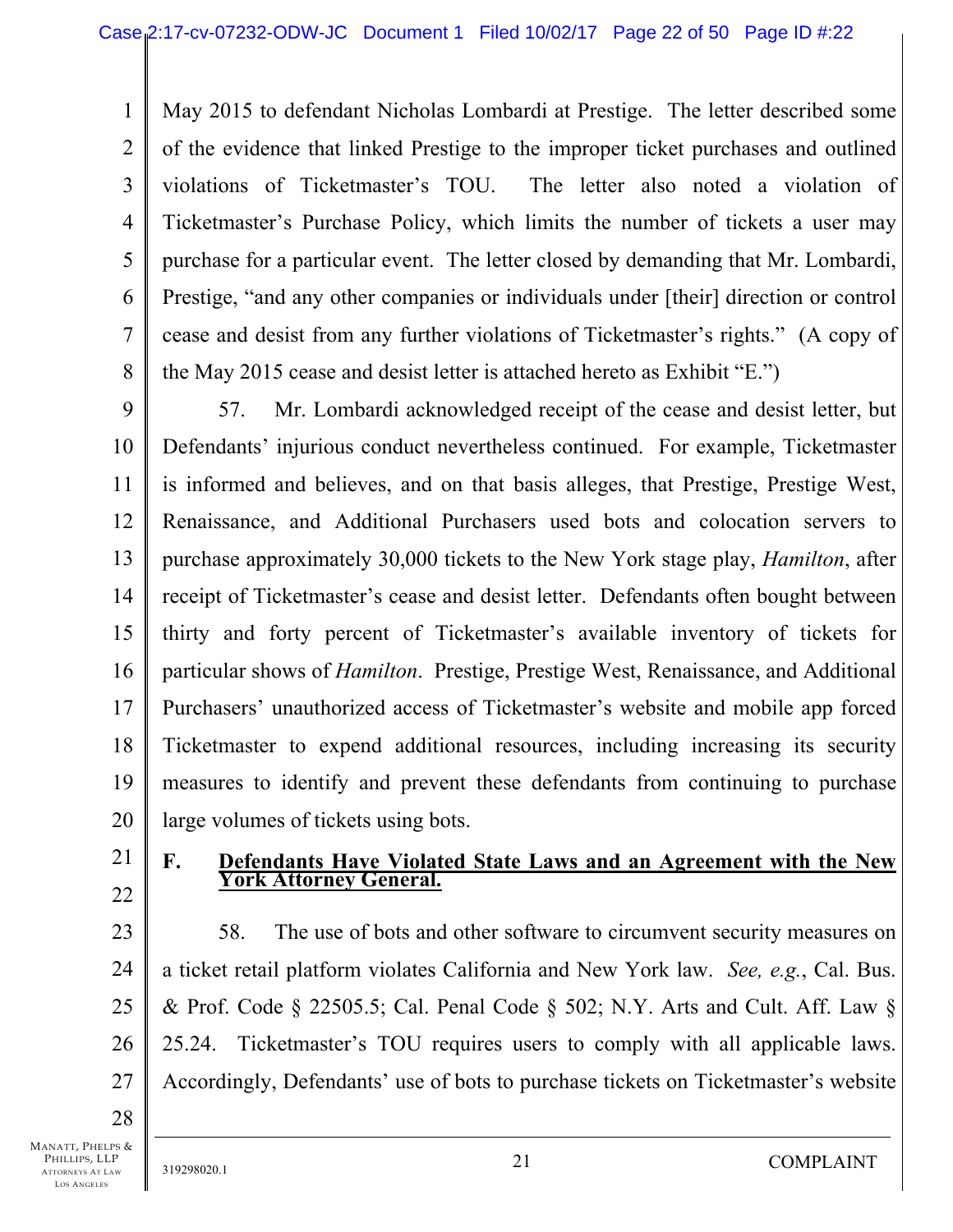1 2 3 4 5 6 7 8 May 2015 to defendant Nicholas Lombardi at Prestige. The letter described some of the evidence that linked Prestige to the improper ticket purchases and outlined violations of Ticketmaster's TOU. The letter also noted a violation of Ticketmaster's Purchase Policy, which limits the number of tickets a user may purchase for a particular event. The letter closed by demanding that Mr. Lombardi, Prestige, "and any other companies or individuals under [their] direction or control cease and desist from any further violations of Ticketmaster's rights." (A copy of the May 2015 cease and desist letter is attached hereto as Exhibit "E.")

9 10 11 12 13 14 15 16 17 18 19 20 57. Mr. Lombardi acknowledged receipt of the cease and desist letter, but Defendants' injurious conduct nevertheless continued. For example, Ticketmaster is informed and believes, and on that basis alleges, that Prestige, Prestige West, Renaissance, and Additional Purchasers used bots and colocation servers to purchase approximately 30,000 tickets to the New York stage play, *Hamilton*, after receipt of Ticketmaster's cease and desist letter. Defendants often bought between thirty and forty percent of Ticketmaster's available inventory of tickets for particular shows of *Hamilton*. Prestige, Prestige West, Renaissance, and Additional Purchasers' unauthorized access of Ticketmaster's website and mobile app forced Ticketmaster to expend additional resources, including increasing its security measures to identify and prevent these defendants from continuing to purchase large volumes of tickets using bots.

21 22

#### **F. Defendants Have Violated State Laws and an Agreement with the New York Attorney General.**

23 24 25 26 27 58. The use of bots and other software to circumvent security measures on a ticket retail platform violates California and New York law. *See, e.g.*, Cal. Bus. & Prof. Code § 22505.5; Cal. Penal Code § 502; N.Y. Arts and Cult. Aff. Law § 25.24. Ticketmaster's TOU requires users to comply with all applicable laws. Accordingly, Defendants' use of bots to purchase tickets on Ticketmaster's website

28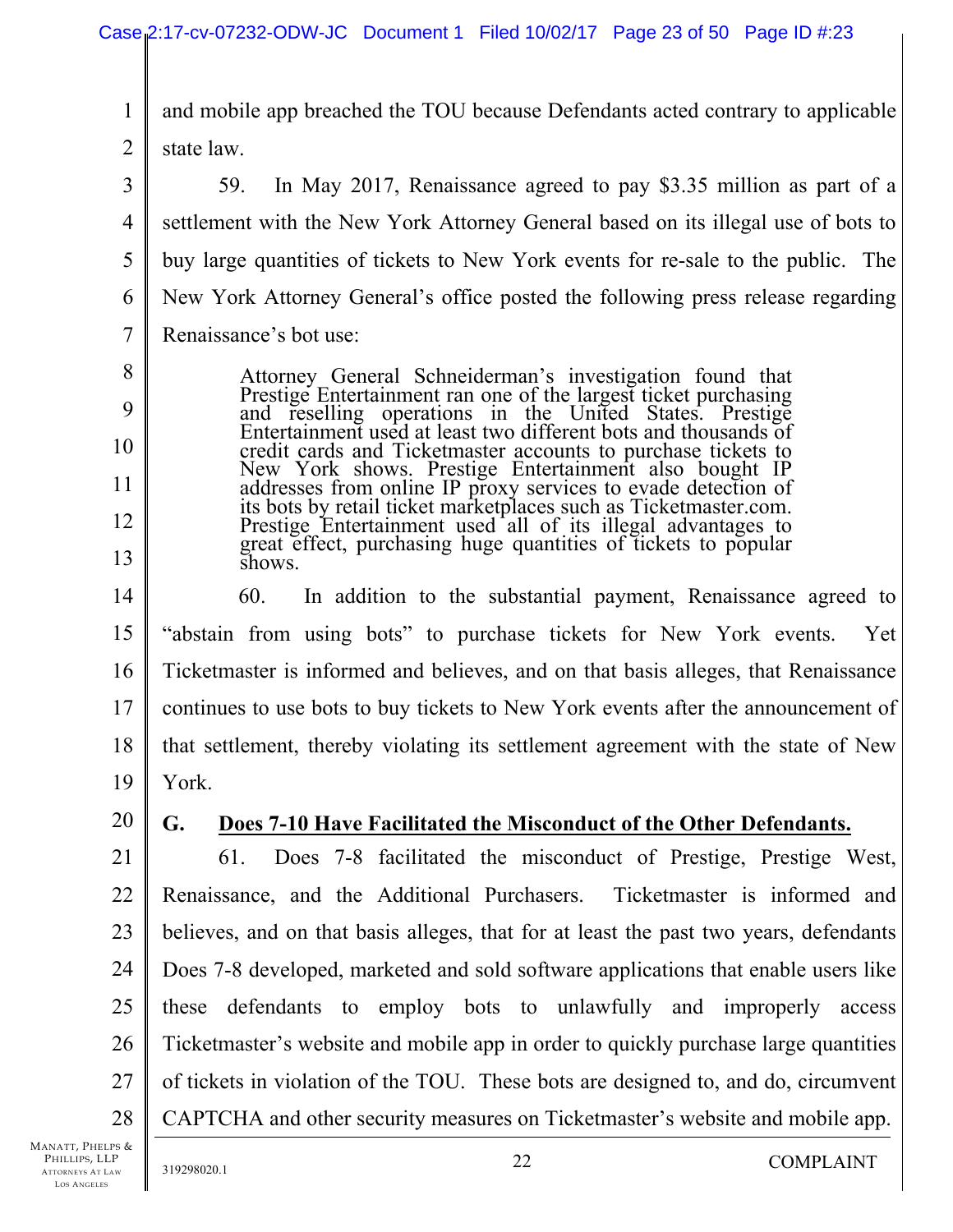1 2 and mobile app breached the TOU because Defendants acted contrary to applicable state law.

- 3 4 5 6 7 8 9 10 11 12 13 14 15 16 17 18 19 20 21 22 59. In May 2017, Renaissance agreed to pay \$3.35 million as part of a settlement with the New York Attorney General based on its illegal use of bots to buy large quantities of tickets to New York events for re-sale to the public. The New York Attorney General's office posted the following press release regarding Renaissance's bot use: Attorney General Schneiderman's investigation found that Prestige Entertainment ran one of the largest ticket purchasing and reselling operations in the United States. Prestige Entertainment used at least two different bots and thousands of credit cards and Ticketmaster accounts to purchase tickets to New York shows. Prestige Entertainment also bought IP addresses from online IP proxy services to evade detection of its bots by retail ticket marketplaces such as Ticketmaster.com. Prestige Entertainment used all of its illegal advantages to great effect, purchasing huge quantities of tickets to popular shows. 60. In addition to the substantial payment, Renaissance agreed to "abstain from using bots" to purchase tickets for New York events. Yet Ticketmaster is informed and believes, and on that basis alleges, that Renaissance continues to use bots to buy tickets to New York events after the announcement of that settlement, thereby violating its settlement agreement with the state of New York. **G. Does 7-10 Have Facilitated the Misconduct of the Other Defendants.**  61. Does 7-8 facilitated the misconduct of Prestige, Prestige West, Renaissance, and the Additional Purchasers. Ticketmaster is informed and
- 23 24 25 26 27 28 believes, and on that basis alleges, that for at least the past two years, defendants Does 7-8 developed, marketed and sold software applications that enable users like these defendants to employ bots to unlawfully and improperly access Ticketmaster's website and mobile app in order to quickly purchase large quantities of tickets in violation of the TOU. These bots are designed to, and do, circumvent CAPTCHA and other security measures on Ticketmaster's website and mobile app.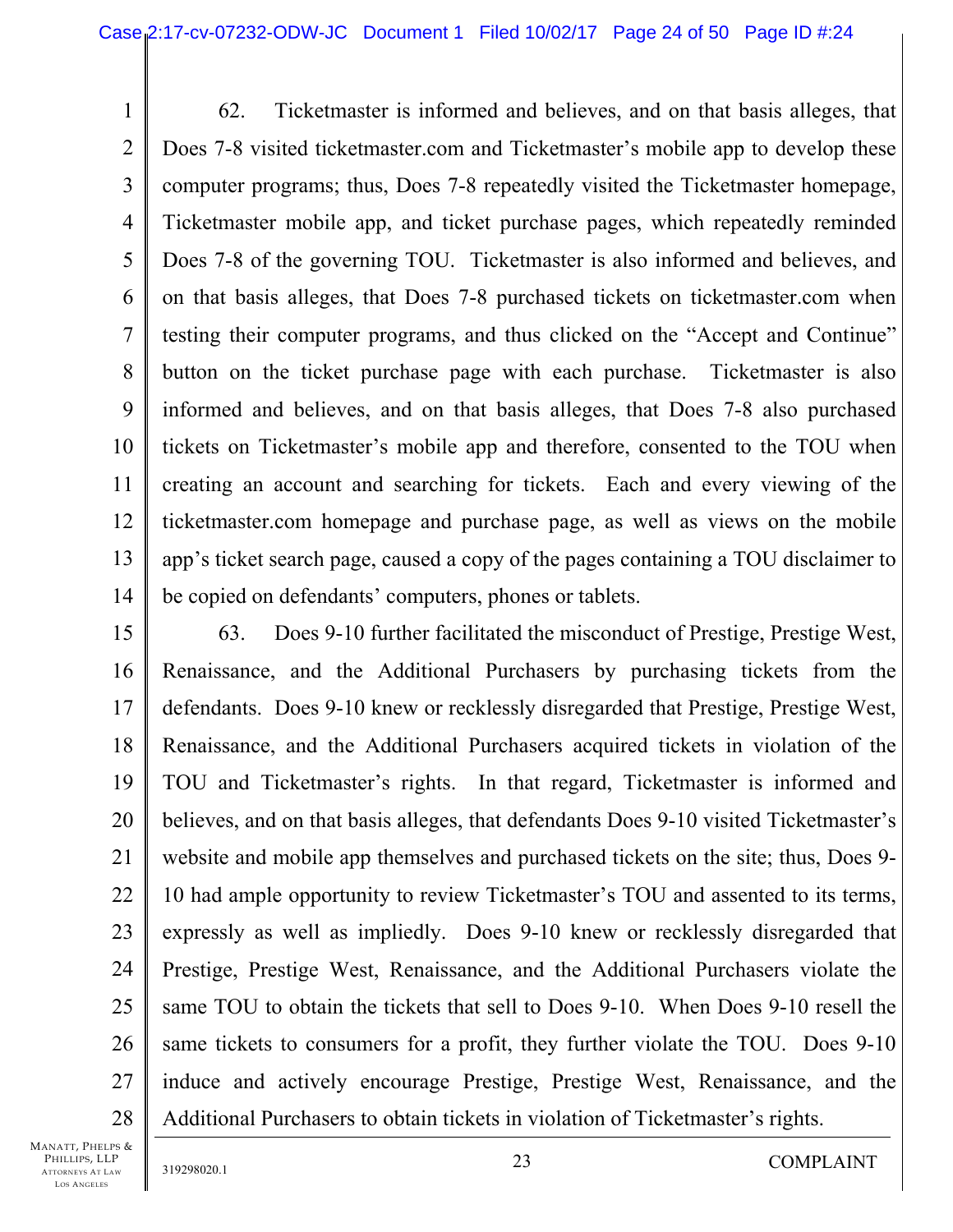1 2 3 4 5 6 7 8 9 10 11 12 13 14 62. Ticketmaster is informed and believes, and on that basis alleges, that Does 7-8 visited ticketmaster.com and Ticketmaster's mobile app to develop these computer programs; thus, Does 7-8 repeatedly visited the Ticketmaster homepage, Ticketmaster mobile app, and ticket purchase pages, which repeatedly reminded Does 7-8 of the governing TOU. Ticketmaster is also informed and believes, and on that basis alleges, that Does 7-8 purchased tickets on ticketmaster.com when testing their computer programs, and thus clicked on the "Accept and Continue" button on the ticket purchase page with each purchase. Ticketmaster is also informed and believes, and on that basis alleges, that Does 7-8 also purchased tickets on Ticketmaster's mobile app and therefore, consented to the TOU when creating an account and searching for tickets. Each and every viewing of the ticketmaster.com homepage and purchase page, as well as views on the mobile app's ticket search page, caused a copy of the pages containing a TOU disclaimer to be copied on defendants' computers, phones or tablets.

15 16 17 18 19 20 21 22 23 24 25 26 27 28 63. Does 9-10 further facilitated the misconduct of Prestige, Prestige West, Renaissance, and the Additional Purchasers by purchasing tickets from the defendants. Does 9-10 knew or recklessly disregarded that Prestige, Prestige West, Renaissance, and the Additional Purchasers acquired tickets in violation of the TOU and Ticketmaster's rights. In that regard, Ticketmaster is informed and believes, and on that basis alleges, that defendants Does 9-10 visited Ticketmaster's website and mobile app themselves and purchased tickets on the site; thus, Does 9- 10 had ample opportunity to review Ticketmaster's TOU and assented to its terms, expressly as well as impliedly. Does 9-10 knew or recklessly disregarded that Prestige, Prestige West, Renaissance, and the Additional Purchasers violate the same TOU to obtain the tickets that sell to Does 9-10. When Does 9-10 resell the same tickets to consumers for a profit, they further violate the TOU. Does 9-10 induce and actively encourage Prestige, Prestige West, Renaissance, and the Additional Purchasers to obtain tickets in violation of Ticketmaster's rights.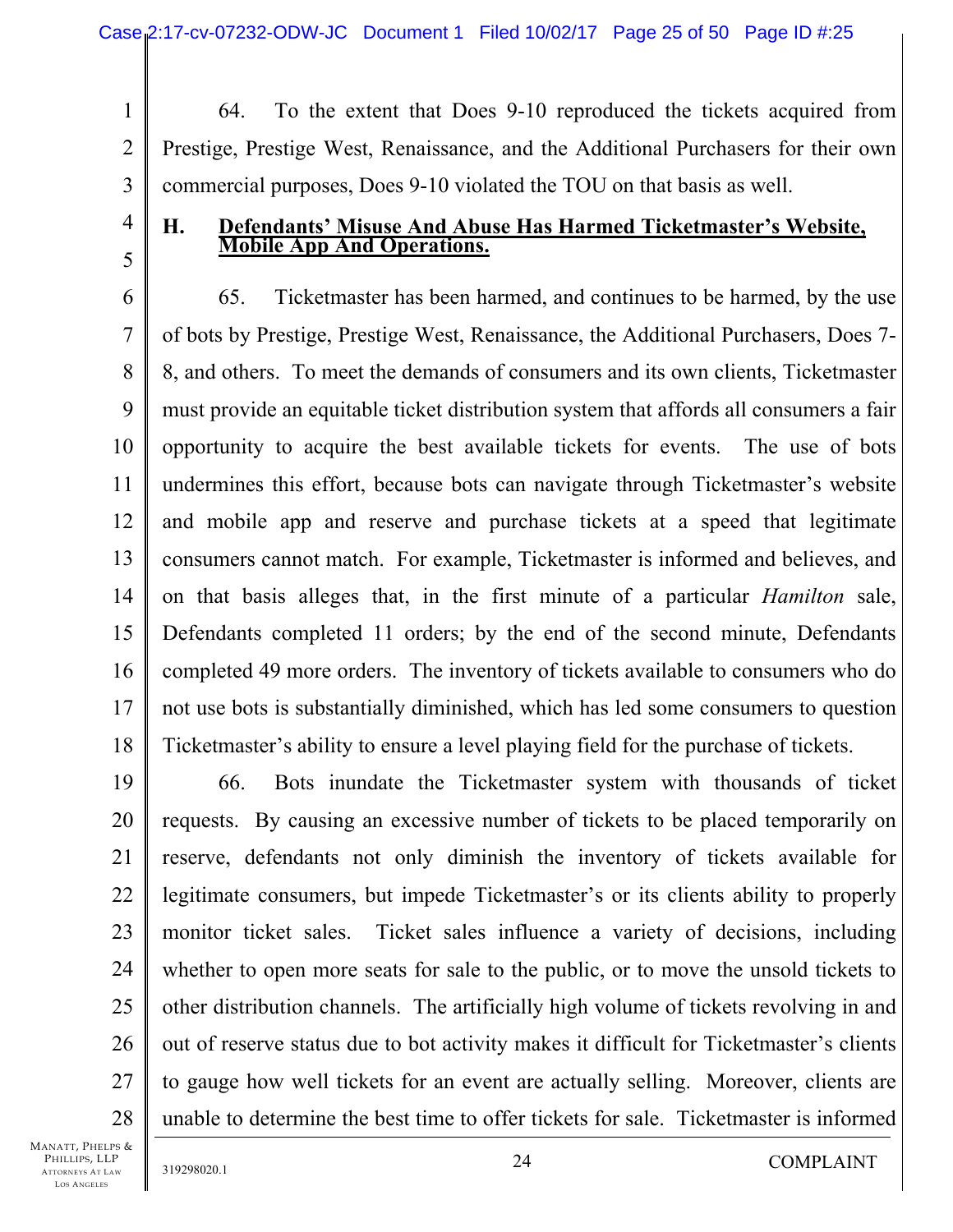1 2 3 64. To the extent that Does 9-10 reproduced the tickets acquired from Prestige, Prestige West, Renaissance, and the Additional Purchasers for their own commercial purposes, Does 9-10 violated the TOU on that basis as well.

**H. Defendants' Misuse And Abuse Has Harmed Ticketmaster's Website, Mobile App And Operations.** 

6 7 8 9 10 11 12 13 14 15 16 17 18 65. Ticketmaster has been harmed, and continues to be harmed, by the use of bots by Prestige, Prestige West, Renaissance, the Additional Purchasers, Does 7- 8, and others. To meet the demands of consumers and its own clients, Ticketmaster must provide an equitable ticket distribution system that affords all consumers a fair opportunity to acquire the best available tickets for events. The use of bots undermines this effort, because bots can navigate through Ticketmaster's website and mobile app and reserve and purchase tickets at a speed that legitimate consumers cannot match. For example, Ticketmaster is informed and believes, and on that basis alleges that, in the first minute of a particular *Hamilton* sale, Defendants completed 11 orders; by the end of the second minute, Defendants completed 49 more orders. The inventory of tickets available to consumers who do not use bots is substantially diminished, which has led some consumers to question Ticketmaster's ability to ensure a level playing field for the purchase of tickets.

19 20 21 22 23 24 25 26 27 28 66. Bots inundate the Ticketmaster system with thousands of ticket requests. By causing an excessive number of tickets to be placed temporarily on reserve, defendants not only diminish the inventory of tickets available for legitimate consumers, but impede Ticketmaster's or its clients ability to properly monitor ticket sales. Ticket sales influence a variety of decisions, including whether to open more seats for sale to the public, or to move the unsold tickets to other distribution channels. The artificially high volume of tickets revolving in and out of reserve status due to bot activity makes it difficult for Ticketmaster's clients to gauge how well tickets for an event are actually selling. Moreover, clients are unable to determine the best time to offer tickets for sale. Ticketmaster is informed

MANATT, PHELPS & PHILLIPS, LLP ATTORNEYS AT LAW LOS ANGELES

4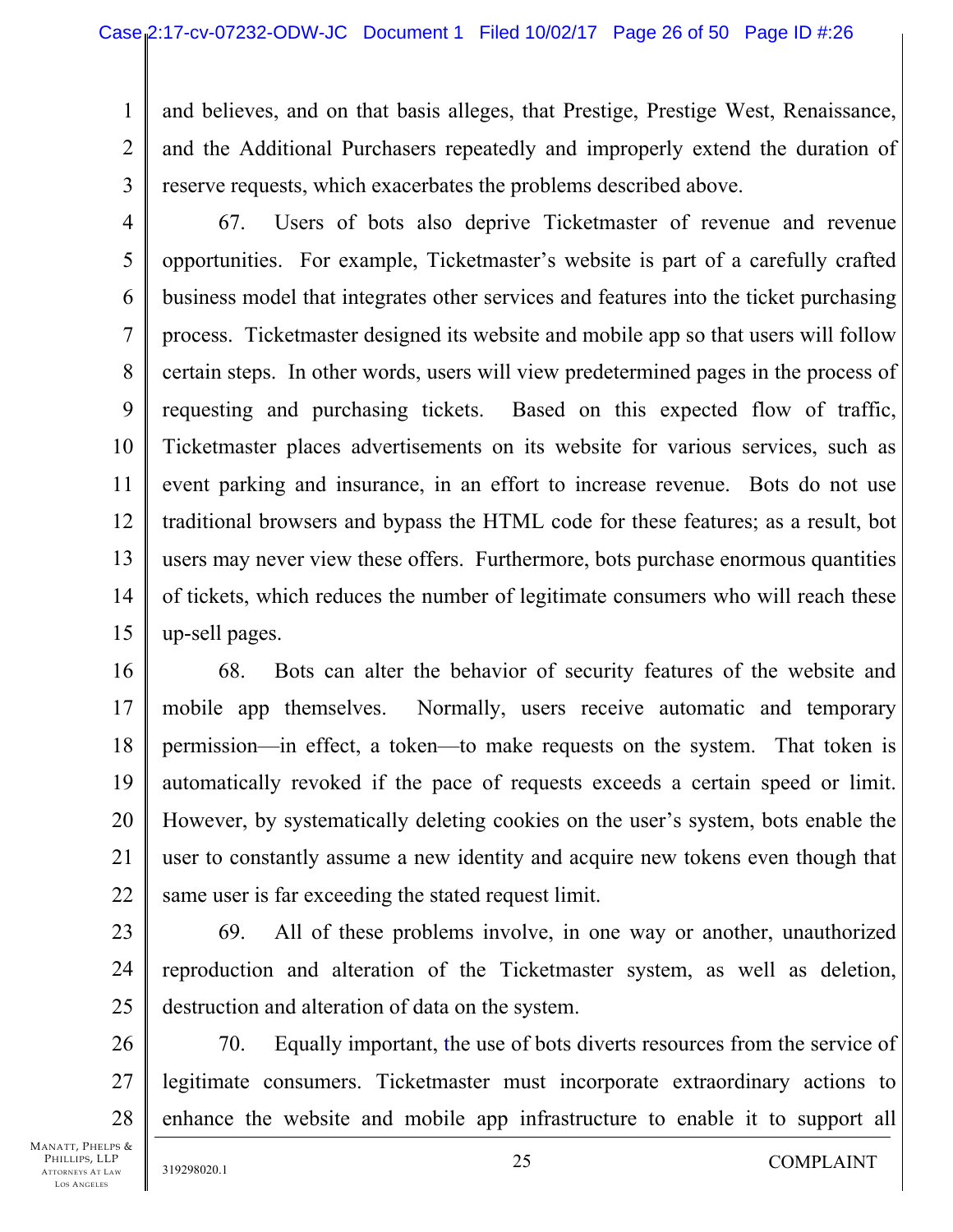1 2 3 and believes, and on that basis alleges, that Prestige, Prestige West, Renaissance, and the Additional Purchasers repeatedly and improperly extend the duration of reserve requests, which exacerbates the problems described above.

- 4 5 6 7 8 9 10 11 12 13 14 15 67. Users of bots also deprive Ticketmaster of revenue and revenue opportunities. For example, Ticketmaster's website is part of a carefully crafted business model that integrates other services and features into the ticket purchasing process. Ticketmaster designed its website and mobile app so that users will follow certain steps. In other words, users will view predetermined pages in the process of requesting and purchasing tickets. Based on this expected flow of traffic, Ticketmaster places advertisements on its website for various services, such as event parking and insurance, in an effort to increase revenue. Bots do not use traditional browsers and bypass the HTML code for these features; as a result, bot users may never view these offers. Furthermore, bots purchase enormous quantities of tickets, which reduces the number of legitimate consumers who will reach these up-sell pages.
- 16 17 18 19 20 21 22 68. Bots can alter the behavior of security features of the website and mobile app themselves. Normally, users receive automatic and temporary permission—in effect, a token—to make requests on the system. That token is automatically revoked if the pace of requests exceeds a certain speed or limit. However, by systematically deleting cookies on the user's system, bots enable the user to constantly assume a new identity and acquire new tokens even though that same user is far exceeding the stated request limit.
- 23 24 25 69. All of these problems involve, in one way or another, unauthorized reproduction and alteration of the Ticketmaster system, as well as deletion, destruction and alteration of data on the system.
- 26 27 28 70. Equally important, the use of bots diverts resources from the service of legitimate consumers. Ticketmaster must incorporate extraordinary actions to enhance the website and mobile app infrastructure to enable it to support all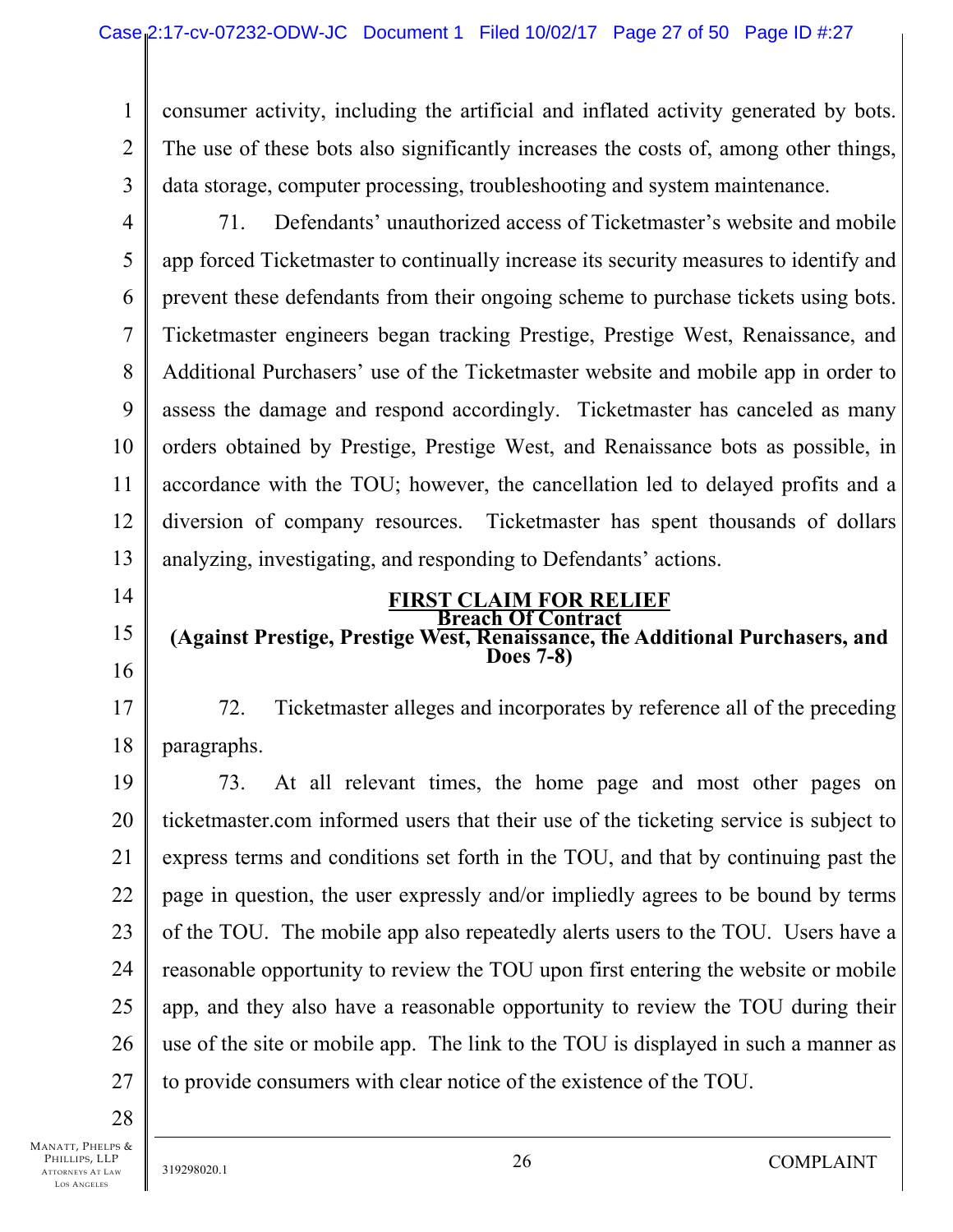1 2 3 consumer activity, including the artificial and inflated activity generated by bots. The use of these bots also significantly increases the costs of, among other things, data storage, computer processing, troubleshooting and system maintenance.

4

5 6 7 8 9 10 11 12 13 71. Defendants' unauthorized access of Ticketmaster's website and mobile app forced Ticketmaster to continually increase its security measures to identify and prevent these defendants from their ongoing scheme to purchase tickets using bots. Ticketmaster engineers began tracking Prestige, Prestige West, Renaissance, and Additional Purchasers' use of the Ticketmaster website and mobile app in order to assess the damage and respond accordingly. Ticketmaster has canceled as many orders obtained by Prestige, Prestige West, and Renaissance bots as possible, in accordance with the TOU; however, the cancellation led to delayed profits and a diversion of company resources. Ticketmaster has spent thousands of dollars analyzing, investigating, and responding to Defendants' actions.

14

15

16

17

18

#### **FIRST CLAIM FOR RELIEF Breach Of Contract**

#### **(Against Prestige, Prestige West, Renaissance, the Additional Purchasers, and Does 7-8)**

72. Ticketmaster alleges and incorporates by reference all of the preceding paragraphs.

19 20 21 22 23 24 25 26 27 73. At all relevant times, the home page and most other pages on ticketmaster.com informed users that their use of the ticketing service is subject to express terms and conditions set forth in the TOU, and that by continuing past the page in question, the user expressly and/or impliedly agrees to be bound by terms of the TOU. The mobile app also repeatedly alerts users to the TOU. Users have a reasonable opportunity to review the TOU upon first entering the website or mobile app, and they also have a reasonable opportunity to review the TOU during their use of the site or mobile app. The link to the TOU is displayed in such a manner as to provide consumers with clear notice of the existence of the TOU.

28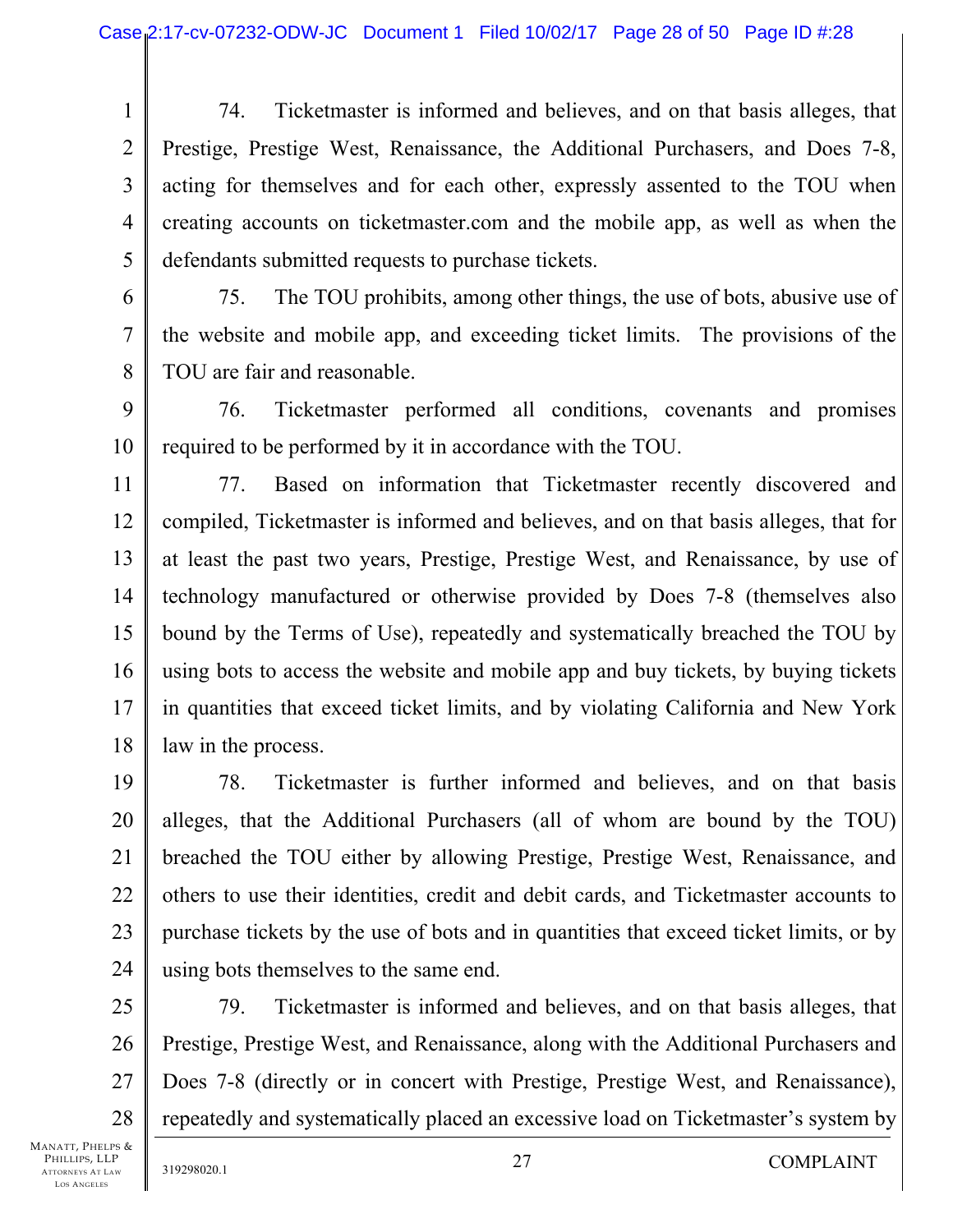1 2 3 4 5 74. Ticketmaster is informed and believes, and on that basis alleges, that Prestige, Prestige West, Renaissance, the Additional Purchasers, and Does 7-8, acting for themselves and for each other, expressly assented to the TOU when creating accounts on ticketmaster.com and the mobile app, as well as when the defendants submitted requests to purchase tickets.

6 7 8 75. The TOU prohibits, among other things, the use of bots, abusive use of the website and mobile app, and exceeding ticket limits. The provisions of the TOU are fair and reasonable.

9 10 76. Ticketmaster performed all conditions, covenants and promises required to be performed by it in accordance with the TOU.

11 12 13 14 15 16 17 18 77. Based on information that Ticketmaster recently discovered and compiled, Ticketmaster is informed and believes, and on that basis alleges, that for at least the past two years, Prestige, Prestige West, and Renaissance, by use of technology manufactured or otherwise provided by Does 7-8 (themselves also bound by the Terms of Use), repeatedly and systematically breached the TOU by using bots to access the website and mobile app and buy tickets, by buying tickets in quantities that exceed ticket limits, and by violating California and New York law in the process.

19 20 21 22 23 24 78. Ticketmaster is further informed and believes, and on that basis alleges, that the Additional Purchasers (all of whom are bound by the TOU) breached the TOU either by allowing Prestige, Prestige West, Renaissance, and others to use their identities, credit and debit cards, and Ticketmaster accounts to purchase tickets by the use of bots and in quantities that exceed ticket limits, or by using bots themselves to the same end.

25 26 27 28 79. Ticketmaster is informed and believes, and on that basis alleges, that Prestige, Prestige West, and Renaissance, along with the Additional Purchasers and Does 7-8 (directly or in concert with Prestige, Prestige West, and Renaissance), repeatedly and systematically placed an excessive load on Ticketmaster's system by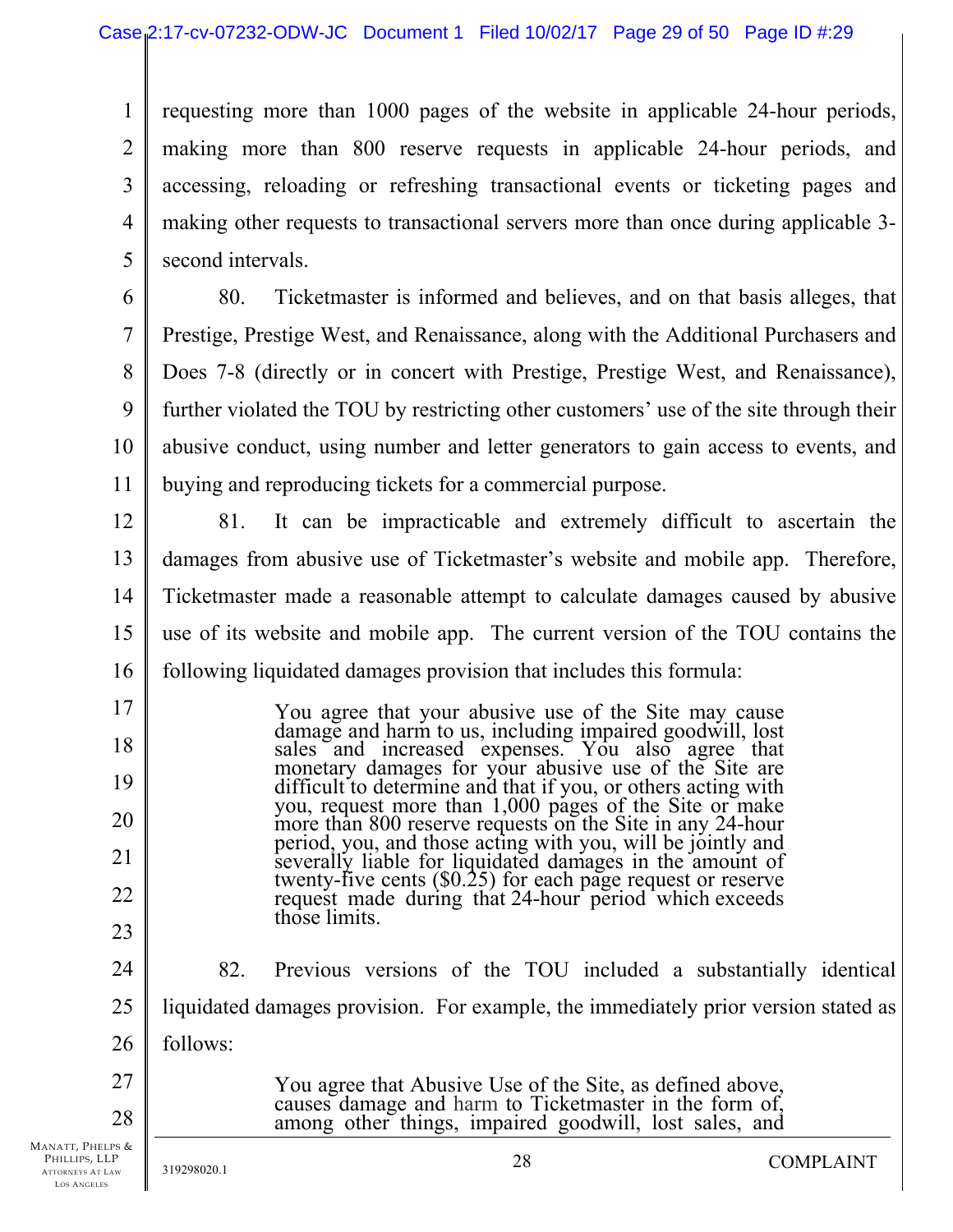1 2 3 4 5 requesting more than 1000 pages of the website in applicable 24-hour periods, making more than 800 reserve requests in applicable 24-hour periods, and accessing, reloading or refreshing transactional events or ticketing pages and making other requests to transactional servers more than once during applicable 3 second intervals.

6 7 8 9 10 11 80. Ticketmaster is informed and believes, and on that basis alleges, that Prestige, Prestige West, and Renaissance, along with the Additional Purchasers and Does 7-8 (directly or in concert with Prestige, Prestige West, and Renaissance), further violated the TOU by restricting other customers' use of the site through their abusive conduct, using number and letter generators to gain access to events, and buying and reproducing tickets for a commercial purpose.

12 13 14 15 16 81. It can be impracticable and extremely difficult to ascertain the damages from abusive use of Ticketmaster's website and mobile app. Therefore, Ticketmaster made a reasonable attempt to calculate damages caused by abusive use of its website and mobile app. The current version of the TOU contains the following liquidated damages provision that includes this formula:

> You agree that your abusive use of the Site may cause damage and harm to us, including impaired goodwill, lost sales and increased expenses. You also agree that monetary damages for your abusive use of the Site are difficult to determine and that if you, or others acting with you, request more than 1,000 pages of the Site or make<br>more than 800 reserve requests on the Site in any 24-hour<br>period, you, and those acting with you, will be jointly and<br>severally liable for liquidated damages in the am

- 24 25 26 27 82. Previous versions of the TOU included a substantially identical liquidated damages provision. For example, the immediately prior version stated as follows:
- MANATT, PHELPS & PHILLIPS, LLP 28

17

18

19

20

21

22

23

ATTORNEYS AT LAW LOS ANGELES

You agree that Abusive Use of the Site, as defined above, causes damage and harm to Ticketmaster in the form of, among other things, impaired goodwill, lost sales, and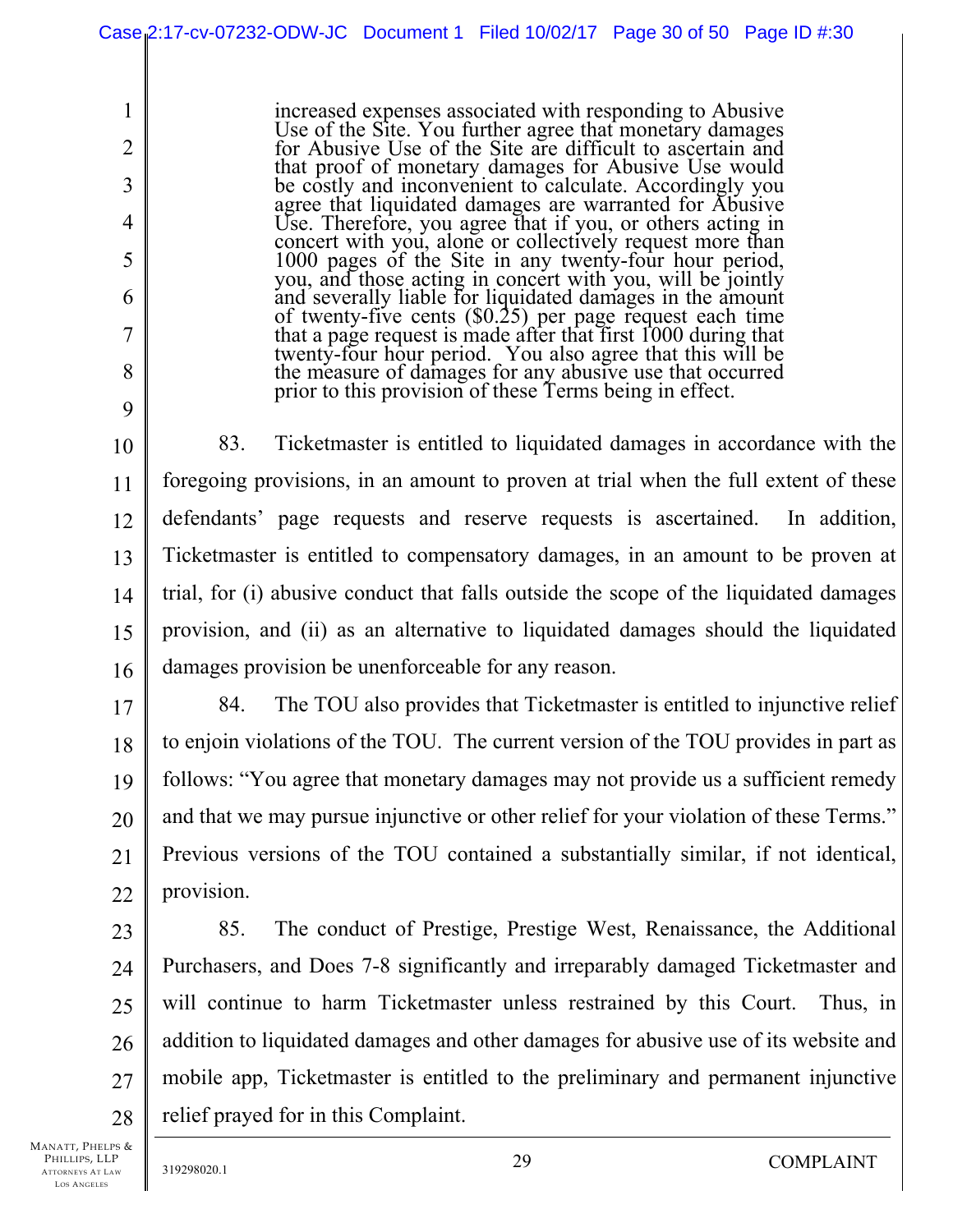increased expenses associated with responding to Abusive Use of the Site. You further agree that monetary damages for Abusive Use of the Site are difficult to ascertain and that proof of monetary damages for Abusive Use would<br>be costly and inconvenient to calculate. Accordingly you agree that liquidated damages are warranted for Abusive Use. Therefore, you agree that if you, or others acting in concert with you, alone or collectively request more than 1000 pages of the Site in any twenty-four hour period, you, and those acting in concert with you, will be jointly and severally liable for liquidated damages in the amount of twenty-five cents (\$0.25) per page request each time that a page request is made after that first 1000 during that twenty-four hour period. You also agree that this will be the measure of damages for any abusive use that occurred prior to this provision of these Terms being in effect.

10 11 12 13 14 15 16 83. Ticketmaster is entitled to liquidated damages in accordance with the foregoing provisions, in an amount to proven at trial when the full extent of these defendants' page requests and reserve requests is ascertained. In addition, Ticketmaster is entitled to compensatory damages, in an amount to be proven at trial, for (i) abusive conduct that falls outside the scope of the liquidated damages provision, and (ii) as an alternative to liquidated damages should the liquidated damages provision be unenforceable for any reason.

17 18 19 20 21 22 84. The TOU also provides that Ticketmaster is entitled to injunctive relief to enjoin violations of the TOU. The current version of the TOU provides in part as follows: "You agree that monetary damages may not provide us a sufficient remedy and that we may pursue injunctive or other relief for your violation of these Terms." Previous versions of the TOU contained a substantially similar, if not identical, provision.

23 24 25 26 27 28 85. The conduct of Prestige, Prestige West, Renaissance, the Additional Purchasers, and Does 7-8 significantly and irreparably damaged Ticketmaster and will continue to harm Ticketmaster unless restrained by this Court. Thus, in addition to liquidated damages and other damages for abusive use of its website and mobile app, Ticketmaster is entitled to the preliminary and permanent injunctive relief prayed for in this Complaint.

MANATT, PHELPS & PHILLIPS, LLP ATTORNEYS AT LAW LOS ANGELES

1

2

3

4

5

6

7

8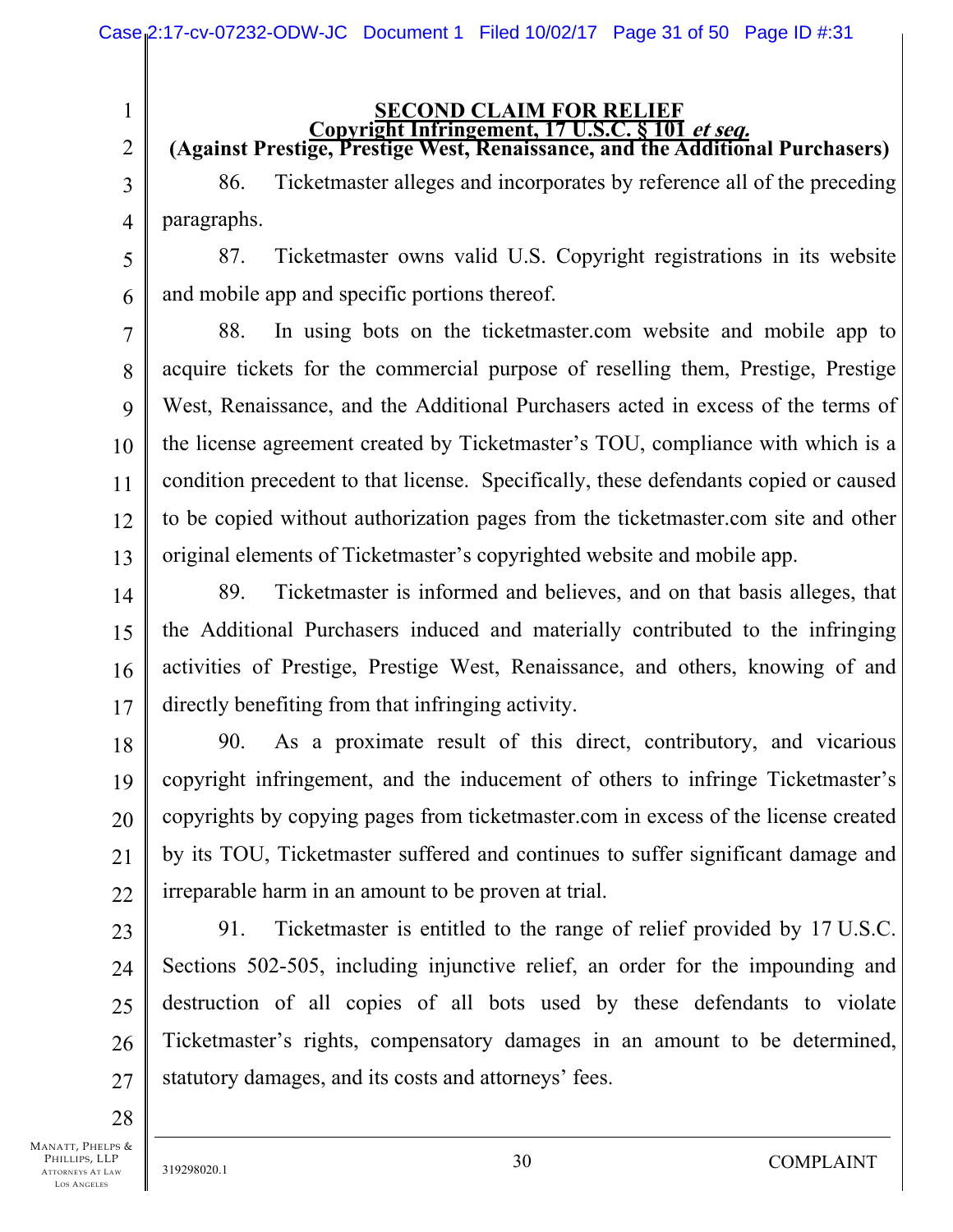2 3

1

# **SECOND CLAIM FOR RELIEF**<br>**Copyright Infringement, 17 U.S.C. § 101**

**Copyright Infringement, 17 U.S.C. § 101 et seq. (Against Prestige, Prestige West, Renaissance, and the Additional Purchasers)**  86. Ticketmaster alleges and incorporates by reference all of the preceding

4 paragraphs.

5 6 87. Ticketmaster owns valid U.S. Copyright registrations in its website and mobile app and specific portions thereof.

7 8 9 10 11 12 13 88. In using bots on the ticketmaster.com website and mobile app to acquire tickets for the commercial purpose of reselling them, Prestige, Prestige West, Renaissance, and the Additional Purchasers acted in excess of the terms of the license agreement created by Ticketmaster's TOU, compliance with which is a condition precedent to that license. Specifically, these defendants copied or caused to be copied without authorization pages from the ticketmaster.com site and other original elements of Ticketmaster's copyrighted website and mobile app.

14 15 16 17 89. Ticketmaster is informed and believes, and on that basis alleges, that the Additional Purchasers induced and materially contributed to the infringing activities of Prestige, Prestige West, Renaissance, and others, knowing of and directly benefiting from that infringing activity.

18 19 20 21 22 90. As a proximate result of this direct, contributory, and vicarious copyright infringement, and the inducement of others to infringe Ticketmaster's copyrights by copying pages from ticketmaster.com in excess of the license created by its TOU, Ticketmaster suffered and continues to suffer significant damage and irreparable harm in an amount to be proven at trial.

23 24

25 26 27 91. Ticketmaster is entitled to the range of relief provided by 17 U.S.C. Sections 502-505, including injunctive relief, an order for the impounding and destruction of all copies of all bots used by these defendants to violate Ticketmaster's rights, compensatory damages in an amount to be determined, statutory damages, and its costs and attorneys' fees.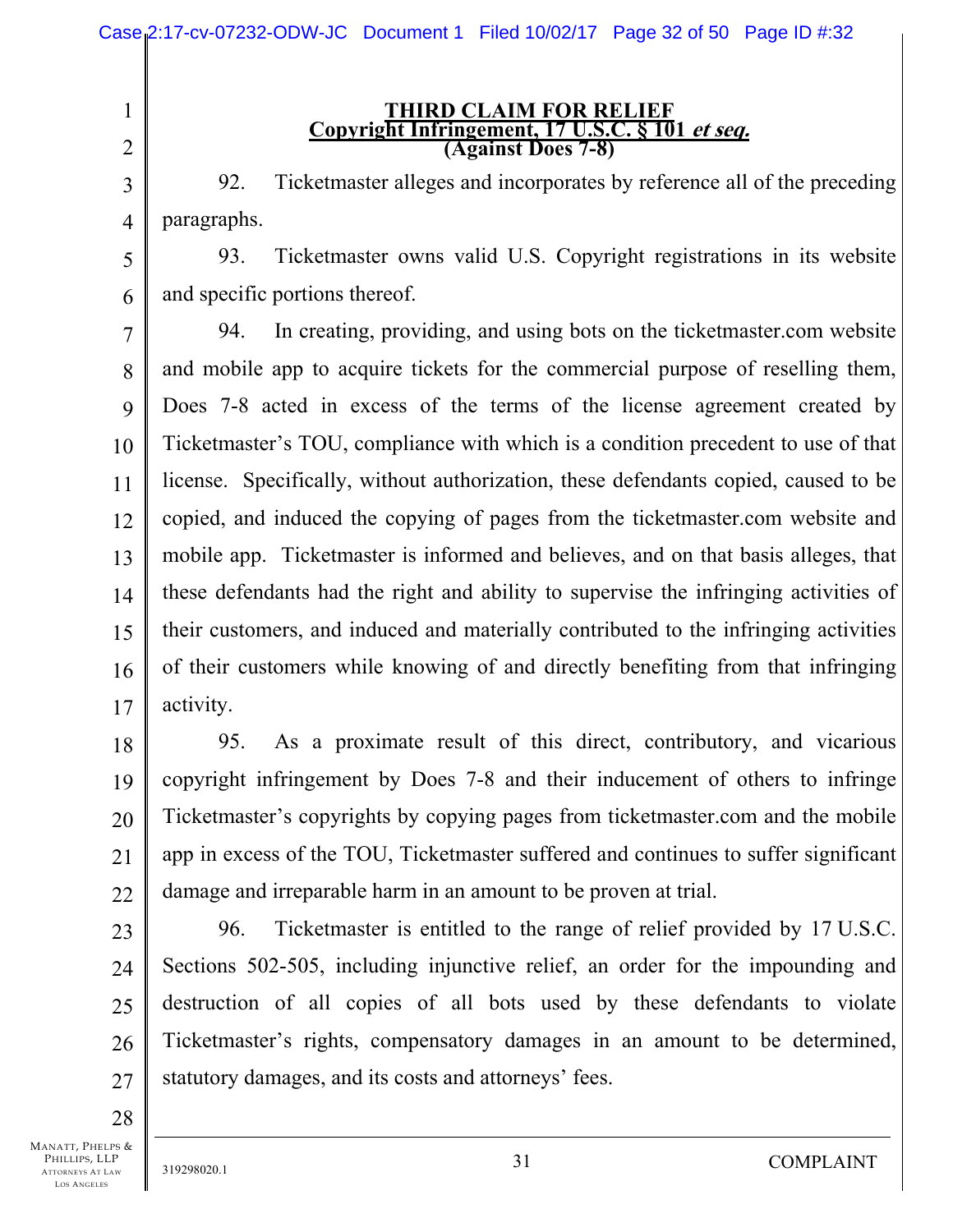**THIRD CLAIM FOR RELIEF Copyright Infringement, 17 U.S.C. § 101 et seq. (Against Does 7-8)** 

3 92. Ticketmaster alleges and incorporates by reference all of the preceding paragraphs.

5 6 93. Ticketmaster owns valid U.S. Copyright registrations in its website and specific portions thereof.

7 8 9 10 11 12 13 14 15 16 17 94. In creating, providing, and using bots on the ticketmaster.com website and mobile app to acquire tickets for the commercial purpose of reselling them, Does 7-8 acted in excess of the terms of the license agreement created by Ticketmaster's TOU, compliance with which is a condition precedent to use of that license. Specifically, without authorization, these defendants copied, caused to be copied, and induced the copying of pages from the ticketmaster.com website and mobile app. Ticketmaster is informed and believes, and on that basis alleges, that these defendants had the right and ability to supervise the infringing activities of their customers, and induced and materially contributed to the infringing activities of their customers while knowing of and directly benefiting from that infringing activity.

18 19 20 21 22 95. As a proximate result of this direct, contributory, and vicarious copyright infringement by Does 7-8 and their inducement of others to infringe Ticketmaster's copyrights by copying pages from ticketmaster.com and the mobile app in excess of the TOU, Ticketmaster suffered and continues to suffer significant damage and irreparable harm in an amount to be proven at trial.

23 24 25 26 27 96. Ticketmaster is entitled to the range of relief provided by 17 U.S.C. Sections 502-505, including injunctive relief, an order for the impounding and destruction of all copies of all bots used by these defendants to violate Ticketmaster's rights, compensatory damages in an amount to be determined, statutory damages, and its costs and attorneys' fees.

MANATT, PHELPS & PHILLIPS, LLP ATTORNEYS AT LAW LOS ANGELES

28

1

2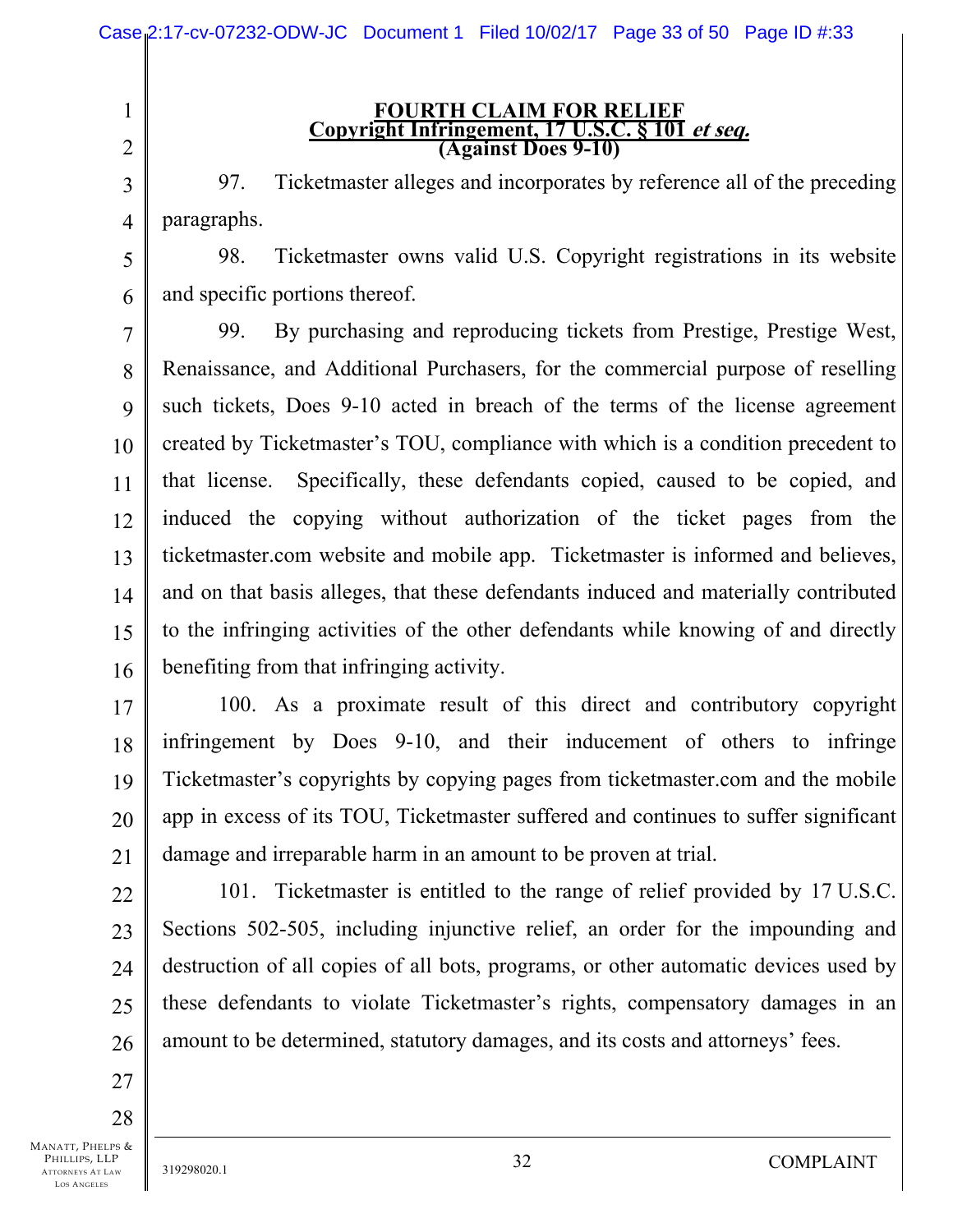# **FOURTH CLAIM FOR RELIEF Copyright Infringement, 17 U.S.C. § 101 et seq. (Against Does 9-10)**

3 4 97. Ticketmaster alleges and incorporates by reference all of the preceding paragraphs.

5 6 98. Ticketmaster owns valid U.S. Copyright registrations in its website and specific portions thereof.

7 8 9 10 11 12 13 14 15 16 99. By purchasing and reproducing tickets from Prestige, Prestige West, Renaissance, and Additional Purchasers, for the commercial purpose of reselling such tickets, Does 9-10 acted in breach of the terms of the license agreement created by Ticketmaster's TOU, compliance with which is a condition precedent to that license. Specifically, these defendants copied, caused to be copied, and induced the copying without authorization of the ticket pages from the ticketmaster.com website and mobile app. Ticketmaster is informed and believes, and on that basis alleges, that these defendants induced and materially contributed to the infringing activities of the other defendants while knowing of and directly benefiting from that infringing activity.

17 18 19 20 21 100. As a proximate result of this direct and contributory copyright infringement by Does 9-10, and their inducement of others to infringe Ticketmaster's copyrights by copying pages from ticketmaster.com and the mobile app in excess of its TOU, Ticketmaster suffered and continues to suffer significant damage and irreparable harm in an amount to be proven at trial.

22 23 24 25 26 101. Ticketmaster is entitled to the range of relief provided by 17 U.S.C. Sections 502-505, including injunctive relief, an order for the impounding and destruction of all copies of all bots, programs, or other automatic devices used by these defendants to violate Ticketmaster's rights, compensatory damages in an amount to be determined, statutory damages, and its costs and attorneys' fees.

28

27

1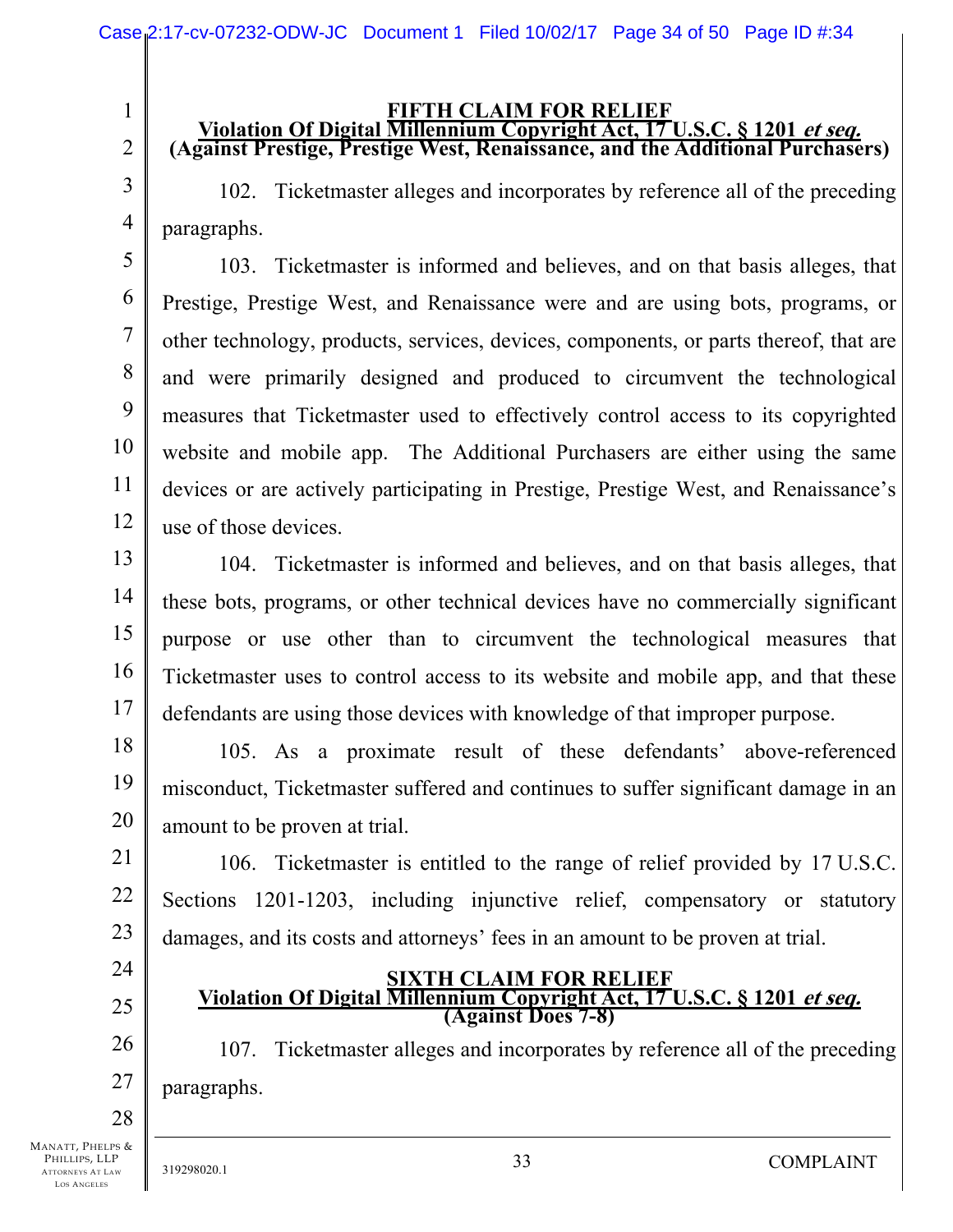# **FIFTH CLAIM FOR RELIEF**<br>Violation Of Digital Millennium Copyright Act, 17 U.S.C. § 1201 *et seq.* **(Against Prestige, Prestige West, Renaissance, and the Additional Purchasers)**

102. Ticketmaster alleges and incorporates by reference all of the preceding paragraphs.

5 6 7 8 9 10 11 12 103. Ticketmaster is informed and believes, and on that basis alleges, that Prestige, Prestige West, and Renaissance were and are using bots, programs, or other technology, products, services, devices, components, or parts thereof, that are and were primarily designed and produced to circumvent the technological measures that Ticketmaster used to effectively control access to its copyrighted website and mobile app. The Additional Purchasers are either using the same devices or are actively participating in Prestige, Prestige West, and Renaissance's use of those devices.

13 14 15 16 17 104. Ticketmaster is informed and believes, and on that basis alleges, that these bots, programs, or other technical devices have no commercially significant purpose or use other than to circumvent the technological measures that Ticketmaster uses to control access to its website and mobile app, and that these defendants are using those devices with knowledge of that improper purpose.

18 19 20 105. As a proximate result of these defendants' above-referenced misconduct, Ticketmaster suffered and continues to suffer significant damage in an amount to be proven at trial.

21 22 23 106. Ticketmaster is entitled to the range of relief provided by 17 U.S.C. Sections 1201-1203, including injunctive relief, compensatory or statutory damages, and its costs and attorneys' fees in an amount to be proven at trial.

24

25

1

2

3

4

# **SIXTH CLAIM FOR RELIEF Violation Of Digital Millennium Copyright Act, 17 U.S.C. § 1201 et seq. (Against Does 7-8)**

26 27 107. Ticketmaster alleges and incorporates by reference all of the preceding paragraphs.

28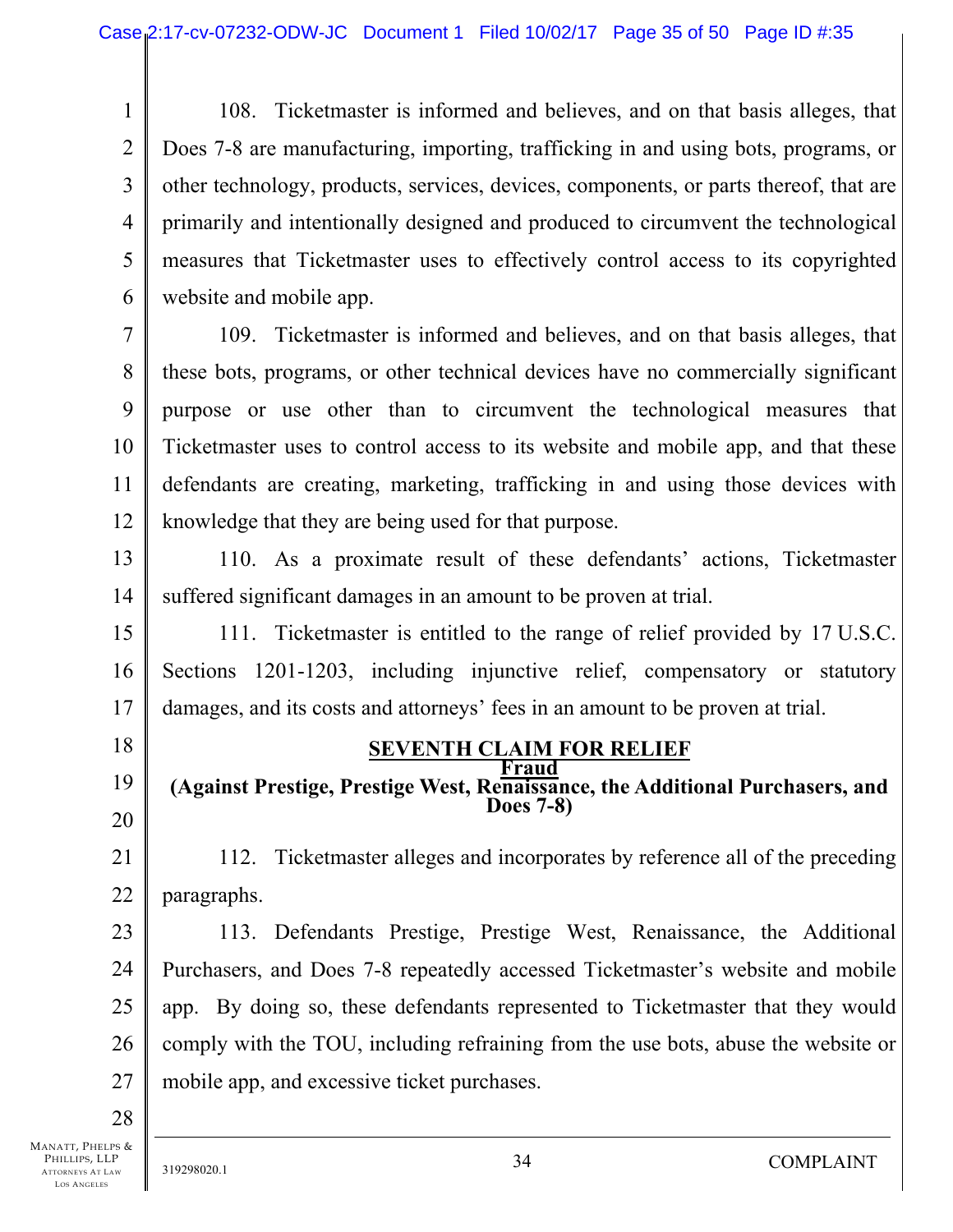1 2 3 4 5 6 108. Ticketmaster is informed and believes, and on that basis alleges, that Does 7-8 are manufacturing, importing, trafficking in and using bots, programs, or other technology, products, services, devices, components, or parts thereof, that are primarily and intentionally designed and produced to circumvent the technological measures that Ticketmaster uses to effectively control access to its copyrighted website and mobile app.

7 8 9 10 11 12 109. Ticketmaster is informed and believes, and on that basis alleges, that these bots, programs, or other technical devices have no commercially significant purpose or use other than to circumvent the technological measures that Ticketmaster uses to control access to its website and mobile app, and that these defendants are creating, marketing, trafficking in and using those devices with knowledge that they are being used for that purpose.

13 14 110. As a proximate result of these defendants' actions, Ticketmaster suffered significant damages in an amount to be proven at trial.

15 16 17 111. Ticketmaster is entitled to the range of relief provided by 17 U.S.C. Sections 1201-1203, including injunctive relief, compensatory or statutory damages, and its costs and attorneys' fees in an amount to be proven at trial.

18

19 20

**SEVENTH CLAIM FOR RELIEF Fraud** 

**(Against Prestige, Prestige West, Renaissance, the Additional Purchasers, and Does 7-8)** 

21 22 112. Ticketmaster alleges and incorporates by reference all of the preceding paragraphs.

23 24 25 26 27 113. Defendants Prestige, Prestige West, Renaissance, the Additional Purchasers, and Does 7-8 repeatedly accessed Ticketmaster's website and mobile app. By doing so, these defendants represented to Ticketmaster that they would comply with the TOU, including refraining from the use bots, abuse the website or mobile app, and excessive ticket purchases.

28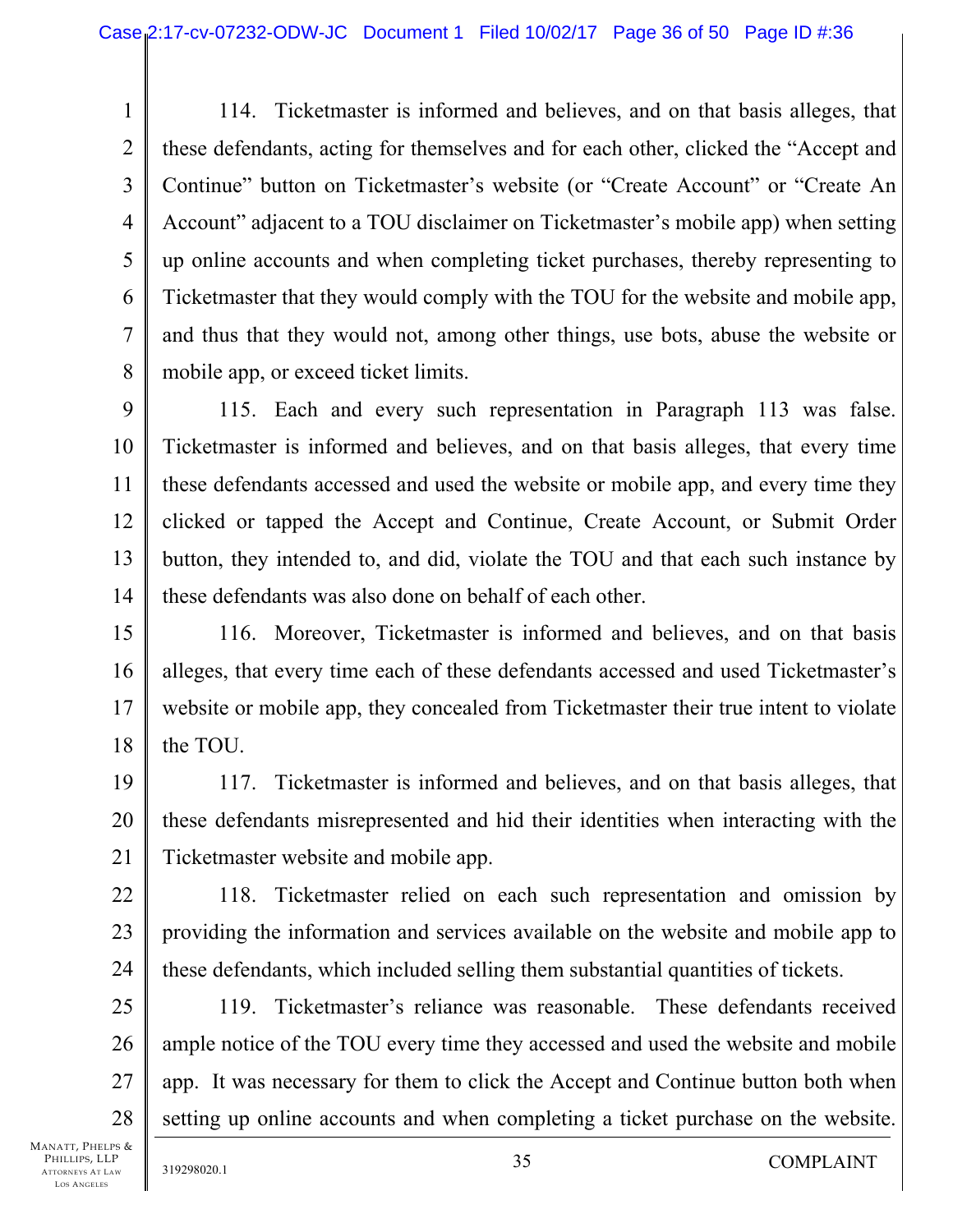1 2 3 4 5 6 7 8 114. Ticketmaster is informed and believes, and on that basis alleges, that these defendants, acting for themselves and for each other, clicked the "Accept and Continue" button on Ticketmaster's website (or "Create Account" or "Create An Account" adjacent to a TOU disclaimer on Ticketmaster's mobile app) when setting up online accounts and when completing ticket purchases, thereby representing to Ticketmaster that they would comply with the TOU for the website and mobile app, and thus that they would not, among other things, use bots, abuse the website or mobile app, or exceed ticket limits.

9 10 11 12 13 14 115. Each and every such representation in Paragraph 113 was false. Ticketmaster is informed and believes, and on that basis alleges, that every time these defendants accessed and used the website or mobile app, and every time they clicked or tapped the Accept and Continue, Create Account, or Submit Order button, they intended to, and did, violate the TOU and that each such instance by these defendants was also done on behalf of each other.

15 16 17 18 116. Moreover, Ticketmaster is informed and believes, and on that basis alleges, that every time each of these defendants accessed and used Ticketmaster's website or mobile app, they concealed from Ticketmaster their true intent to violate the TOU.

19 20 21 117. Ticketmaster is informed and believes, and on that basis alleges, that these defendants misrepresented and hid their identities when interacting with the Ticketmaster website and mobile app.

22 23 24 118. Ticketmaster relied on each such representation and omission by providing the information and services available on the website and mobile app to these defendants, which included selling them substantial quantities of tickets.

25 26 27 28 119. Ticketmaster's reliance was reasonable. These defendants received ample notice of the TOU every time they accessed and used the website and mobile app. It was necessary for them to click the Accept and Continue button both when setting up online accounts and when completing a ticket purchase on the website.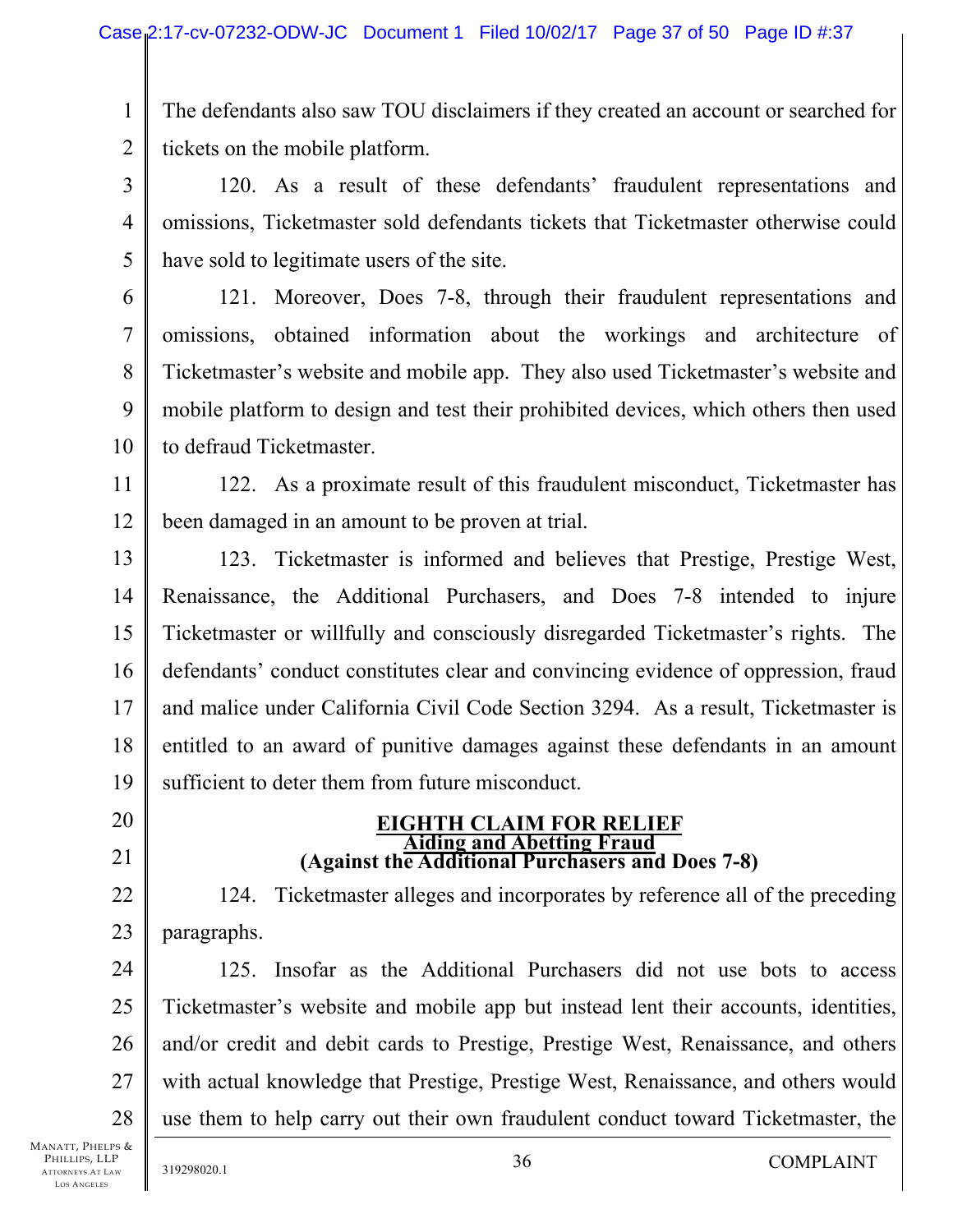1 2 The defendants also saw TOU disclaimers if they created an account or searched for tickets on the mobile platform.

3 4 5 120. As a result of these defendants' fraudulent representations and omissions, Ticketmaster sold defendants tickets that Ticketmaster otherwise could have sold to legitimate users of the site.

6 7 8 9 10 121. Moreover, Does 7-8, through their fraudulent representations and omissions, obtained information about the workings and architecture of Ticketmaster's website and mobile app. They also used Ticketmaster's website and mobile platform to design and test their prohibited devices, which others then used to defraud Ticketmaster.

11 12 122. As a proximate result of this fraudulent misconduct, Ticketmaster has been damaged in an amount to be proven at trial.

13 14 15 16 17 18 19 123. Ticketmaster is informed and believes that Prestige, Prestige West, Renaissance, the Additional Purchasers, and Does 7-8 intended to injure Ticketmaster or willfully and consciously disregarded Ticketmaster's rights. The defendants' conduct constitutes clear and convincing evidence of oppression, fraud and malice under California Civil Code Section 3294. As a result, Ticketmaster is entitled to an award of punitive damages against these defendants in an amount sufficient to deter them from future misconduct.

- 20
- 21

22

23

# **EIGHTH CLAIM FOR RELIEF**<br>Aiding and Abetting Fraud **Against the Additional Purchasers and Does 7-8)**

124. Ticketmaster alleges and incorporates by reference all of the preceding paragraphs.

24 25 26 27 28 125. Insofar as the Additional Purchasers did not use bots to access Ticketmaster's website and mobile app but instead lent their accounts, identities, and/or credit and debit cards to Prestige, Prestige West, Renaissance, and others with actual knowledge that Prestige, Prestige West, Renaissance, and others would use them to help carry out their own fraudulent conduct toward Ticketmaster, the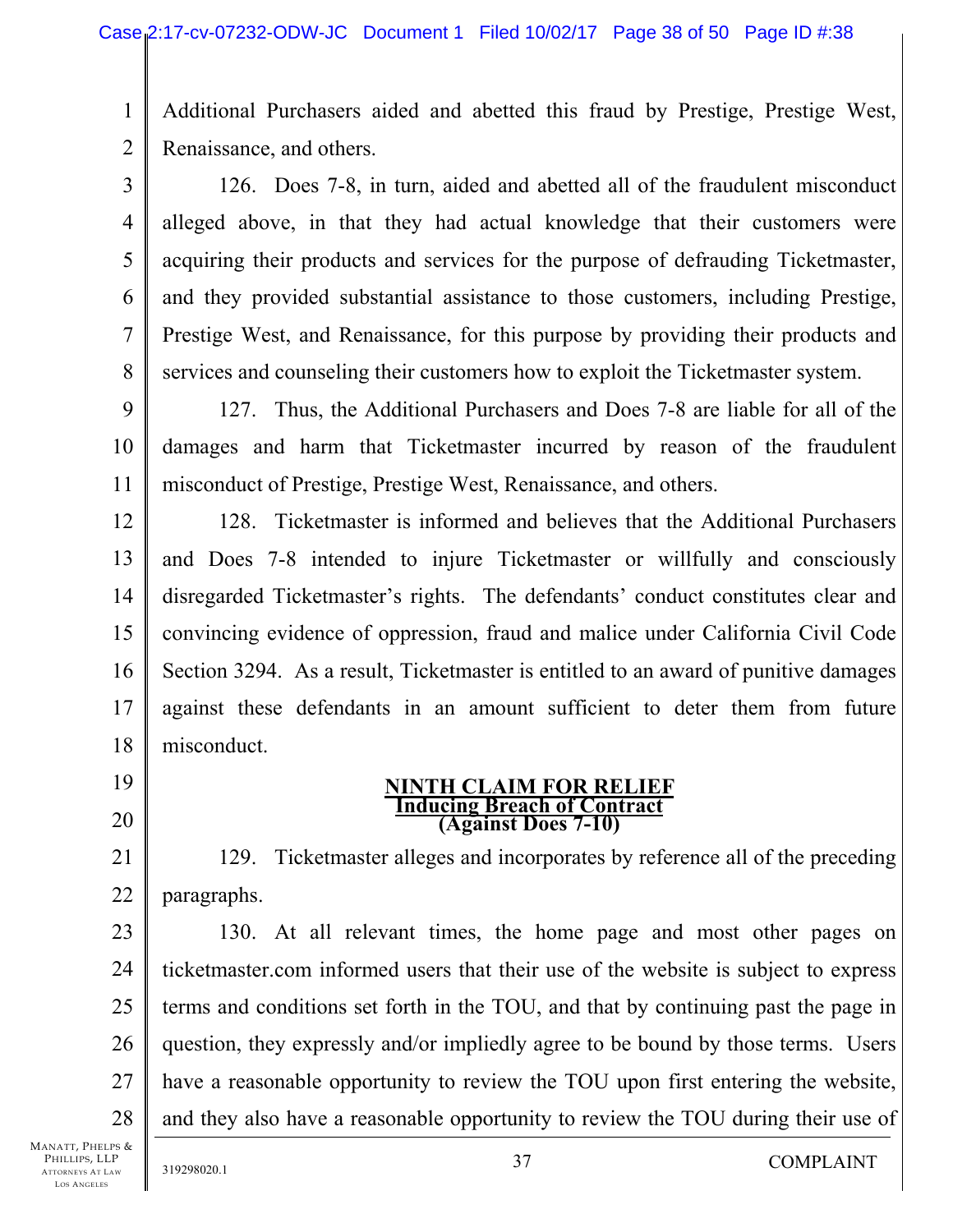1 2 Additional Purchasers aided and abetted this fraud by Prestige, Prestige West, Renaissance, and others.

3 4 5 6 7 8 126. Does 7-8, in turn, aided and abetted all of the fraudulent misconduct alleged above, in that they had actual knowledge that their customers were acquiring their products and services for the purpose of defrauding Ticketmaster, and they provided substantial assistance to those customers, including Prestige, Prestige West, and Renaissance, for this purpose by providing their products and services and counseling their customers how to exploit the Ticketmaster system.

9 10 11 127. Thus, the Additional Purchasers and Does 7-8 are liable for all of the damages and harm that Ticketmaster incurred by reason of the fraudulent misconduct of Prestige, Prestige West, Renaissance, and others.

12 13 14 15 16 17 18 128. Ticketmaster is informed and believes that the Additional Purchasers and Does 7-8 intended to injure Ticketmaster or willfully and consciously disregarded Ticketmaster's rights. The defendants' conduct constitutes clear and convincing evidence of oppression, fraud and malice under California Civil Code Section 3294. As a result, Ticketmaster is entitled to an award of punitive damages against these defendants in an amount sufficient to deter them from future misconduct.

19 20

# **NINTH CLAIM FOR RELIEF Inducing Breach of Contract (Against Does 7-10)**

21 22 129. Ticketmaster alleges and incorporates by reference all of the preceding paragraphs.

23 24 25 26 27 28 130. At all relevant times, the home page and most other pages on ticketmaster.com informed users that their use of the website is subject to express terms and conditions set forth in the TOU, and that by continuing past the page in question, they expressly and/or impliedly agree to be bound by those terms. Users have a reasonable opportunity to review the TOU upon first entering the website, and they also have a reasonable opportunity to review the TOU during their use of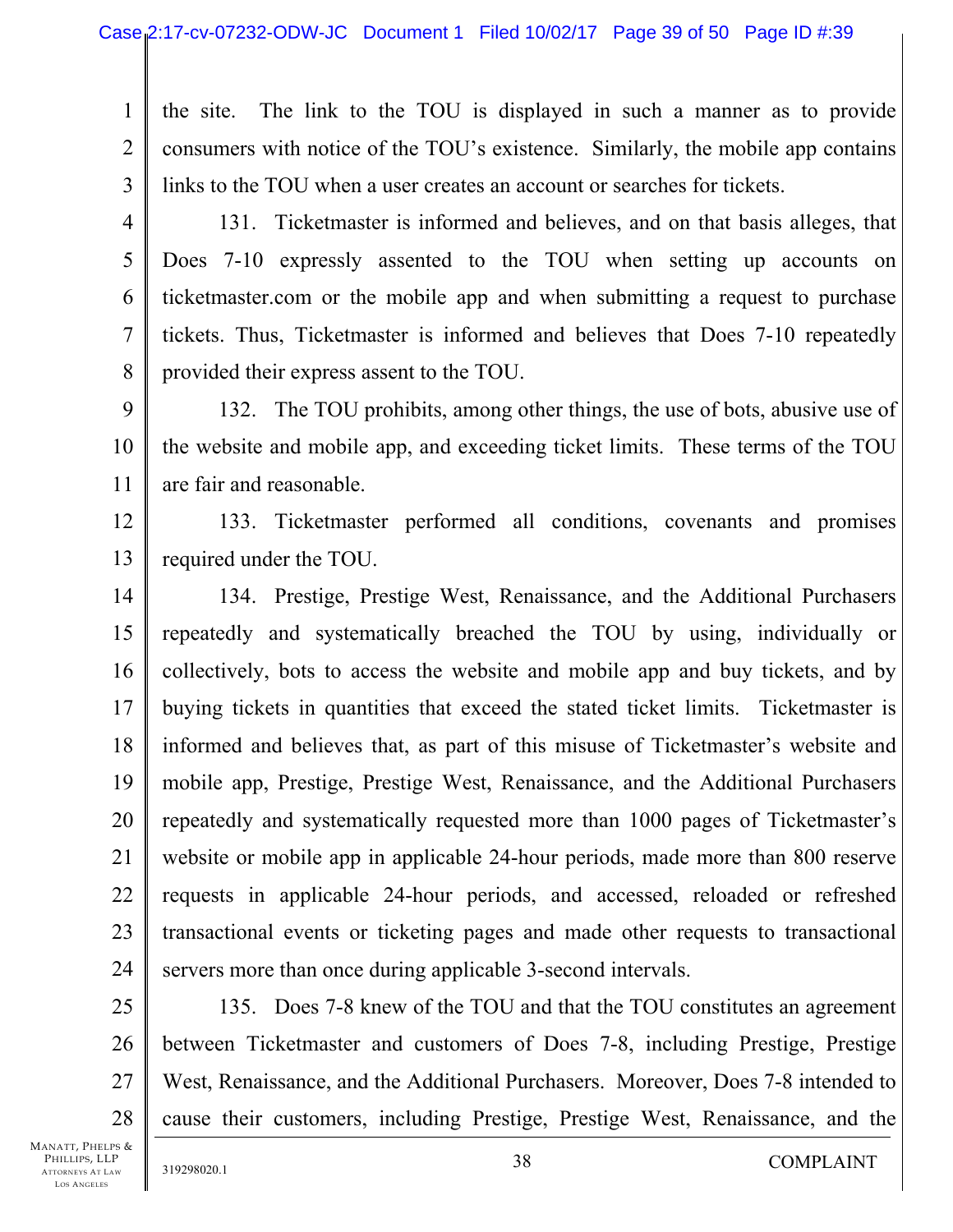1 2 3 the site. The link to the TOU is displayed in such a manner as to provide consumers with notice of the TOU's existence. Similarly, the mobile app contains links to the TOU when a user creates an account or searches for tickets.

4

5

6

7

8

131. Ticketmaster is informed and believes, and on that basis alleges, that Does 7-10 expressly assented to the TOU when setting up accounts on ticketmaster.com or the mobile app and when submitting a request to purchase tickets. Thus, Ticketmaster is informed and believes that Does 7-10 repeatedly provided their express assent to the TOU.

9 10 11 132. The TOU prohibits, among other things, the use of bots, abusive use of the website and mobile app, and exceeding ticket limits. These terms of the TOU are fair and reasonable.

12 13 133. Ticketmaster performed all conditions, covenants and promises required under the TOU.

14 15 16 17 18 19 20 21 22 23 24 134. Prestige, Prestige West, Renaissance, and the Additional Purchasers repeatedly and systematically breached the TOU by using, individually or collectively, bots to access the website and mobile app and buy tickets, and by buying tickets in quantities that exceed the stated ticket limits. Ticketmaster is informed and believes that, as part of this misuse of Ticketmaster's website and mobile app, Prestige, Prestige West, Renaissance, and the Additional Purchasers repeatedly and systematically requested more than 1000 pages of Ticketmaster's website or mobile app in applicable 24-hour periods, made more than 800 reserve requests in applicable 24-hour periods, and accessed, reloaded or refreshed transactional events or ticketing pages and made other requests to transactional servers more than once during applicable 3-second intervals.

25 26 27 28 135. Does 7-8 knew of the TOU and that the TOU constitutes an agreement between Ticketmaster and customers of Does 7-8, including Prestige, Prestige West, Renaissance, and the Additional Purchasers. Moreover, Does 7-8 intended to cause their customers, including Prestige, Prestige West, Renaissance, and the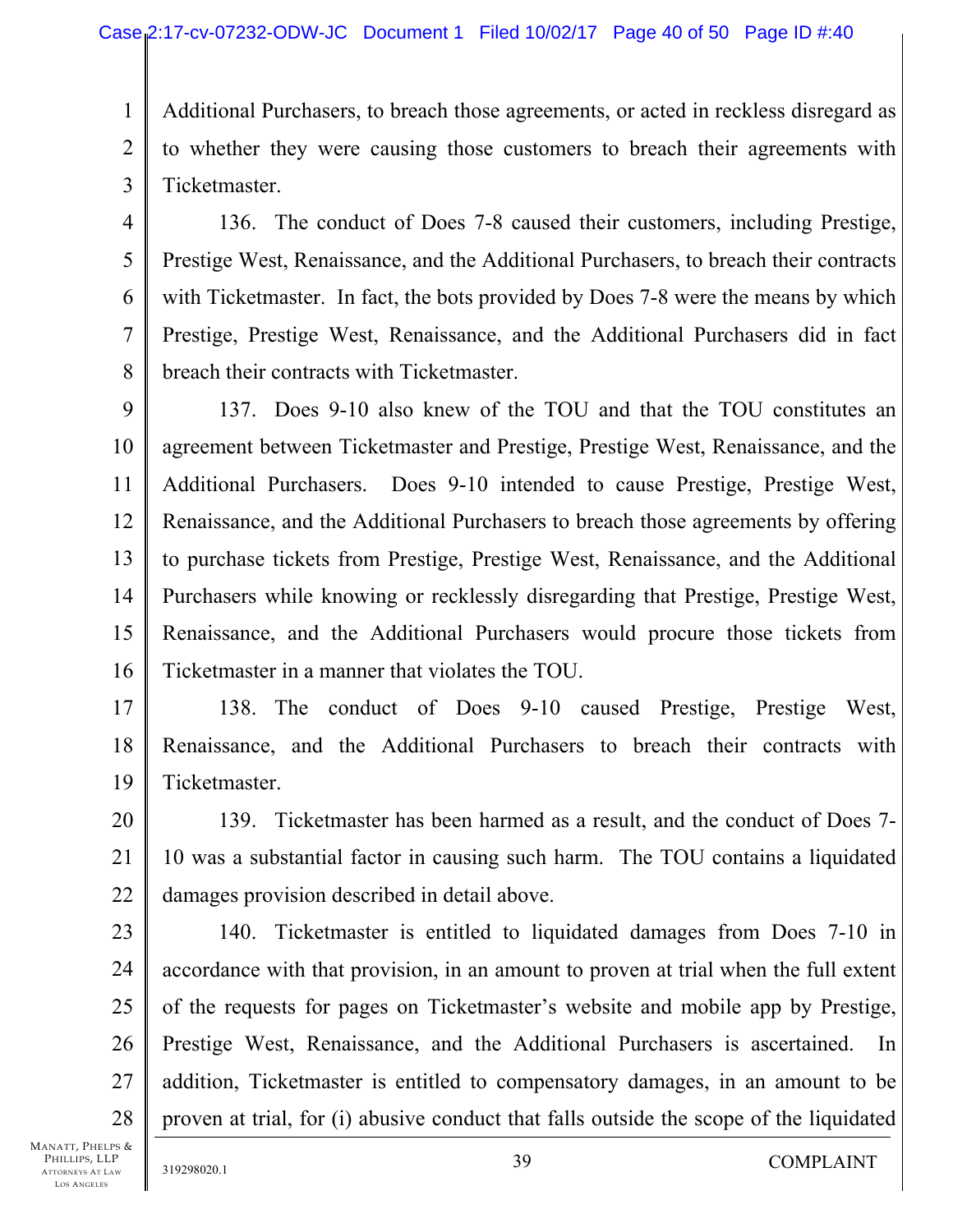1 2 3 Additional Purchasers, to breach those agreements, or acted in reckless disregard as to whether they were causing those customers to breach their agreements with Ticketmaster.

4

5

6

7

8

136. The conduct of Does 7-8 caused their customers, including Prestige, Prestige West, Renaissance, and the Additional Purchasers, to breach their contracts with Ticketmaster. In fact, the bots provided by Does 7-8 were the means by which Prestige, Prestige West, Renaissance, and the Additional Purchasers did in fact breach their contracts with Ticketmaster.

9 10 11 12 13 14 15 16 137. Does 9-10 also knew of the TOU and that the TOU constitutes an agreement between Ticketmaster and Prestige, Prestige West, Renaissance, and the Additional Purchasers. Does 9-10 intended to cause Prestige, Prestige West, Renaissance, and the Additional Purchasers to breach those agreements by offering to purchase tickets from Prestige, Prestige West, Renaissance, and the Additional Purchasers while knowing or recklessly disregarding that Prestige, Prestige West, Renaissance, and the Additional Purchasers would procure those tickets from Ticketmaster in a manner that violates the TOU.

17 18 19 138. The conduct of Does 9-10 caused Prestige, Prestige West, Renaissance, and the Additional Purchasers to breach their contracts with Ticketmaster.

20 21 22 139. Ticketmaster has been harmed as a result, and the conduct of Does 7- 10 was a substantial factor in causing such harm. The TOU contains a liquidated damages provision described in detail above.

23 24 25 26 27 28 140. Ticketmaster is entitled to liquidated damages from Does 7-10 in accordance with that provision, in an amount to proven at trial when the full extent of the requests for pages on Ticketmaster's website and mobile app by Prestige, Prestige West, Renaissance, and the Additional Purchasers is ascertained. In addition, Ticketmaster is entitled to compensatory damages, in an amount to be proven at trial, for (i) abusive conduct that falls outside the scope of the liquidated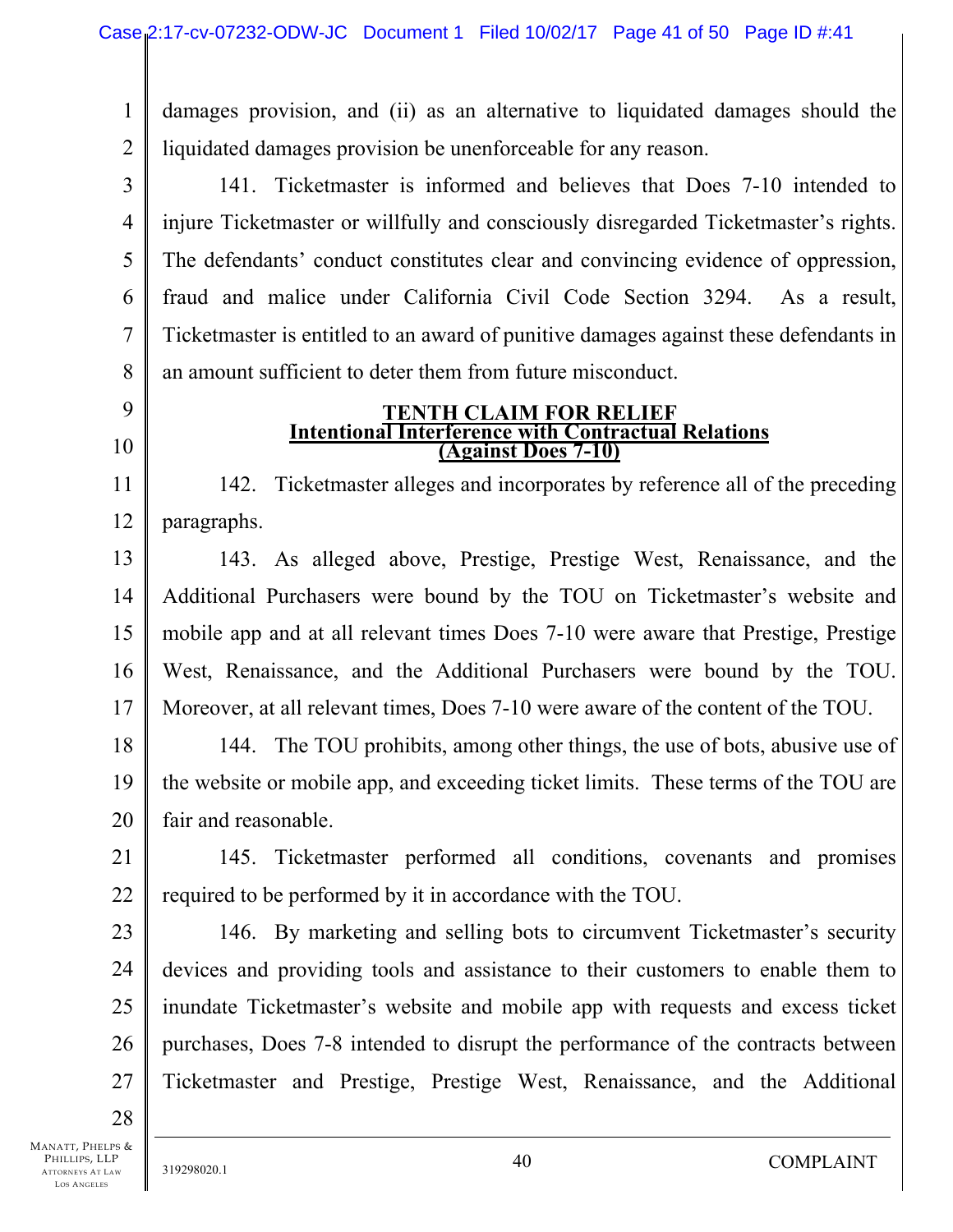1 2 damages provision, and (ii) as an alternative to liquidated damages should the liquidated damages provision be unenforceable for any reason.

3 4 5 6 7 8 141. Ticketmaster is informed and believes that Does 7-10 intended to injure Ticketmaster or willfully and consciously disregarded Ticketmaster's rights. The defendants' conduct constitutes clear and convincing evidence of oppression, fraud and malice under California Civil Code Section 3294. As a result, Ticketmaster is entitled to an award of punitive damages against these defendants in an amount sufficient to deter them from future misconduct.

- 9
- 10

11

12

#### **TENTH CLAIM FOR RELIEF Intentional Interference with Contractual Relations (Against Does 7-10)**

142. Ticketmaster alleges and incorporates by reference all of the preceding paragraphs.

13 14 15 16 17 143. As alleged above, Prestige, Prestige West, Renaissance, and the Additional Purchasers were bound by the TOU on Ticketmaster's website and mobile app and at all relevant times Does 7-10 were aware that Prestige, Prestige West, Renaissance, and the Additional Purchasers were bound by the TOU. Moreover, at all relevant times, Does 7-10 were aware of the content of the TOU.

18 19 20 144. The TOU prohibits, among other things, the use of bots, abusive use of the website or mobile app, and exceeding ticket limits. These terms of the TOU are fair and reasonable.

21 22 145. Ticketmaster performed all conditions, covenants and promises required to be performed by it in accordance with the TOU.

23 24 25 26 27 146. By marketing and selling bots to circumvent Ticketmaster's security devices and providing tools and assistance to their customers to enable them to inundate Ticketmaster's website and mobile app with requests and excess ticket purchases, Does 7-8 intended to disrupt the performance of the contracts between Ticketmaster and Prestige, Prestige West, Renaissance, and the Additional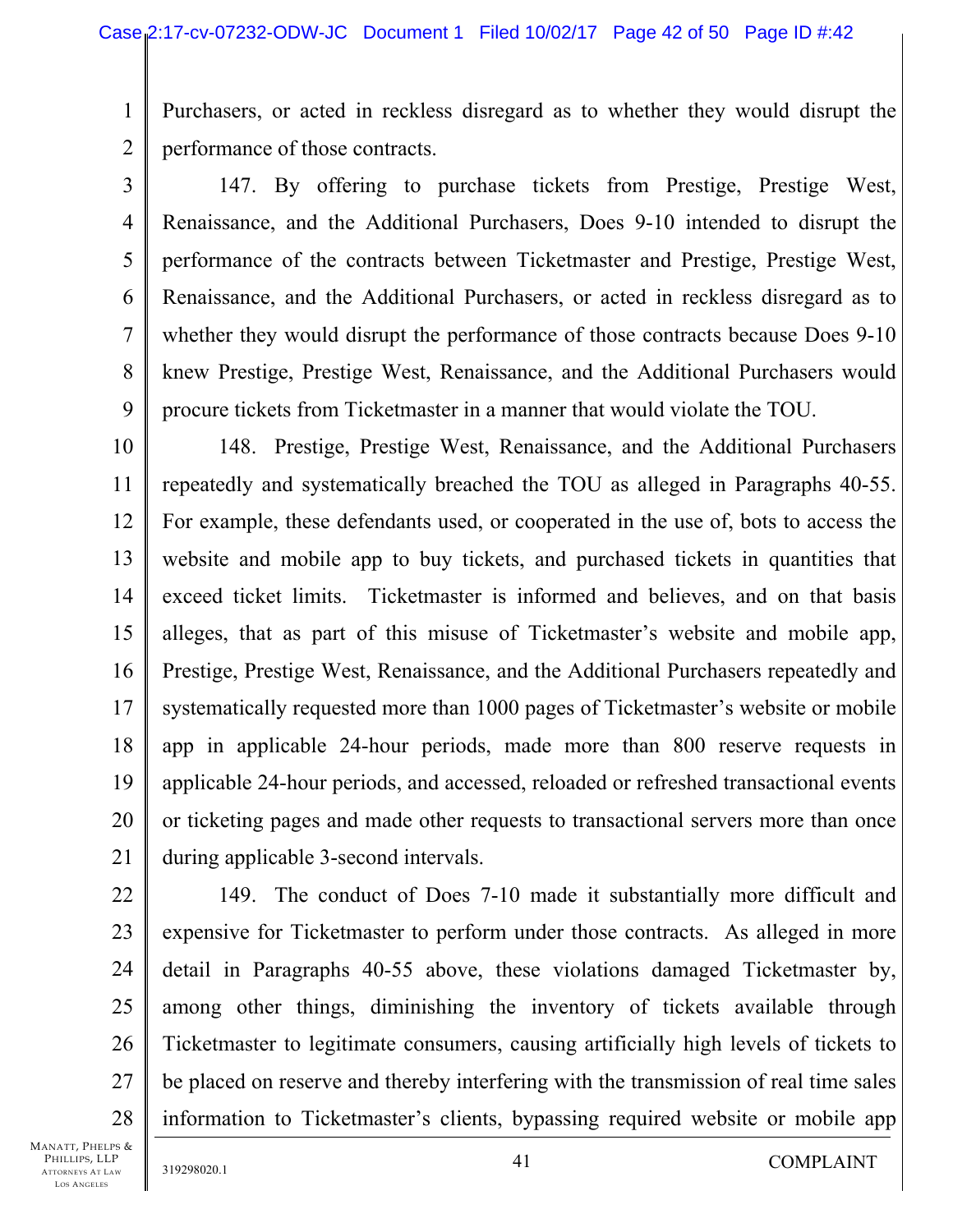1 2 Purchasers, or acted in reckless disregard as to whether they would disrupt the performance of those contracts.

3 4 5 6 7 8 9 147. By offering to purchase tickets from Prestige, Prestige West, Renaissance, and the Additional Purchasers, Does 9-10 intended to disrupt the performance of the contracts between Ticketmaster and Prestige, Prestige West, Renaissance, and the Additional Purchasers, or acted in reckless disregard as to whether they would disrupt the performance of those contracts because Does 9-10 knew Prestige, Prestige West, Renaissance, and the Additional Purchasers would procure tickets from Ticketmaster in a manner that would violate the TOU.

10 11 12 13 14 15 16 17 18 19 20 21 148. Prestige, Prestige West, Renaissance, and the Additional Purchasers repeatedly and systematically breached the TOU as alleged in Paragraphs 40-55. For example, these defendants used, or cooperated in the use of, bots to access the website and mobile app to buy tickets, and purchased tickets in quantities that exceed ticket limits. Ticketmaster is informed and believes, and on that basis alleges, that as part of this misuse of Ticketmaster's website and mobile app, Prestige, Prestige West, Renaissance, and the Additional Purchasers repeatedly and systematically requested more than 1000 pages of Ticketmaster's website or mobile app in applicable 24-hour periods, made more than 800 reserve requests in applicable 24-hour periods, and accessed, reloaded or refreshed transactional events or ticketing pages and made other requests to transactional servers more than once during applicable 3-second intervals.

28 149. The conduct of Does 7-10 made it substantially more difficult and expensive for Ticketmaster to perform under those contracts. As alleged in more detail in Paragraphs 40-55 above, these violations damaged Ticketmaster by, among other things, diminishing the inventory of tickets available through Ticketmaster to legitimate consumers, causing artificially high levels of tickets to be placed on reserve and thereby interfering with the transmission of real time sales information to Ticketmaster's clients, bypassing required website or mobile app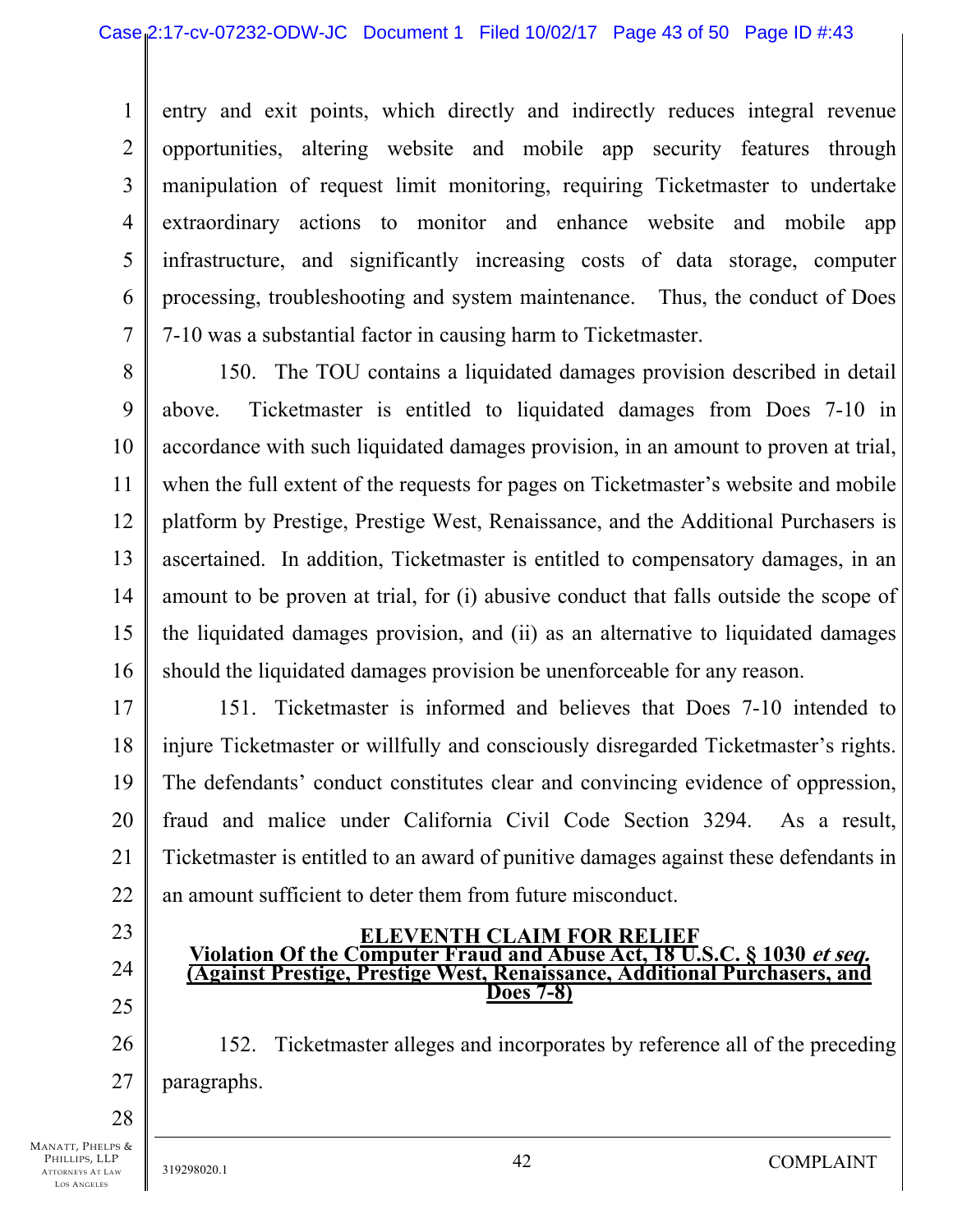1 2 3 4 5 6 7 entry and exit points, which directly and indirectly reduces integral revenue opportunities, altering website and mobile app security features through manipulation of request limit monitoring, requiring Ticketmaster to undertake extraordinary actions to monitor and enhance website and mobile app infrastructure, and significantly increasing costs of data storage, computer processing, troubleshooting and system maintenance. Thus, the conduct of Does 7-10 was a substantial factor in causing harm to Ticketmaster.

8

9 10 11 12 13 14 15 16 150. The TOU contains a liquidated damages provision described in detail above. Ticketmaster is entitled to liquidated damages from Does 7-10 in accordance with such liquidated damages provision, in an amount to proven at trial, when the full extent of the requests for pages on Ticketmaster's website and mobile platform by Prestige, Prestige West, Renaissance, and the Additional Purchasers is ascertained. In addition, Ticketmaster is entitled to compensatory damages, in an amount to be proven at trial, for (i) abusive conduct that falls outside the scope of the liquidated damages provision, and (ii) as an alternative to liquidated damages should the liquidated damages provision be unenforceable for any reason.

17 18 19 20 21 22 151. Ticketmaster is informed and believes that Does 7-10 intended to injure Ticketmaster or willfully and consciously disregarded Ticketmaster's rights. The defendants' conduct constitutes clear and convincing evidence of oppression, fraud and malice under California Civil Code Section 3294. As a result, Ticketmaster is entitled to an award of punitive damages against these defendants in an amount sufficient to deter them from future misconduct.

23

24

25

26

27

### **ELEVENTH CLAIM FOR RELIEF Violation Of the Computer Fraud and Abuse Act, 18 U.S.C. § 1030 et seq. (Against Prestige, Prestige West, Renaissance, Additional Purchasers, and Does 7-8)**

152. Ticketmaster alleges and incorporates by reference all of the preceding paragraphs.

28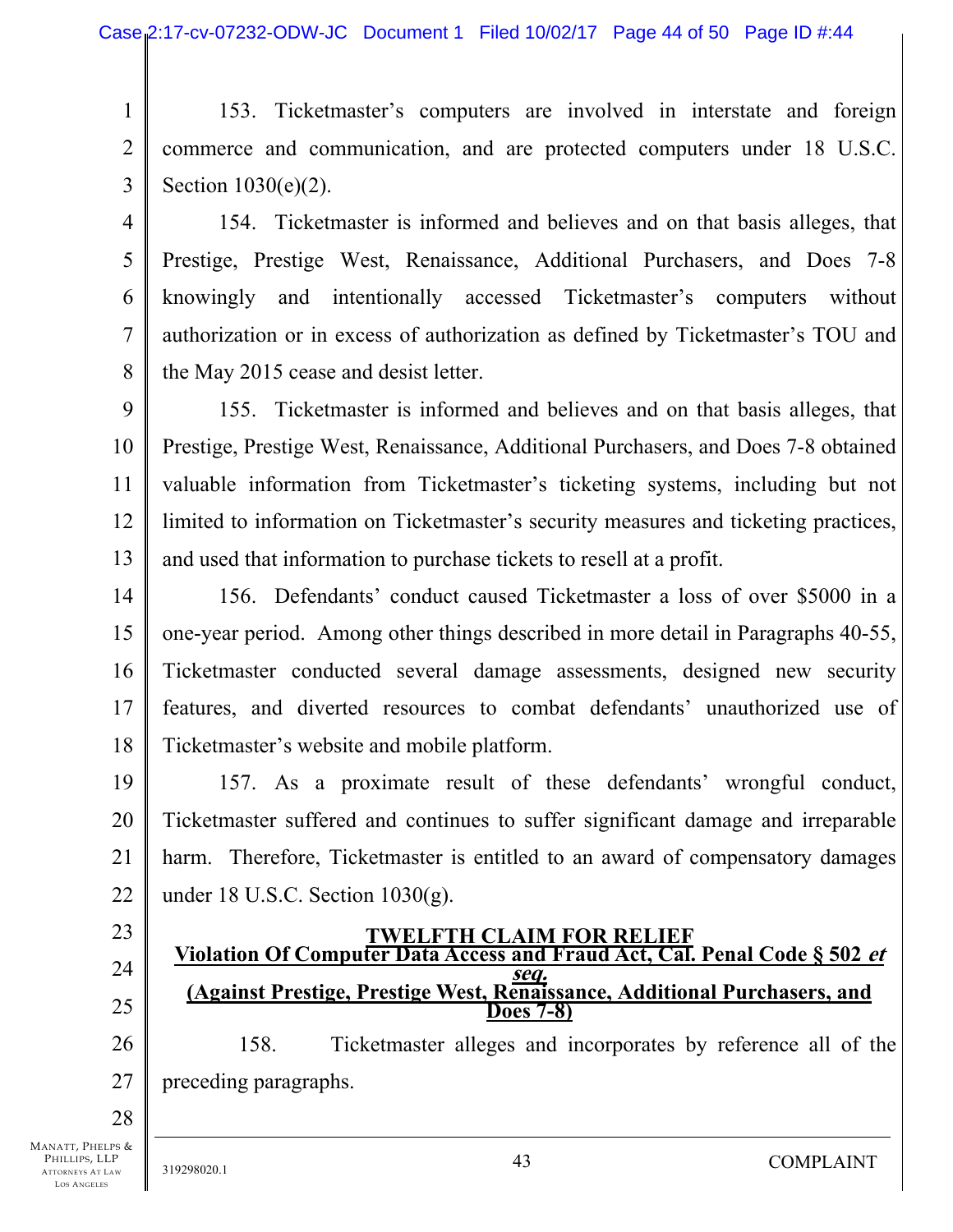1 2 3 153. Ticketmaster's computers are involved in interstate and foreign commerce and communication, and are protected computers under 18 U.S.C. Section 1030(e)(2).

4 5 6 7 8 154. Ticketmaster is informed and believes and on that basis alleges, that Prestige, Prestige West, Renaissance, Additional Purchasers, and Does 7-8 knowingly and intentionally accessed Ticketmaster's computers without authorization or in excess of authorization as defined by Ticketmaster's TOU and the May 2015 cease and desist letter.

9 10 11 12 13 155. Ticketmaster is informed and believes and on that basis alleges, that Prestige, Prestige West, Renaissance, Additional Purchasers, and Does 7-8 obtained valuable information from Ticketmaster's ticketing systems, including but not limited to information on Ticketmaster's security measures and ticketing practices, and used that information to purchase tickets to resell at a profit.

14 15 16 17 18 156. Defendants' conduct caused Ticketmaster a loss of over \$5000 in a one-year period. Among other things described in more detail in Paragraphs 40-55, Ticketmaster conducted several damage assessments, designed new security features, and diverted resources to combat defendants' unauthorized use of Ticketmaster's website and mobile platform.

19 20 21 22 157. As a proximate result of these defendants' wrongful conduct, Ticketmaster suffered and continues to suffer significant damage and irreparable harm. Therefore, Ticketmaster is entitled to an award of compensatory damages under 18 U.S.C. Section 1030(g).

23

# 24

25

### **TWELFTH CLAIM FOR RELIEF Violation Of Computer Data Access and Fraud Act, Cal. Penal Code § 502 et**

# **seq. (Against Prestige, Prestige West, Renaissance, Additional Purchasers, and Does 7-8)**

26 27 158. Ticketmaster alleges and incorporates by reference all of the preceding paragraphs.

28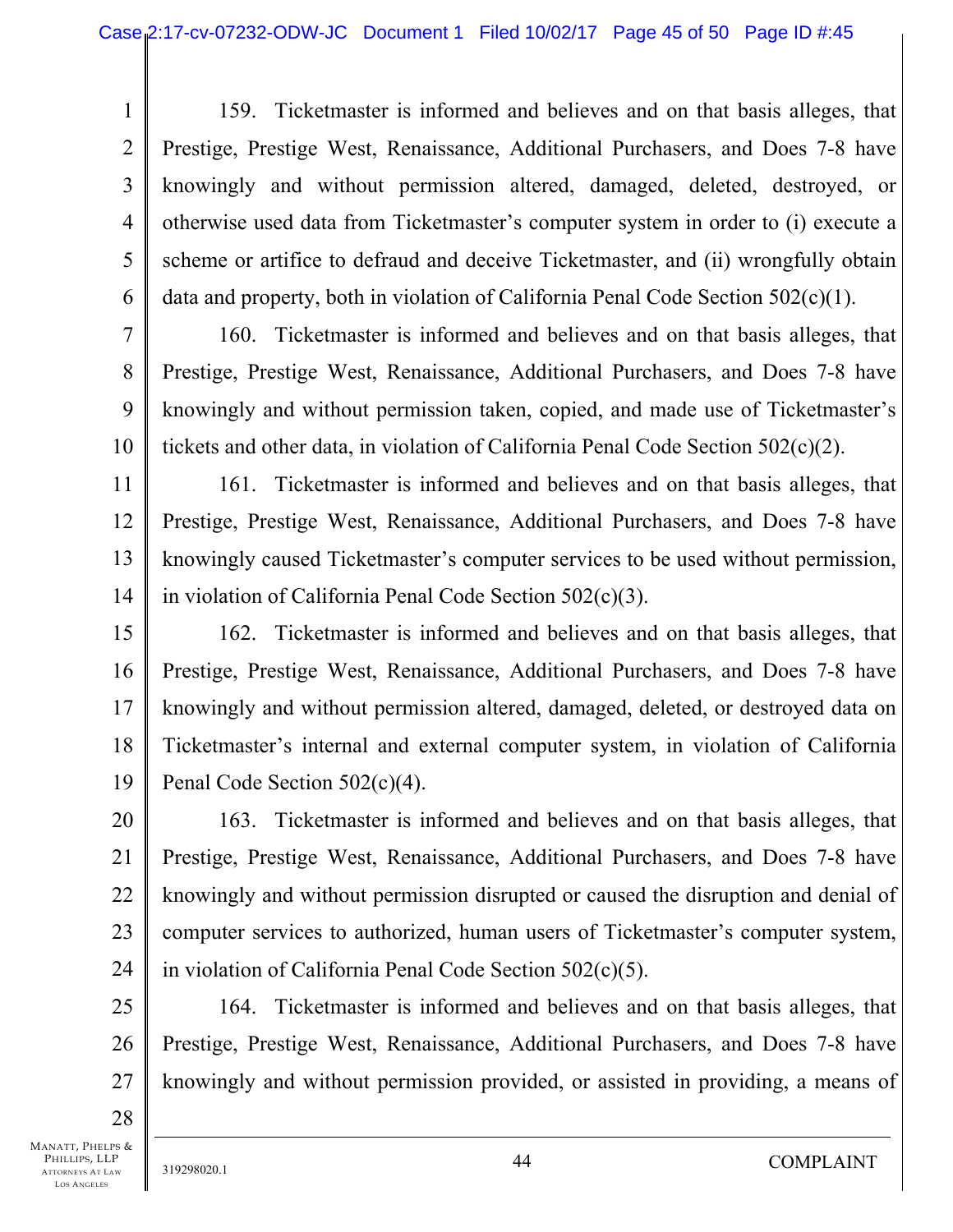1 2 3 4 5 6 159. Ticketmaster is informed and believes and on that basis alleges, that Prestige, Prestige West, Renaissance, Additional Purchasers, and Does 7-8 have knowingly and without permission altered, damaged, deleted, destroyed, or otherwise used data from Ticketmaster's computer system in order to (i) execute a scheme or artifice to defraud and deceive Ticketmaster, and (ii) wrongfully obtain data and property, both in violation of California Penal Code Section 502(c)(1).

7 8

9

10

160. Ticketmaster is informed and believes and on that basis alleges, that Prestige, Prestige West, Renaissance, Additional Purchasers, and Does 7-8 have knowingly and without permission taken, copied, and made use of Ticketmaster's tickets and other data, in violation of California Penal Code Section 502(c)(2).

11 12 13 14 161. Ticketmaster is informed and believes and on that basis alleges, that Prestige, Prestige West, Renaissance, Additional Purchasers, and Does 7-8 have knowingly caused Ticketmaster's computer services to be used without permission, in violation of California Penal Code Section 502(c)(3).

15 16 17 18 19 162. Ticketmaster is informed and believes and on that basis alleges, that Prestige, Prestige West, Renaissance, Additional Purchasers, and Does 7-8 have knowingly and without permission altered, damaged, deleted, or destroyed data on Ticketmaster's internal and external computer system, in violation of California Penal Code Section 502(c)(4).

20 21 22 23 24 163. Ticketmaster is informed and believes and on that basis alleges, that Prestige, Prestige West, Renaissance, Additional Purchasers, and Does 7-8 have knowingly and without permission disrupted or caused the disruption and denial of computer services to authorized, human users of Ticketmaster's computer system, in violation of California Penal Code Section 502(c)(5).

25 26 27 164. Ticketmaster is informed and believes and on that basis alleges, that Prestige, Prestige West, Renaissance, Additional Purchasers, and Does 7-8 have knowingly and without permission provided, or assisted in providing, a means of

28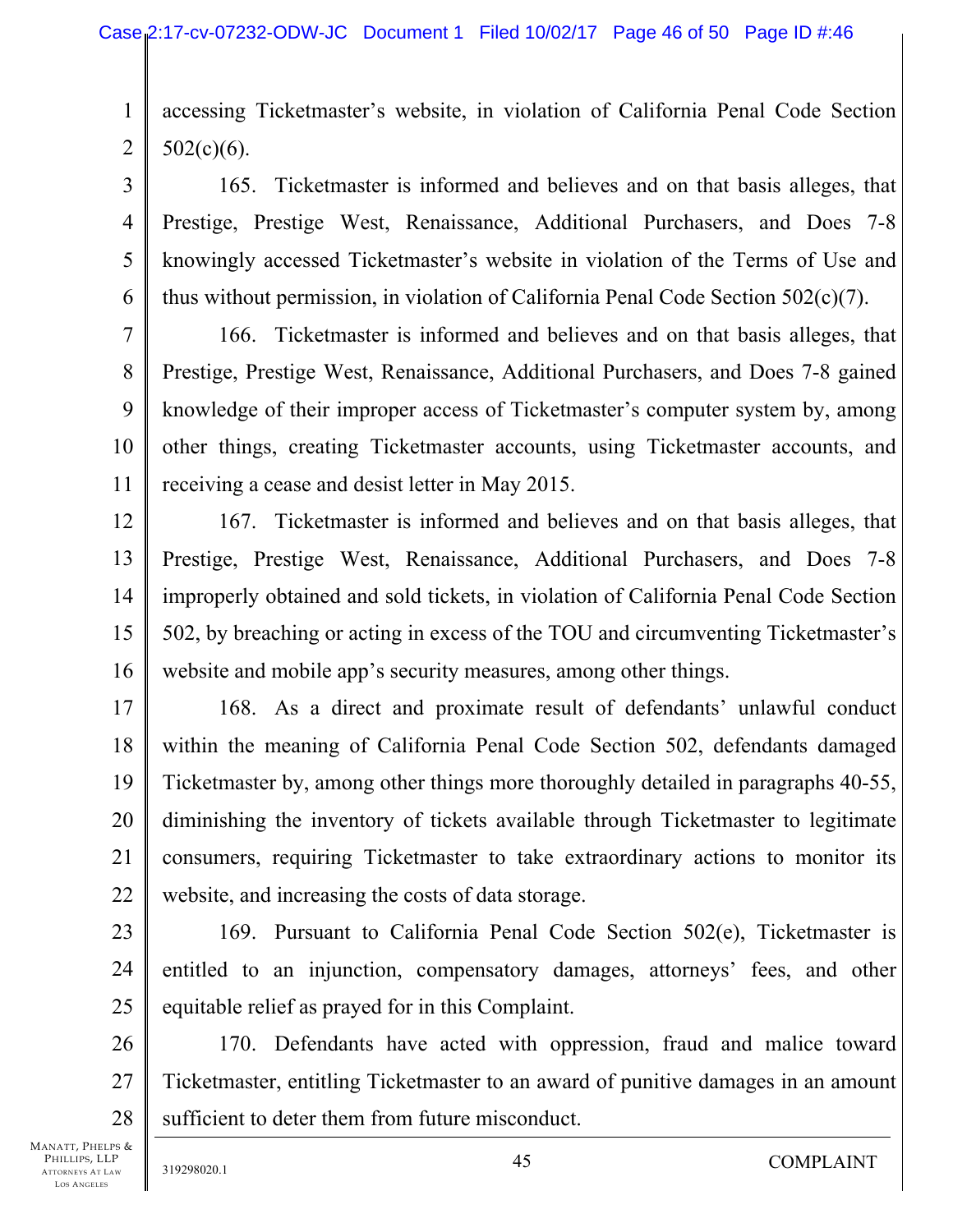1 2 accessing Ticketmaster's website, in violation of California Penal Code Section  $502(c)(6)$ .

3 4 5 6 165. Ticketmaster is informed and believes and on that basis alleges, that Prestige, Prestige West, Renaissance, Additional Purchasers, and Does 7-8 knowingly accessed Ticketmaster's website in violation of the Terms of Use and thus without permission, in violation of California Penal Code Section 502(c)(7).

7 8 9 10 11 166. Ticketmaster is informed and believes and on that basis alleges, that Prestige, Prestige West, Renaissance, Additional Purchasers, and Does 7-8 gained knowledge of their improper access of Ticketmaster's computer system by, among other things, creating Ticketmaster accounts, using Ticketmaster accounts, and receiving a cease and desist letter in May 2015.

12 13 14 15 16 167. Ticketmaster is informed and believes and on that basis alleges, that Prestige, Prestige West, Renaissance, Additional Purchasers, and Does 7-8 improperly obtained and sold tickets, in violation of California Penal Code Section 502, by breaching or acting in excess of the TOU and circumventing Ticketmaster's website and mobile app's security measures, among other things.

17 18 19 20 21 22 168. As a direct and proximate result of defendants' unlawful conduct within the meaning of California Penal Code Section 502, defendants damaged Ticketmaster by, among other things more thoroughly detailed in paragraphs 40-55, diminishing the inventory of tickets available through Ticketmaster to legitimate consumers, requiring Ticketmaster to take extraordinary actions to monitor its website, and increasing the costs of data storage.

23 24 25 169. Pursuant to California Penal Code Section 502(e), Ticketmaster is entitled to an injunction, compensatory damages, attorneys' fees, and other equitable relief as prayed for in this Complaint.

26 27 28 170. Defendants have acted with oppression, fraud and malice toward Ticketmaster, entitling Ticketmaster to an award of punitive damages in an amount sufficient to deter them from future misconduct.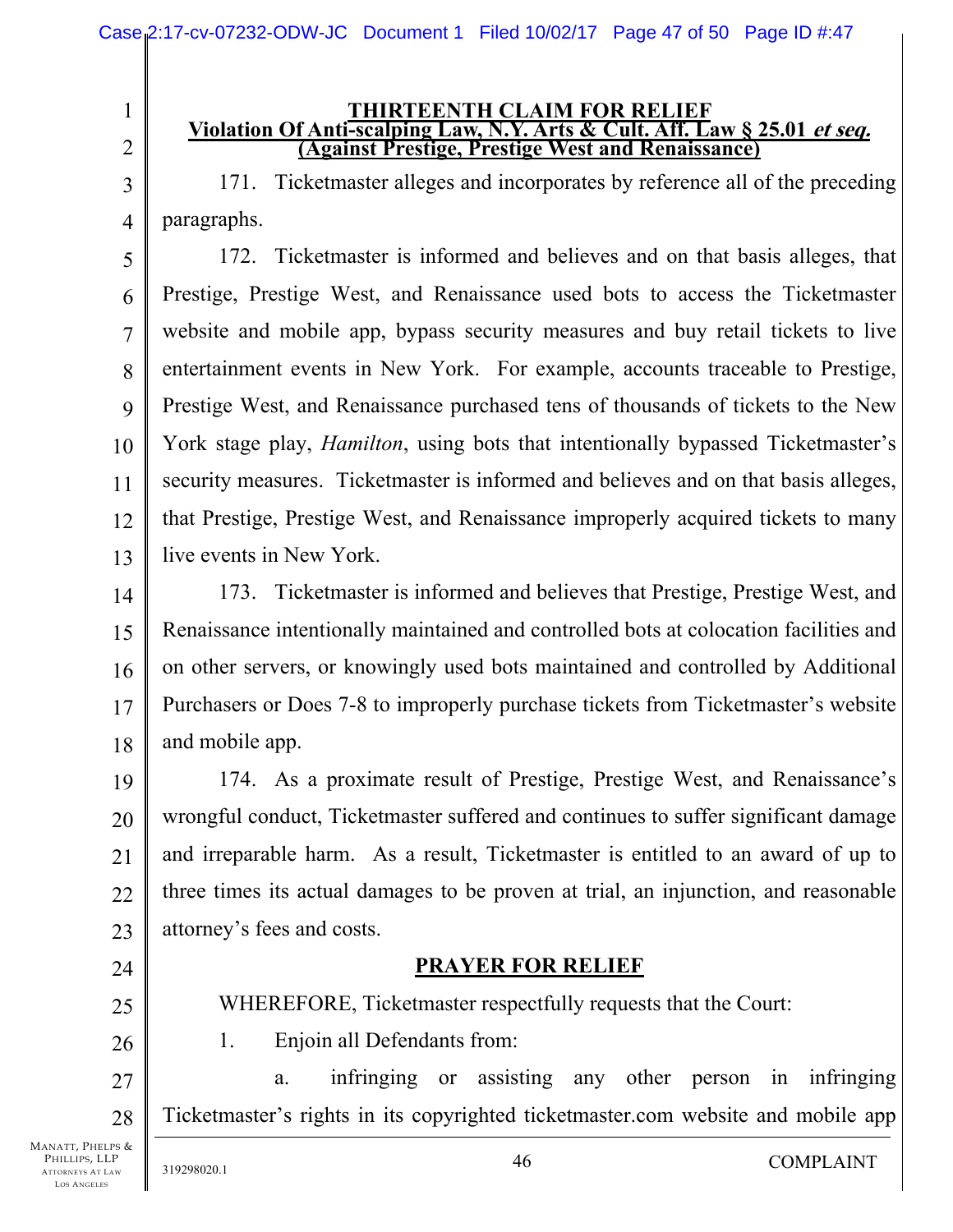# **THIRTEENTH CLAIM FOR RELIEF Violation Of Anti-scalping Law, N.Y. Arts & Cult. Aff. Law § 25.01 et seq. (Against Prestige, Prestige West and Renaissance)**

171. Ticketmaster alleges and incorporates by reference all of the preceding paragraphs.

5 6 7 8 9 10 11 12 13 172. Ticketmaster is informed and believes and on that basis alleges, that Prestige, Prestige West, and Renaissance used bots to access the Ticketmaster website and mobile app, bypass security measures and buy retail tickets to live entertainment events in New York. For example, accounts traceable to Prestige, Prestige West, and Renaissance purchased tens of thousands of tickets to the New York stage play, *Hamilton*, using bots that intentionally bypassed Ticketmaster's security measures. Ticketmaster is informed and believes and on that basis alleges, that Prestige, Prestige West, and Renaissance improperly acquired tickets to many live events in New York.

14 15 16 17 18 173. Ticketmaster is informed and believes that Prestige, Prestige West, and Renaissance intentionally maintained and controlled bots at colocation facilities and on other servers, or knowingly used bots maintained and controlled by Additional Purchasers or Does 7-8 to improperly purchase tickets from Ticketmaster's website and mobile app.

19 20 21 22 23 174. As a proximate result of Prestige, Prestige West, and Renaissance's wrongful conduct, Ticketmaster suffered and continues to suffer significant damage and irreparable harm. As a result, Ticketmaster is entitled to an award of up to three times its actual damages to be proven at trial, an injunction, and reasonable attorney's fees and costs.

# **PRAYER FOR RELIEF**

WHEREFORE, Ticketmaster respectfully requests that the Court:

1. Enjoin all Defendants from:

27 28 a. infringing or assisting any other person in infringing Ticketmaster's rights in its copyrighted ticketmaster.com website and mobile app

24

25

26

1

2

3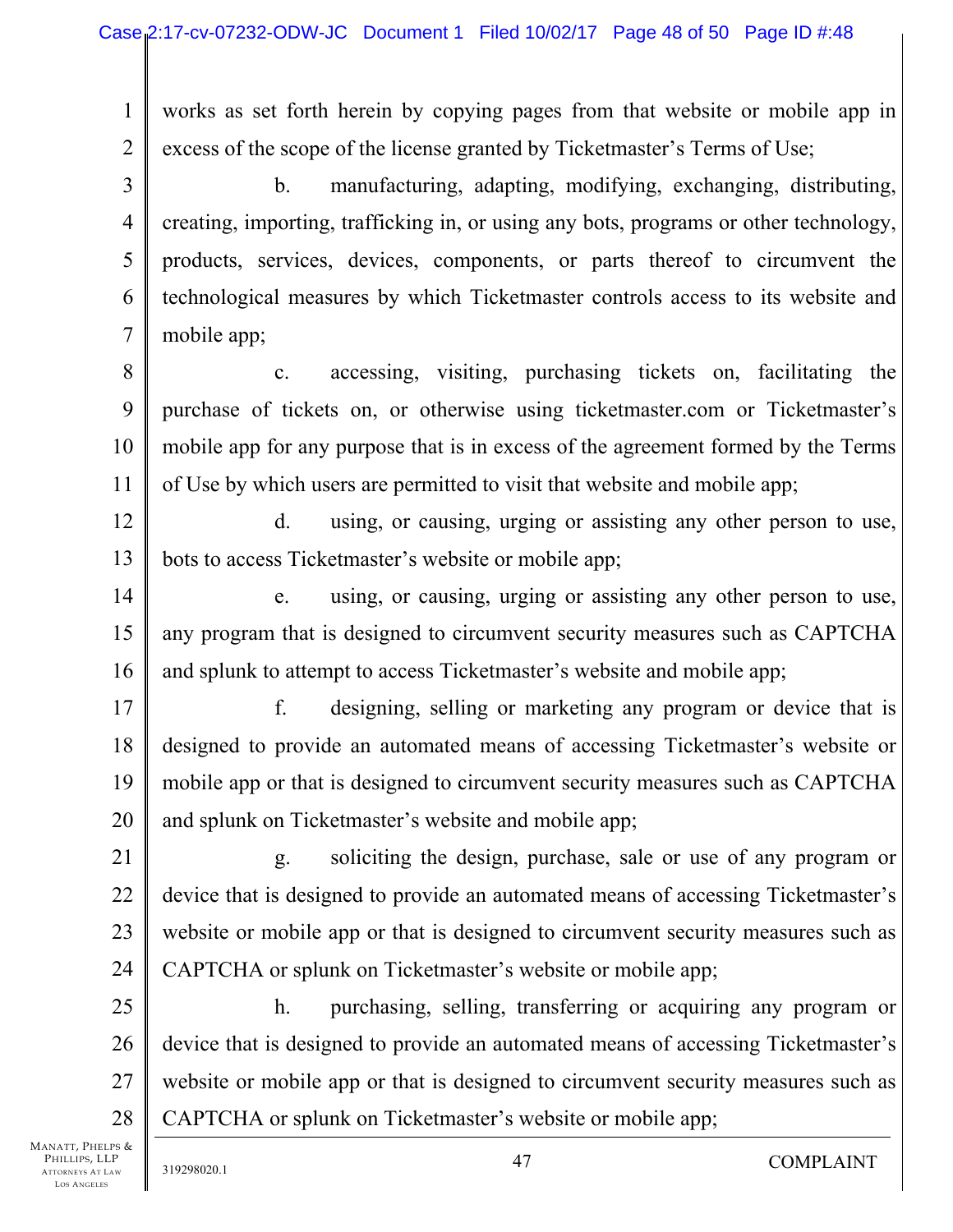1 2 works as set forth herein by copying pages from that website or mobile app in excess of the scope of the license granted by Ticketmaster's Terms of Use;

3 4 5 6 7 b. manufacturing, adapting, modifying, exchanging, distributing, creating, importing, trafficking in, or using any bots, programs or other technology, products, services, devices, components, or parts thereof to circumvent the technological measures by which Ticketmaster controls access to its website and mobile app;

8 9 10 11 c. accessing, visiting, purchasing tickets on, facilitating the purchase of tickets on, or otherwise using ticketmaster.com or Ticketmaster's mobile app for any purpose that is in excess of the agreement formed by the Terms of Use by which users are permitted to visit that website and mobile app;

12 13 d. using, or causing, urging or assisting any other person to use, bots to access Ticketmaster's website or mobile app;

14 15 16 e. using, or causing, urging or assisting any other person to use, any program that is designed to circumvent security measures such as CAPTCHA and splunk to attempt to access Ticketmaster's website and mobile app;

17 18 19 20 f. designing, selling or marketing any program or device that is designed to provide an automated means of accessing Ticketmaster's website or mobile app or that is designed to circumvent security measures such as CAPTCHA and splunk on Ticketmaster's website and mobile app;

21 22 23 24 g. soliciting the design, purchase, sale or use of any program or device that is designed to provide an automated means of accessing Ticketmaster's website or mobile app or that is designed to circumvent security measures such as CAPTCHA or splunk on Ticketmaster's website or mobile app;

25 26 27 28 h. purchasing, selling, transferring or acquiring any program or device that is designed to provide an automated means of accessing Ticketmaster's website or mobile app or that is designed to circumvent security measures such as CAPTCHA or splunk on Ticketmaster's website or mobile app;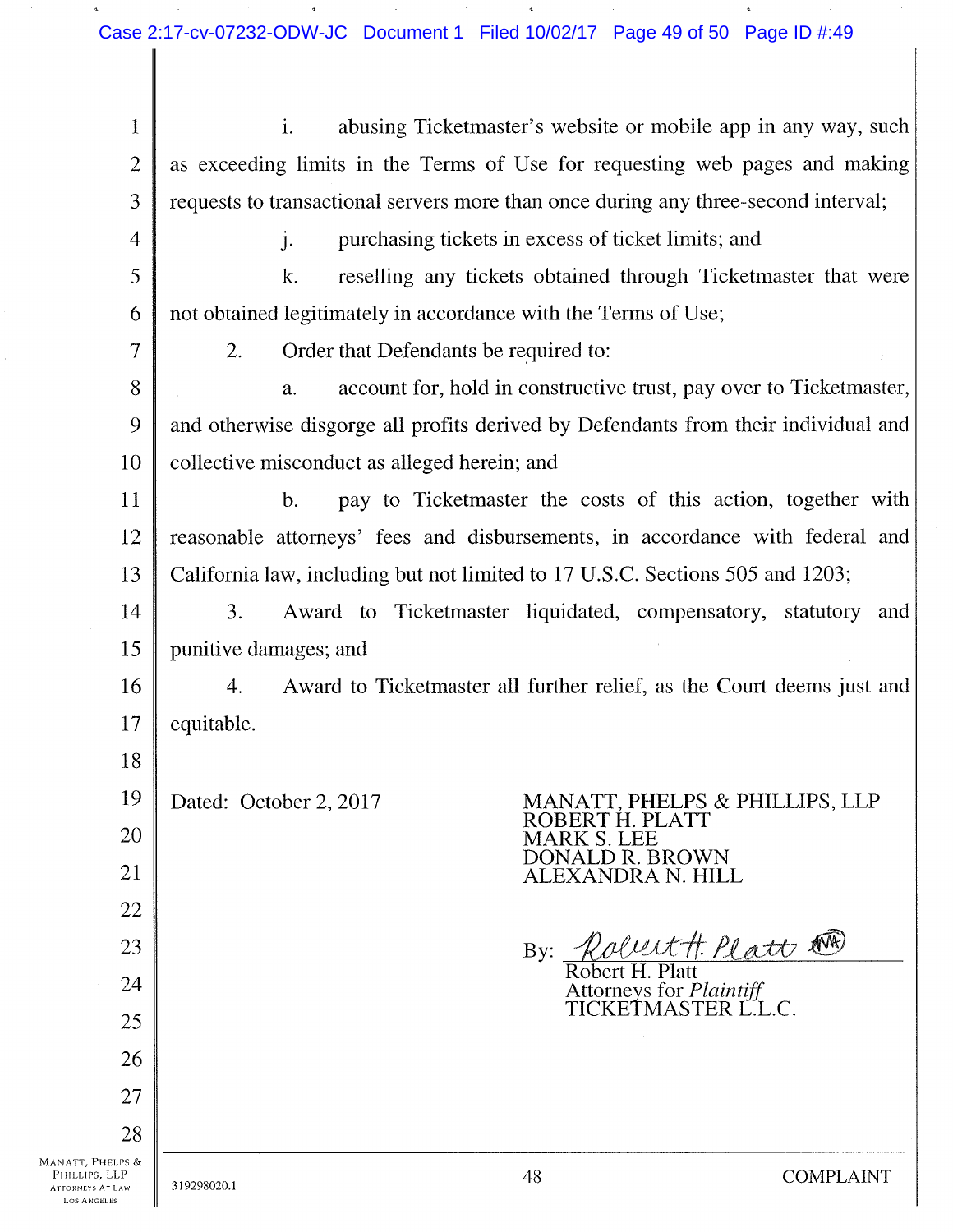1 2 3 4 5 6 7 8 9 10 11 12 13 14 15 16 17 18 19 20 21 22 23 24 25 26 27 28 MANATT, PHELPS & 1. abusing Ticketmaster's website or mobile app in any way, such as exceeding limits in the Terms of Use for requesting web pages and making requests to transactional servers more than once during any three-second interval; j. purchasing tickets in excess of ticket limits; and k. reselling any tickets obtained through Ticketmaster that were not obtained legitimately in accordance with the Terms of Use; 2. Order that Defendants be required to: a. account for, hold in constructive trust, pay over to Ticketmaster, and otherwise disgorge all profits derived by Defendants from their individual and collective misconduct as alleged herein; and b. pay to Ticketmaster the costs of this action, together with reasonable attorneys' fees and disbursements, in accordance with federal and California law, including but not limited to 17 U.S.C. Sections 505 and 1203; 3. Award to Ticketmaster liquidated, compensatory, statutory and punitive damages; and 4. Award to Ticketmaster all further relief, as the Court deems just and equitable. Dated: October 2, 2017 MANATT, PHELPS & PHILLIPS, LLP ROBERT H. PLATT MARKS. LEE DONALD R. BROWN ALEXANDRA N. HILL By: *Robert H. Platt*  $\mathbb{R}$ Robert H. Platt orneys for *Plaintiff* TICKETMASTER L.L.C.